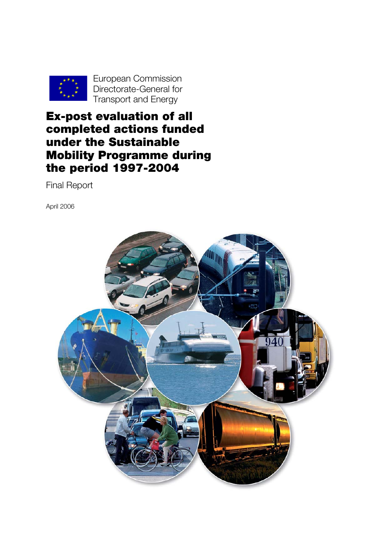

European Commission Directorate-General for Transport and Energy

# Ex-post evaluation of all completed actions funded under the Sustainable Mobility Programme during the period 1997-2004

Final Report

April 2006

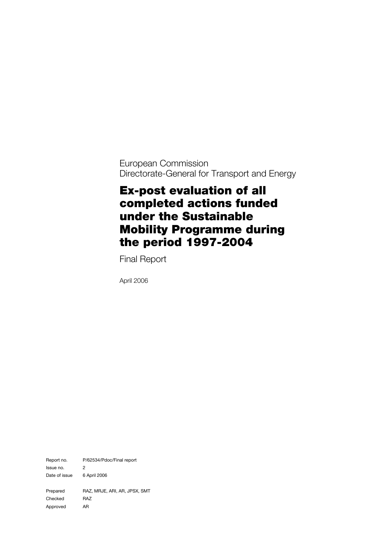European Commission Directorate-General for Transport and Energy

# Ex-post evaluation of all completed actions funded under the Sustainable Mobility Programme during the period 1997-2004

Final Report

April 2006

Report no. P/62534/Pdoc/Final report Issue no. 2 Date of issue 6 April 2006 Prepared RAZ, MRJE, ARI, AR, JPSX, SMT Checked RAZ Approved AR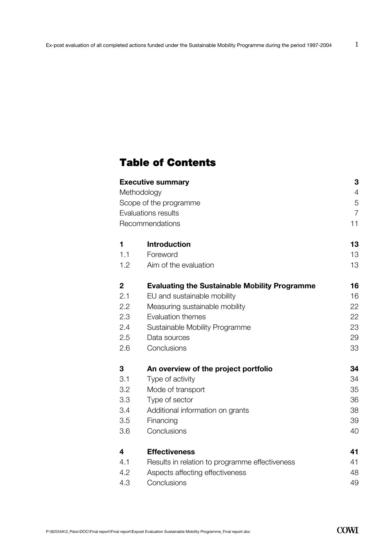# Table of Contents

|              | <b>Executive summary</b>                             | 3              |  |
|--------------|------------------------------------------------------|----------------|--|
|              | Methodology                                          |                |  |
|              | Scope of the programme                               | 5              |  |
|              | Evaluations results                                  | $\overline{7}$ |  |
|              | Recommendations                                      | 11             |  |
| 1            | <b>Introduction</b>                                  | 13             |  |
| 1.1          | Foreword                                             | 13             |  |
| 1.2          | Aim of the evaluation                                | 13             |  |
| $\mathbf{2}$ | <b>Evaluating the Sustainable Mobility Programme</b> | 16             |  |
| 2.1          | EU and sustainable mobility                          | 16             |  |
| 2.2          | Measuring sustainable mobility                       | 22             |  |
| 2.3          | Evaluation themes                                    | 22             |  |
| 2.4          | Sustainable Mobility Programme                       | 23             |  |
| 2.5          | Data sources                                         | 29             |  |
| 2.6          | Conclusions                                          | 33             |  |
| 3            | An overview of the project portfolio                 | 34             |  |
| 3.1          | Type of activity                                     | 34             |  |
| 3.2          | Mode of transport                                    | 35             |  |
| 3.3          | Type of sector                                       | 36             |  |
| 3.4          | Additional information on grants                     | 38             |  |
| 3.5          | Financing                                            | 39             |  |
| 3.6          | Conclusions                                          | 40             |  |
| 4            | <b>Effectiveness</b>                                 | 41             |  |
| 4.1          | Results in relation to programme effectiveness       | 41             |  |
| 4.2          | Aspects affecting effectiveness                      | 48             |  |
| 4.3          | Conclusions                                          | 49             |  |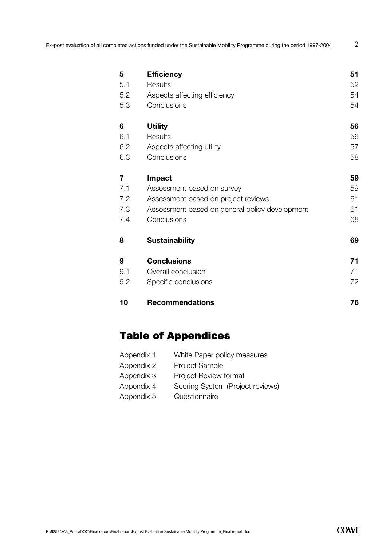| 5                       | <b>Efficiency</b>                              | 51 |
|-------------------------|------------------------------------------------|----|
| 5.1                     | Results                                        | 52 |
| 5.2                     | Aspects affecting efficiency                   | 54 |
| 5.3                     | Conclusions                                    | 54 |
| 6                       | <b>Utility</b>                                 | 56 |
| 6.1                     | Results                                        | 56 |
| 6.2                     | Aspects affecting utility                      | 57 |
| 6.3                     | Conclusions                                    | 58 |
| $\overline{\mathbf{r}}$ | <b>Impact</b>                                  | 59 |
| 7.1                     | Assessment based on survey                     | 59 |
| 7.2                     | Assessment based on project reviews            | 61 |
| 7.3                     | Assessment based on general policy development | 61 |
| 7.4                     | Conclusions                                    | 68 |
| 8                       | <b>Sustainability</b>                          | 69 |
| 9                       | <b>Conclusions</b>                             | 71 |
| 9.1                     | Overall conclusion                             | 71 |
| 9.2                     | Specific conclusions                           | 72 |
| 10                      | <b>Recommendations</b>                         | 76 |

# Table of Appendices

| Appendix 1 | White Paper policy measures      |
|------------|----------------------------------|
| Appendix 2 | <b>Project Sample</b>            |
| Appendix 3 | <b>Project Review format</b>     |
| Appendix 4 | Scoring System (Project reviews) |
| Appendix 5 | Questionnaire                    |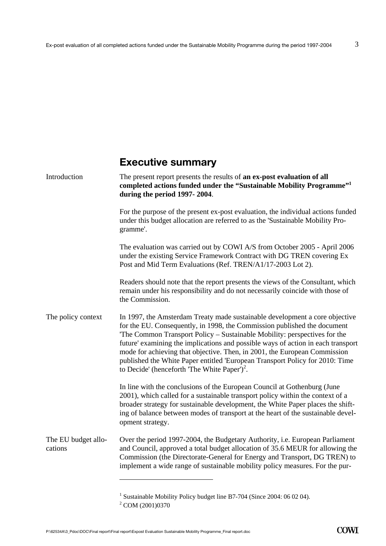# **Executive summary**

| The present report presents the results of an ex-post evaluation of all<br>completed actions funded under the "Sustainable Mobility Programme" <sup>1</sup><br>during the period 1997-2004.                                                                                                                                                                                                                                                                                                                                                       |
|---------------------------------------------------------------------------------------------------------------------------------------------------------------------------------------------------------------------------------------------------------------------------------------------------------------------------------------------------------------------------------------------------------------------------------------------------------------------------------------------------------------------------------------------------|
| For the purpose of the present ex-post evaluation, the individual actions funded<br>under this budget allocation are referred to as the 'Sustainable Mobility Pro-<br>gramme'.                                                                                                                                                                                                                                                                                                                                                                    |
| The evaluation was carried out by COWI A/S from October 2005 - April 2006<br>under the existing Service Framework Contract with DG TREN covering Ex<br>Post and Mid Term Evaluations (Ref. TREN/A1/17-2003 Lot 2).                                                                                                                                                                                                                                                                                                                                |
| Readers should note that the report presents the views of the Consultant, which<br>remain under his responsibility and do not necessarily coincide with those of<br>the Commission.                                                                                                                                                                                                                                                                                                                                                               |
| In 1997, the Amsterdam Treaty made sustainable development a core objective<br>for the EU. Consequently, in 1998, the Commission published the document<br>'The Common Transport Policy – Sustainable Mobility: perspectives for the<br>future' examining the implications and possible ways of action in each transport<br>mode for achieving that objective. Then, in 2001, the European Commission<br>published the White Paper entitled 'European Transport Policy for 2010: Time<br>to Decide' (henceforth 'The White Paper') <sup>2</sup> . |
| In line with the conclusions of the European Council at Gothenburg (June<br>2001), which called for a sustainable transport policy within the context of a<br>broader strategy for sustainable development, the White Paper places the shift-<br>ing of balance between modes of transport at the heart of the sustainable devel-<br>opment strategy.                                                                                                                                                                                             |
| Over the period 1997-2004, the Budgetary Authority, i.e. European Parliament<br>and Council, approved a total budget allocation of 35.6 MEUR for allowing the<br>Commission (the Directorate-General for Energy and Transport, DG TREN) to<br>implement a wide range of sustainable mobility policy measures. For the pur-                                                                                                                                                                                                                        |
|                                                                                                                                                                                                                                                                                                                                                                                                                                                                                                                                                   |

<sup>&</sup>lt;sup>1</sup> Sustainable Mobility Policy budget line B7-704 (Since 2004: 06 02 04).

<sup>&</sup>lt;sup>2</sup> COM (2001)0370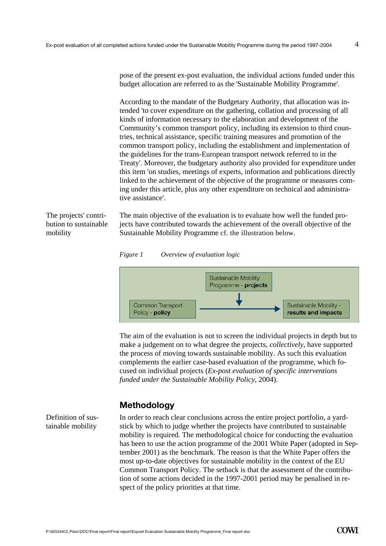pose of the present ex-post evaluation, the individual actions funded under this budget allocation are referred to as the 'Sustainable Mobility Programme'.

According to the mandate of the Budgetary Authority, that allocation was intended 'to cover expenditure on the gathering, collation and processing of all kinds of information necessary to the elaboration and development of the Community's common transport policy, including its extension to third countries, technical assistance, specific training measures and promotion of the common transport policy, including the establishment and implementation of the guidelines for the trans-European transport network referred to in the Treaty'. Moreover, the budgetary authority also provided for expenditure under this item 'on studies, meetings of experts, information and publications directly linked to the achievement of the objective of the programme or measures coming under this article, plus any other expenditure on technical and administrative assistance'.

The projects' contribution to sustainable mobility

The main objective of the evaluation is to evaluate how well the funded projects have contributed towards the achievement of the overall objective of the Sustainable Mobility Programme cf. the illustration below.





The aim of the evaluation is not to screen the individual projects in depth but to make a judgement on to what degree the projects, *collectively,* have supported the process of moving towards sustainable mobility. As such this evaluation complements the earlier case-based evaluation of the programme, which focused on individual projects (*Ex-post evaluation of specific interventions funded under the Sustainable Mobility Policy*, 2004).

# **Methodology**

Definition of sustainable mobility

In order to reach clear conclusions across the entire project portfolio, a yardstick by which to judge whether the projects have contributed to sustainable mobility is required. The methodological choice for conducting the evaluation has been to use the action programme of the 2001 White Paper (adopted in September 2001) as the benchmark. The reason is that the White Paper offers the most up-to-date objectives for sustainable mobility in the context of the EU Common Transport Policy. The setback is that the assessment of the contribution of some actions decided in the 1997-2001 period may be penalised in respect of the policy priorities at that time.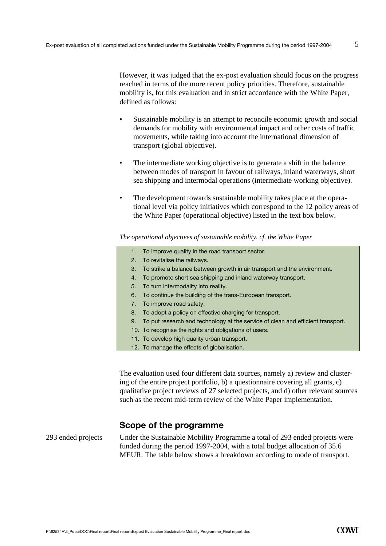However, it was judged that the ex-post evaluation should focus on the progress reached in terms of the more recent policy priorities. Therefore, sustainable mobility is, for this evaluation and in strict accordance with the White Paper, defined as follows:

- Sustainable mobility is an attempt to reconcile economic growth and social demands for mobility with environmental impact and other costs of traffic movements, while taking into account the international dimension of transport (global objective).
- The intermediate working objective is to generate a shift in the balance between modes of transport in favour of railways, inland waterways, short sea shipping and intermodal operations (intermediate working objective).
- The development towards sustainable mobility takes place at the operational level via policy initiatives which correspond to the 12 policy areas of the White Paper (operational objective) listed in the text box below.

*The operational objectives of sustainable mobility, cf. the White Paper* 

- 1. To improve quality in the road transport sector.
- 2. To revitalise the railways.
- 3. To strike a balance between growth in air transport and the environment.
- 4. To promote short sea shipping and inland waterway transport.
- 5. To turn intermodality into reality.
- 6. To continue the building of the trans-European transport.
- 7. To improve road safety.
- 8. To adopt a policy on effective charging for transport.
- 9. To put research and technology at the service of clean and efficient transport.
- 10. To recognise the rights and obligations of users.
- 11. To develop high quality urban transport.
- 12. To manage the effects of globalisation.

The evaluation used four different data sources, namely a) review and clustering of the entire project portfolio, b) a questionnaire covering all grants, c) qualitative project reviews of 27 selected projects, and d) other relevant sources such as the recent mid-term review of the White Paper implementation.

#### **Scope of the programme**

293 ended projects Under the Sustainable Mobility Programme a total of 293 ended projects were funded during the period 1997-2004, with a total budget allocation of 35.6 MEUR. The table below shows a breakdown according to mode of transport.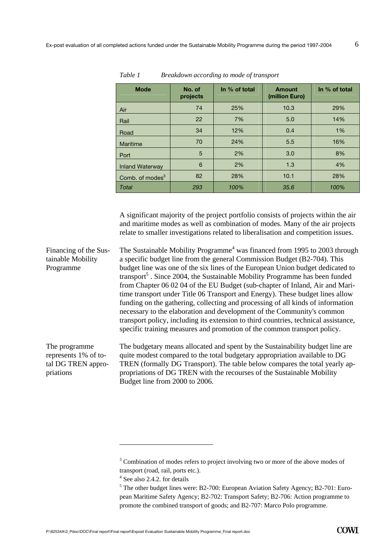| <b>Mode</b>                 | No. of<br>projects | In % of total | <b>Amount</b><br>(million Euro) | In % of total |
|-----------------------------|--------------------|---------------|---------------------------------|---------------|
| Air                         | 74                 | 25%           | 10.3                            | 29%           |
| Rail                        | 22                 | 7%            | 5.0                             | 14%           |
| Road                        | 34                 | 12%           | 0.4                             | 1%            |
| Maritime                    | 70                 | 24%           | 5.5                             | 16%           |
| Port                        | 5                  | 2%            | 3.0                             | 8%            |
| <b>Inland Waterway</b>      | 6                  | 2%            | 1.3                             | 4%            |
| Comb. of modes <sup>3</sup> | 82                 | 28%           | 10.1                            | 28%           |
| Total                       | 293                | 100%          | 35.6                            | 100%          |

*Table 1 Breakdown according to mode of transport* 

A significant majority of the project portfolio consists of projects within the air and maritime modes as well as combination of modes. Many of the air projects relate to smaller investigations related to liberalisation and competition issues.

The Sustainable Mobility Programme<sup>4</sup> was financed from 1995 to 2003 through a specific budget line from the general Commission Budget (B2-704). This budget line was one of the six lines of the European Union budget dedicated to transport<sup>5</sup>. Since 2004, the Sustainable Mobility Programme has been funded from Chapter 06 02 04 of the EU Budget (sub-chapter of Inland, Air and Maritime transport under Title 06 Transport and Energy). These budget lines allow funding on the gathering, collecting and processing of all kinds of information necessary to the elaboration and development of the Community's common transport policy, including its extension to third countries, technical assistance, specific training measures and promotion of the common transport policy. Financing of the Sustainable Mobility Programme

The programme represents 1% of total DG TREN appropriations

The budgetary means allocated and spent by the Sustainability budget line are quite modest compared to the total budgetary appropriation available to DG TREN (formally DG Transport). The table below compares the total yearly appropriations of DG TREN with the recourses of the Sustainable Mobility Budget line from 2000 to 2006.

 $\overline{a}$ 

<sup>&</sup>lt;sup>3</sup> Combination of modes refers to project involving two or more of the above modes of transport (road, rail, ports etc.). 4

 $4$  See also 2.4.2. for details

 $<sup>5</sup>$  The other budget lines were: B2-700: European Aviation Safety Agency; B2-701: Euro-</sup> pean Maritime Safety Agency; B2-702: Transport Safety; B2-706: Action programme to promote the combined transport of goods; and B2-707: Marco Polo programme.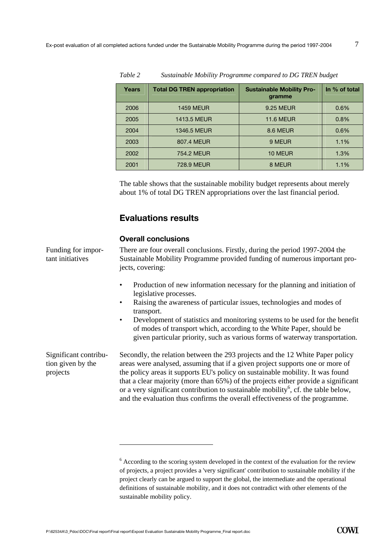| Years | <b>Total DG TREN appropriation</b> | <b>Sustainable Mobility Pro-</b><br>gramme | In % of total |
|-------|------------------------------------|--------------------------------------------|---------------|
| 2006  | <b>1459 MEUR</b>                   | 9.25 MEUR                                  | 0.6%          |
| 2005  | 1413.5 MEUR                        | <b>11.6 MEUR</b>                           | 0.8%          |
| 2004  | 1346.5 MEUR                        | 8.6 MEUR                                   | 0.6%          |
| 2003  | 807.4 MEUR                         | 9 MEUR                                     | 1.1%          |
| 2002  | 754.2 MEUR                         | 10 MEUR                                    | 1.3%          |
| 2001  | <b>728.9 MEUR</b>                  | 8 MEUR                                     | 1.1%          |

*Table 2 Sustainable Mobility Programme compared to DG TREN budget* 

The table shows that the sustainable mobility budget represents about merely about 1% of total DG TREN appropriations over the last financial period.

#### **Evaluations results**

#### **Overall conclusions**

Funding for important initiatives

There are four overall conclusions. Firstly, during the period 1997-2004 the Sustainable Mobility Programme provided funding of numerous important projects, covering:

- Production of new information necessary for the planning and initiation of legislative processes.
- Raising the awareness of particular issues, technologies and modes of transport.
- Development of statistics and monitoring systems to be used for the benefit of modes of transport which, according to the White Paper, should be given particular priority, such as various forms of waterway transportation.

Significant contribution given by the projects

Secondly, the relation between the 293 projects and the 12 White Paper policy areas were analysed, assuming that if a given project supports one or more of the policy areas it supports EU's policy on sustainable mobility. It was found that a clear majority (more than 65%) of the projects either provide a significant or a very significant contribution to sustainable mobility<sup>6</sup>, cf. the table below, and the evaluation thus confirms the overall effectiveness of the programme.

 $\overline{a}$ 

 $6$  According to the scoring system developed in the context of the evaluation for the review of projects, a project provides a 'very significant' contribution to sustainable mobility if the project clearly can be argued to support the global, the intermediate and the operational definitions of sustainable mobility, and it does not contradict with other elements of the sustainable mobility policy.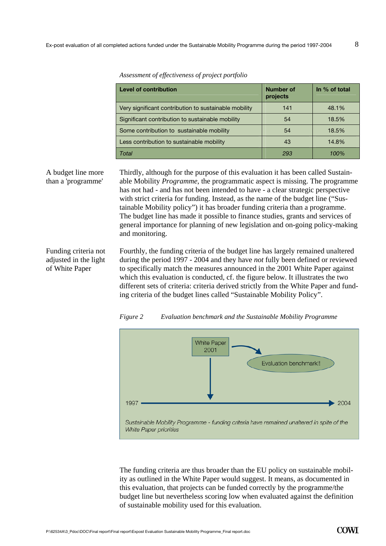| Level of contribution                                 | Number of<br>projects | In % of total |
|-------------------------------------------------------|-----------------------|---------------|
| Very significant contribution to sustainable mobility | 141                   | 48.1%         |
| Significant contribution to sustainable mobility      | 54                    | 18.5%         |
| Some contribution to sustainable mobility             | 54                    | 18.5%         |
| Less contribution to sustainable mobility             | 43                    | 14.8%         |
| Total                                                 | 293                   | 100%          |

*Assessment of effectiveness of project portfolio* 

A budget line more than a 'programme'

Thirdly, although for the purpose of this evaluation it has been called Sustainable Mobility *Programme*, the programmatic aspect is missing. The programme has not had - and has not been intended to have - a clear strategic perspective with strict criteria for funding. Instead, as the name of the budget line ("Sustainable Mobility policy") it has broader funding criteria than a programme. The budget line has made it possible to finance studies, grants and services of general importance for planning of new legislation and on-going policy-making and monitoring.

Funding criteria not adjusted in the light of White Paper

Fourthly, the funding criteria of the budget line has largely remained unaltered during the period 1997 - 2004 and they have *not* fully been defined or reviewed to specifically match the measures announced in the 2001 White Paper against which this evaluation is conducted, cf. the figure below. It illustrates the two different sets of criteria: criteria derived strictly from the White Paper and funding criteria of the budget lines called "Sustainable Mobility Policy".





The funding criteria are thus broader than the EU policy on sustainable mobility as outlined in the White Paper would suggest. It means, as documented in this evaluation, that projects can be funded correctly by the programme/the budget line but nevertheless scoring low when evaluated against the definition of sustainable mobility used for this evaluation.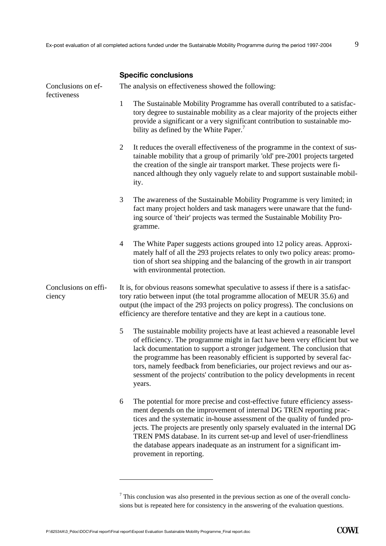|  |  | <b>Specific conclusions</b> |
|--|--|-----------------------------|
|--|--|-----------------------------|

| Conclusions on ef-<br>fectiveness |                | The analysis on effectiveness showed the following:                                                                                                                                                                                                                                                                                                                                                                                                                                              |
|-----------------------------------|----------------|--------------------------------------------------------------------------------------------------------------------------------------------------------------------------------------------------------------------------------------------------------------------------------------------------------------------------------------------------------------------------------------------------------------------------------------------------------------------------------------------------|
|                                   | 1              | The Sustainable Mobility Programme has overall contributed to a satisfac-<br>tory degree to sustainable mobility as a clear majority of the projects either<br>provide a significant or a very significant contribution to sustainable mo-<br>bility as defined by the White Paper. <sup>7</sup>                                                                                                                                                                                                 |
|                                   | $\overline{2}$ | It reduces the overall effectiveness of the programme in the context of sus-<br>tainable mobility that a group of primarily 'old' pre-2001 projects targeted<br>the creation of the single air transport market. These projects were fi-<br>nanced although they only vaguely relate to and support sustainable mobil-<br>ity.                                                                                                                                                                   |
|                                   | 3              | The awareness of the Sustainable Mobility Programme is very limited; in<br>fact many project holders and task managers were unaware that the fund-<br>ing source of 'their' projects was termed the Sustainable Mobility Pro-<br>gramme.                                                                                                                                                                                                                                                         |
|                                   | 4              | The White Paper suggests actions grouped into 12 policy areas. Approxi-<br>mately half of all the 293 projects relates to only two policy areas: promo-<br>tion of short sea shipping and the balancing of the growth in air transport<br>with environmental protection.                                                                                                                                                                                                                         |
| Conclusions on effi-<br>ciency    |                | It is, for obvious reasons somewhat speculative to assess if there is a satisfac-<br>tory ratio between input (the total programme allocation of MEUR 35.6) and<br>output (the impact of the 293 projects on policy progress). The conclusions on<br>efficiency are therefore tentative and they are kept in a cautious tone.                                                                                                                                                                    |
|                                   | 5              | The sustainable mobility projects have at least achieved a reasonable level<br>of efficiency. The programme might in fact have been very efficient but we<br>lack documentation to support a stronger judgement. The conclusion that<br>the programme has been reasonably efficient is supported by several fac-<br>tors, namely feedback from beneficiaries, our project reviews and our as-<br>sessment of the projects' contribution to the policy developments in recent<br>years.           |
|                                   | 6              | The potential for more precise and cost-effective future efficiency assess-<br>ment depends on the improvement of internal DG TREN reporting prac-<br>tices and the systematic in-house assessment of the quality of funded pro-<br>jects. The projects are presently only sparsely evaluated in the internal DG<br>TREN PMS database. In its current set-up and level of user-friendliness<br>the database appears inadequate as an instrument for a significant im-<br>provement in reporting. |

 $<sup>7</sup>$  This conclusion was also presented in the previous section as one of the overall conclu-</sup> sions but is repeated here for consistency in the answering of the evaluation questions.

 $\overline{a}$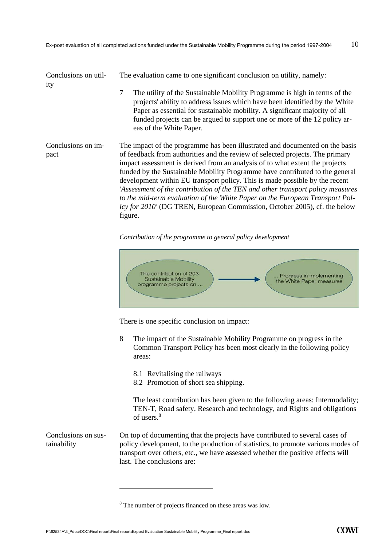| Conclusions on util-<br>ity | The evaluation came to one significant conclusion on utility, namely:<br>$\tau$<br>The utility of the Sustainable Mobility Programme is high in terms of the<br>projects' ability to address issues which have been identified by the White<br>Paper as essential for sustainable mobility. A significant majority of all<br>funded projects can be argued to support one or more of the 12 policy ar-<br>eas of the White Paper.                                                                                                                                                                                                                                      |
|-----------------------------|------------------------------------------------------------------------------------------------------------------------------------------------------------------------------------------------------------------------------------------------------------------------------------------------------------------------------------------------------------------------------------------------------------------------------------------------------------------------------------------------------------------------------------------------------------------------------------------------------------------------------------------------------------------------|
| Conclusions on im-<br>pact  | The impact of the programme has been illustrated and documented on the basis<br>of feedback from authorities and the review of selected projects. The primary<br>impact assessment is derived from an analysis of to what extent the projects<br>funded by the Sustainable Mobility Programme have contributed to the general<br>development within EU transport policy. This is made possible by the recent<br>'Assessment of the contribution of the TEN and other transport policy measures<br>to the mid-term evaluation of the White Paper on the European Transport Pol-<br>icy for 2010' (DG TREN, European Commission, October 2005), cf. the below<br>figure. |

*Contribution of the programme to general policy development* 



There is one specific conclusion on impact:

- 8 The impact of the Sustainable Mobility Programme on progress in the Common Transport Policy has been most clearly in the following policy areas:
	- 8.1 Revitalising the railways
	- 8.2 Promotion of short sea shipping.

The least contribution has been given to the following areas: Intermodality; TEN-T, Road safety, Research and technology, and Rights and obligations of users.<sup>8</sup>

On top of documenting that the projects have contributed to several cases of policy development, to the production of statistics, to promote various modes of transport over others, etc., we have assessed whether the positive effects will last. The conclusions are: Conclusions on sustainability

 $\overline{a}$ 

<sup>&</sup>lt;sup>8</sup> The number of projects financed on these areas was low.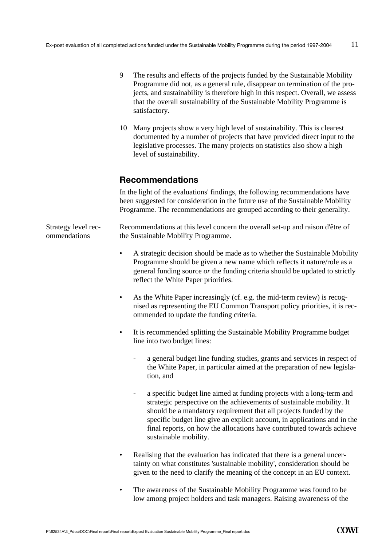- 9 The results and effects of the projects funded by the Sustainable Mobility Programme did not, as a general rule, disappear on termination of the projects, and sustainability is therefore high in this respect. Overall, we assess that the overall sustainability of the Sustainable Mobility Programme is satisfactory.
- 10 Many projects show a very high level of sustainability. This is clearest documented by a number of projects that have provided direct input to the legislative processes. The many projects on statistics also show a high level of sustainability.

## **Recommendations**

In the light of the evaluations' findings, the following recommendations have been suggested for consideration in the future use of the Sustainable Mobility Programme. The recommendations are grouped according to their generality.

Recommendations at this level concern the overall set-up and raison d'être of the Sustainable Mobility Programme. Strategy level recommendations

- A strategic decision should be made as to whether the Sustainable Mobility Programme should be given a new name which reflects it nature/role as a general funding source *or* the funding criteria should be updated to strictly reflect the White Paper priorities.
- As the White Paper increasingly (cf. e.g. the mid-term review) is recognised as representing the EU Common Transport policy priorities, it is recommended to update the funding criteria.
- It is recommended splitting the Sustainable Mobility Programme budget line into two budget lines:
	- a general budget line funding studies, grants and services in respect of the White Paper, in particular aimed at the preparation of new legislation, and
	- a specific budget line aimed at funding projects with a long-term and strategic perspective on the achievements of sustainable mobility. It should be a mandatory requirement that all projects funded by the specific budget line give an explicit account, in applications and in the final reports, on how the allocations have contributed towards achieve sustainable mobility.
- Realising that the evaluation has indicated that there is a general uncertainty on what constitutes 'sustainable mobility', consideration should be given to the need to clarify the meaning of the concept in an EU context.
- The awareness of the Sustainable Mobility Programme was found to be low among project holders and task managers. Raising awareness of the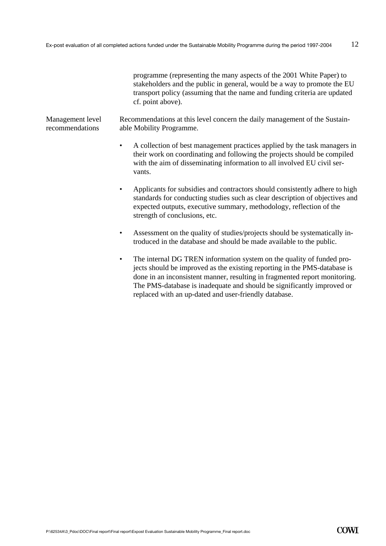programme (representing the many aspects of the 2001 White Paper) to stakeholders and the public in general, would be a way to promote the EU transport policy (assuming that the name and funding criteria are updated cf. point above).

Recommendations at this level concern the daily management of the Sustainable Mobility Programme. Management level recommendations

- A collection of best management practices applied by the task managers in their work on coordinating and following the projects should be compiled with the aim of disseminating information to all involved EU civil servants.
- Applicants for subsidies and contractors should consistently adhere to high standards for conducting studies such as clear description of objectives and expected outputs, executive summary, methodology, reflection of the strength of conclusions, etc.
- Assessment on the quality of studies/projects should be systematically introduced in the database and should be made available to the public.
- The internal DG TREN information system on the quality of funded projects should be improved as the existing reporting in the PMS-database is done in an inconsistent manner, resulting in fragmented report monitoring. The PMS-database is inadequate and should be significantly improved or replaced with an up-dated and user-friendly database.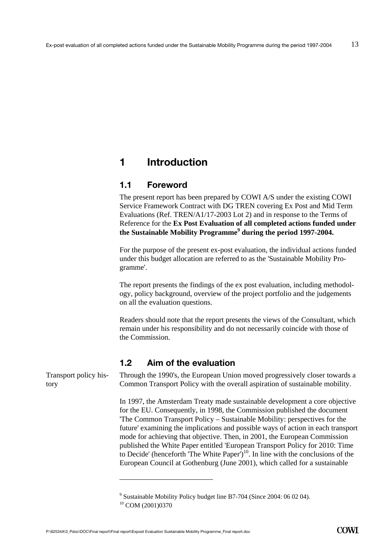# **1 Introduction**

## **1.1 Foreword**

The present report has been prepared by COWI A/S under the existing COWI Service Framework Contract with DG TREN covering Ex Post and Mid Term Evaluations (Ref. TREN/A1/17-2003 Lot 2) and in response to the Terms of Reference for the **Ex Post Evaluation of all completed actions funded under the Sustainable Mobility Programme<sup>9</sup> during the period 1997-2004.** 

For the purpose of the present ex-post evaluation, the individual actions funded under this budget allocation are referred to as the 'Sustainable Mobility Programme'.

The report presents the findings of the ex post evaluation, including methodology, policy background, overview of the project portfolio and the judgements on all the evaluation questions.

Readers should note that the report presents the views of the Consultant, which remain under his responsibility and do not necessarily coincide with those of the Commission.

## **1.2 Aim of the evaluation**

Through the 1990's, the European Union moved progressively closer towards a Common Transport Policy with the overall aspiration of sustainable mobility.

In 1997, the Amsterdam Treaty made sustainable development a core objective for the EU. Consequently, in 1998, the Commission published the document 'The Common Transport Policy – Sustainable Mobility: perspectives for the future' examining the implications and possible ways of action in each transport mode for achieving that objective. Then, in 2001, the European Commission published the White Paper entitled 'European Transport Policy for 2010: Time to Decide' (henceforth 'The White Paper')<sup>10</sup>. In line with the conclusions of the European Council at Gothenburg (June 2001), which called for a sustainable

 $\overline{a}$ 

Transport policy history

<sup>&</sup>lt;sup>9</sup> Sustainable Mobility Policy budget line B7-704 (Since 2004: 06 02 04).

<sup>10</sup> COM (2001)0370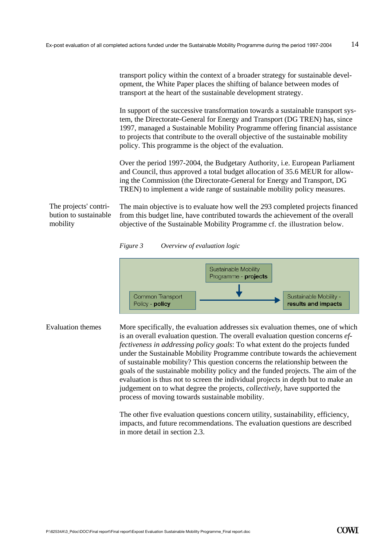|                                                            | transport policy within the context of a broader strategy for sustainable devel-<br>opment, the White Paper places the shifting of balance between modes of<br>transport at the heart of the sustainable development strategy.                                                                                                                                                                |
|------------------------------------------------------------|-----------------------------------------------------------------------------------------------------------------------------------------------------------------------------------------------------------------------------------------------------------------------------------------------------------------------------------------------------------------------------------------------|
|                                                            | In support of the successive transformation towards a sustainable transport sys-<br>tem, the Directorate-General for Energy and Transport (DG TREN) has, since<br>1997, managed a Sustainable Mobility Programme offering financial assistance<br>to projects that contribute to the overall objective of the sustainable mobility<br>policy. This programme is the object of the evaluation. |
|                                                            | Over the period 1997-2004, the Budgetary Authority, i.e. European Parliament<br>and Council, thus approved a total budget allocation of 35.6 MEUR for allow-<br>ing the Commission (the Directorate-General for Energy and Transport, DG<br>TREN) to implement a wide range of sustainable mobility policy measures.                                                                          |
| The projects' contri-<br>bution to sustainable<br>mobility | The main objective is to evaluate how well the 293 completed projects financed<br>from this budget line, have contributed towards the achievement of the overall<br>objective of the Sustainable Mobility Programme cf. the illustration below.                                                                                                                                               |

#### *Figure 3 Overview of evaluation logic*



More specifically, the evaluation addresses six evaluation themes, one of which is an overall evaluation question. The overall evaluation question concerns *effectiveness in addressing policy goals*: To what extent do the projects funded under the Sustainable Mobility Programme contribute towards the achievement of sustainable mobility? This question concerns the relationship between the goals of the sustainable mobility policy and the funded projects. The aim of the evaluation is thus not to screen the individual projects in depth but to make an judgement on to what degree the projects, *collectively,* have supported the process of moving towards sustainable mobility. Evaluation themes

> The other five evaluation questions concern utility, sustainability, efficiency, impacts, and future recommendations. The evaluation questions are described in more detail in section 2.3.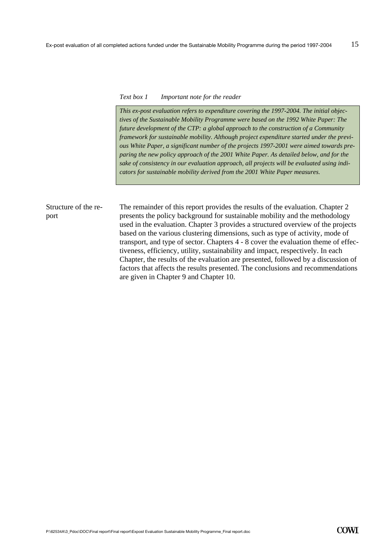#### *Text box 1 Important note for the reader*

*This ex-post evaluation refers to expenditure covering the 1997-2004. The initial objectives of the Sustainable Mobility Programme were based on the 1992 White Paper: The future development of the CTP: a global approach to the construction of a Community framework for sustainable mobility. Although project expenditure started under the previous White Paper, a significant number of the projects 1997-2001 were aimed towards preparing the new policy approach of the 2001 White Paper. As detailed below, and for the sake of consistency in our evaluation approach, all projects will be evaluated using indicators for sustainable mobility derived from the 2001 White Paper measures.*

The remainder of this report provides the results of the evaluation. Chapter 2 presents the policy background for sustainable mobility and the methodology used in the evaluation. Chapter 3 provides a structured overview of the projects based on the various clustering dimensions, such as type of activity, mode of transport, and type of sector. Chapters 4 - 8 cover the evaluation theme of effectiveness, efficiency, utility, sustainability and impact, respectively. In each Chapter, the results of the evaluation are presented, followed by a discussion of factors that affects the results presented. The conclusions and recommendations are given in Chapter 9 and Chapter 10. Structure of the report

```
P:\62534A\3_Pdoc\DOC\Final report\Final report\Expost Evaluation Sustainable Mobility Programme_Final report.doc
```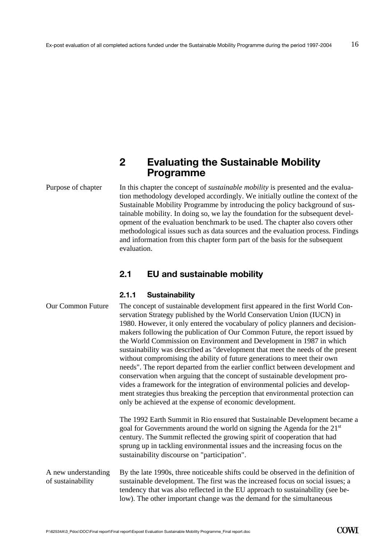# **2 Evaluating the Sustainable Mobility Programme**

Purpose of chapter

In this chapter the concept of *sustainable mobility* is presented and the evaluation methodology developed accordingly. We initially outline the context of the Sustainable Mobility Programme by introducing the policy background of sustainable mobility. In doing so, we lay the foundation for the subsequent development of the evaluation benchmark to be used. The chapter also covers other methodological issues such as data sources and the evaluation process. Findings and information from this chapter form part of the basis for the subsequent evaluation.

# **2.1 EU and sustainable mobility**

#### **2.1.1 Sustainability**

| <b>Our Common Future</b>                 | The concept of sustainable development first appeared in the first World Con-<br>servation Strategy published by the World Conservation Union (IUCN) in<br>1980. However, it only entered the vocabulary of policy planners and decision-<br>makers following the publication of Our Common Future, the report issued by<br>the World Commission on Environment and Development in 1987 in which<br>sustainability was described as "development that meet the needs of the present<br>without compromising the ability of future generations to meet their own<br>needs". The report departed from the earlier conflict between development and<br>conservation when arguing that the concept of sustainable development pro-<br>vides a framework for the integration of environmental policies and develop-<br>ment strategies thus breaking the perception that environmental protection can<br>only be achieved at the expense of economic development. |
|------------------------------------------|--------------------------------------------------------------------------------------------------------------------------------------------------------------------------------------------------------------------------------------------------------------------------------------------------------------------------------------------------------------------------------------------------------------------------------------------------------------------------------------------------------------------------------------------------------------------------------------------------------------------------------------------------------------------------------------------------------------------------------------------------------------------------------------------------------------------------------------------------------------------------------------------------------------------------------------------------------------|
|                                          | The 1992 Earth Summit in Rio ensured that Sustainable Development became a<br>goal for Governments around the world on signing the Agenda for the 21 <sup>st</sup><br>century. The Summit reflected the growing spirit of cooperation that had<br>sprung up in tackling environmental issues and the increasing focus on the<br>sustainability discourse on "participation".                                                                                                                                                                                                                                                                                                                                                                                                                                                                                                                                                                                 |
| A new understanding<br>of sustainability | By the late 1990s, three noticeable shifts could be observed in the definition of<br>sustainable development. The first was the increased focus on social issues; a<br>tendency that was also reflected in the EU approach to sustainability (see be-<br>low). The other important change was the demand for the simultaneous                                                                                                                                                                                                                                                                                                                                                                                                                                                                                                                                                                                                                                |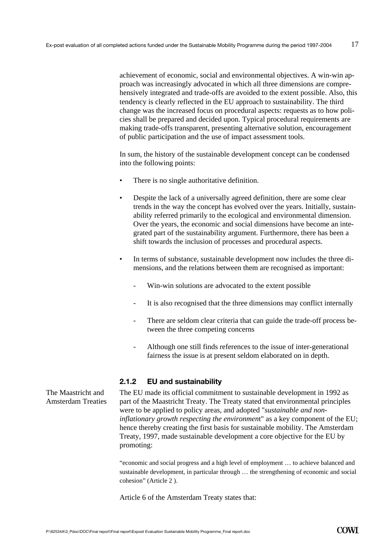achievement of economic, social and environmental objectives. A win-win approach was increasingly advocated in which all three dimensions are comprehensively integrated and trade-offs are avoided to the extent possible. Also, this tendency is clearly reflected in the EU approach to sustainability. The third change was the increased focus on procedural aspects: requests as to how policies shall be prepared and decided upon. Typical procedural requirements are making trade-offs transparent, presenting alternative solution, encouragement of public participation and the use of impact assessment tools.

In sum, the history of the sustainable development concept can be condensed into the following points:

- There is no single authoritative definition.
- Despite the lack of a universally agreed definition, there are some clear trends in the way the concept has evolved over the years. Initially, sustainability referred primarily to the ecological and environmental dimension. Over the years, the economic and social dimensions have become an integrated part of the sustainability argument. Furthermore, there has been a shift towards the inclusion of processes and procedural aspects.
- In terms of substance, sustainable development now includes the three dimensions, and the relations between them are recognised as important:
	- Win-win solutions are advocated to the extent possible
	- It is also recognised that the three dimensions may conflict internally
	- There are seldom clear criteria that can guide the trade-off process between the three competing concerns
	- Although one still finds references to the issue of inter-generational fairness the issue is at present seldom elaborated on in depth.

#### **2.1.2 EU and sustainability**

The EU made its official commitment to sustainable development in 1992 as part of the Maastricht Treaty. The Treaty stated that environmental principles were to be applied to policy areas, and adopted "*sustainable and noninflationary growth respecting the environmen*t" as a key component of the EU; hence thereby creating the first basis for sustainable mobility. The Amsterdam Treaty, 1997, made sustainable development a core objective for the EU by promoting:

"economic and social progress and a high level of employment … to achieve balanced and sustainable development, in particular through … the strengthening of economic and social cohesion" (Article 2 ).

Article 6 of the Amsterdam Treaty states that:

The Maastricht and Amsterdam Treaties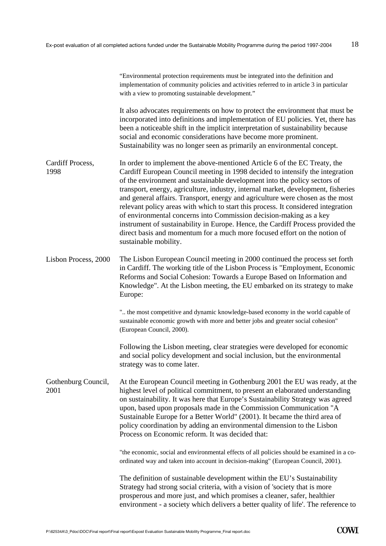|                             | "Environmental protection requirements must be integrated into the definition and<br>implementation of community policies and activities referred to in article 3 in particular<br>with a view to promoting sustainable development."                                                                                                                                                                                                                                                                                                                                                                                                                                                                                                                              |
|-----------------------------|--------------------------------------------------------------------------------------------------------------------------------------------------------------------------------------------------------------------------------------------------------------------------------------------------------------------------------------------------------------------------------------------------------------------------------------------------------------------------------------------------------------------------------------------------------------------------------------------------------------------------------------------------------------------------------------------------------------------------------------------------------------------|
|                             | It also advocates requirements on how to protect the environment that must be<br>incorporated into definitions and implementation of EU policies. Yet, there has<br>been a noticeable shift in the implicit interpretation of sustainability because<br>social and economic considerations have become more prominent.<br>Sustainability was no longer seen as primarily an environmental concept.                                                                                                                                                                                                                                                                                                                                                                 |
| Cardiff Process,<br>1998    | In order to implement the above-mentioned Article 6 of the EC Treaty, the<br>Cardiff European Council meeting in 1998 decided to intensify the integration<br>of the environment and sustainable development into the policy sectors of<br>transport, energy, agriculture, industry, internal market, development, fisheries<br>and general affairs. Transport, energy and agriculture were chosen as the most<br>relevant policy areas with which to start this process. It considered integration<br>of environmental concerns into Commission decision-making as a key<br>instrument of sustainability in Europe. Hence, the Cardiff Process provided the<br>direct basis and momentum for a much more focused effort on the notion of<br>sustainable mobility. |
| Lisbon Process, 2000        | The Lisbon European Council meeting in 2000 continued the process set forth<br>in Cardiff. The working title of the Lisbon Process is "Employment, Economic<br>Reforms and Social Cohesion: Towards a Europe Based on Information and<br>Knowledge". At the Lisbon meeting, the EU embarked on its strategy to make<br>Europe:                                                                                                                                                                                                                                                                                                                                                                                                                                     |
|                             | " the most competitive and dynamic knowledge-based economy in the world capable of<br>sustainable economic growth with more and better jobs and greater social cohesion"<br>(European Council, 2000).                                                                                                                                                                                                                                                                                                                                                                                                                                                                                                                                                              |
|                             | Following the Lisbon meeting, clear strategies were developed for economic<br>and social policy development and social inclusion, but the environmental<br>strategy was to come later.                                                                                                                                                                                                                                                                                                                                                                                                                                                                                                                                                                             |
| Gothenburg Council,<br>2001 | At the European Council meeting in Gothenburg 2001 the EU was ready, at the<br>highest level of political commitment, to present an elaborated understanding<br>on sustainability. It was here that Europe's Sustainability Strategy was agreed<br>upon, based upon proposals made in the Commission Communication "A<br>Sustainable Europe for a Better World" (2001). It became the third area of<br>policy coordination by adding an environmental dimension to the Lisbon<br>Process on Economic reform. It was decided that:                                                                                                                                                                                                                                  |
|                             | "the economic, social and environmental effects of all policies should be examined in a co-<br>ordinated way and taken into account in decision-making" (European Council, 2001).                                                                                                                                                                                                                                                                                                                                                                                                                                                                                                                                                                                  |
|                             | The definition of sustainable development within the EU's Sustainability<br>Strategy had strong social criteria, with a vision of 'society that is more<br>prosperous and more just, and which promises a cleaner, safer, healthier<br>environment - a society which delivers a better quality of life'. The reference to                                                                                                                                                                                                                                                                                                                                                                                                                                          |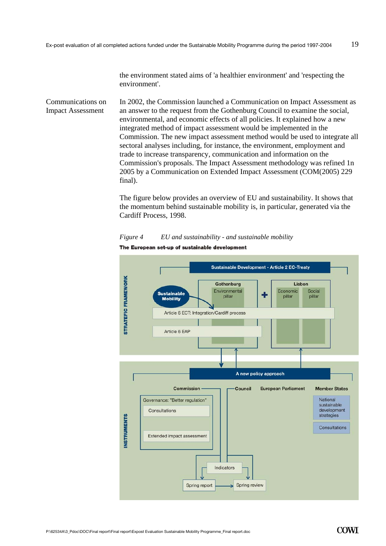the environment stated aims of 'a healthier environment' and 'respecting the environment'.

In 2002, the Commission launched a Communication on Impact Assessment as an answer to the request from the Gothenburg Council to examine the social, environmental, and economic effects of all policies. It explained how a new integrated method of impact assessment would be implemented in the Commission. The new impact assessment method would be used to integrate all sectoral analyses including, for instance, the environment, employment and trade to increase transparency, communication and information on the Commission's proposals. The Impact Assessment methodology was refined 1n 2005 by a Communication on Extended Impact Assessment (COM(2005) 229 final). Communications on Impact Assessment

> The figure below provides an overview of EU and sustainability. It shows that the momentum behind sustainable mobility is, in particular, generated via the Cardiff Process, 1998.



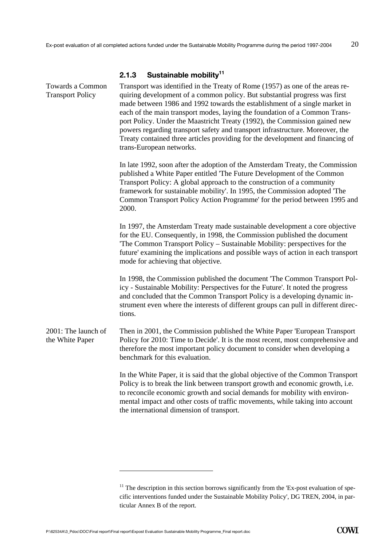#### **2.1.3 Sustainable mobility11**

Transport was identified in the Treaty of Rome (1957) as one of the areas requiring development of a common policy. But substantial progress was first made between 1986 and 1992 towards the establishment of a single market in each of the main transport modes, laying the foundation of a Common Transport Policy. Under the Maastricht Treaty (1992), the Commission gained new powers regarding transport safety and transport infrastructure. Moreover, the Treaty contained three articles providing for the development and financing of trans-European networks. In late 1992, soon after the adoption of the Amsterdam Treaty, the Commission published a White Paper entitled 'The Future Development of the Common Transport Policy: A global approach to the construction of a community framework for sustainable mobility'. In 1995, the Commission adopted 'The Common Transport Policy Action Programme' for the period between 1995 and 2000. In 1997, the Amsterdam Treaty made sustainable development a core objective for the EU. Consequently, in 1998, the Commission published the document 'The Common Transport Policy – Sustainable Mobility: perspectives for the future' examining the implications and possible ways of action in each transport mode for achieving that objective. In 1998, the Commission published the document 'The Common Transport Policy - Sustainable Mobility: Perspectives for the Future'. It noted the progress and concluded that the Common Transport Policy is a developing dynamic instrument even where the interests of different groups can pull in different directions. Then in 2001, the Commission published the White Paper 'European Transport Policy for 2010: Time to Decide'. It is the most recent, most comprehensive and therefore the most important policy document to consider when developing a benchmark for this evaluation. In the White Paper, it is said that the global objective of the Common Transport Policy is to break the link between transport growth and economic growth, i.e. to reconcile economic growth and social demands for mobility with environmental impact and other costs of traffic movements, while taking into account the international dimension of transport. Towards a Common Transport Policy 2001: The launch of the White Paper

 $\overline{a}$ 

 $11$  The description in this section borrows significantly from the 'Ex-post evaluation of specific interventions funded under the Sustainable Mobility Policy', DG TREN, 2004, in particular Annex B of the report.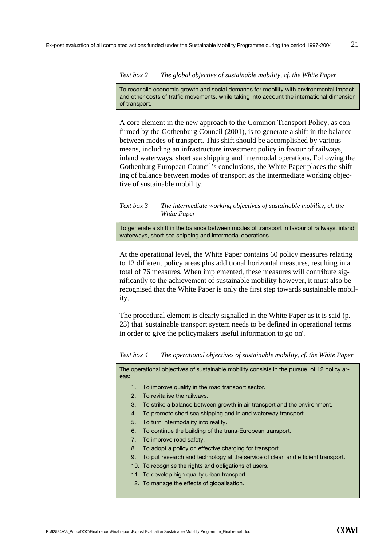#### *Text box 2 The global objective of sustainable mobility, cf. the White Paper*

To reconcile economic growth and social demands for mobility with environmental impact and other costs of traffic movements, while taking into account the international dimension of transport.

A core element in the new approach to the Common Transport Policy, as confirmed by the Gothenburg Council (2001), is to generate a shift in the balance between modes of transport. This shift should be accomplished by various means, including an infrastructure investment policy in favour of railways, inland waterways, short sea shipping and intermodal operations. Following the Gothenburg European Council's conclusions, the White Paper places the shifting of balance between modes of transport as the intermediate working objective of sustainable mobility.

#### *Text box 3 The intermediate working objectives of sustainable mobility, cf. the White Paper*

To generate a shift in the balance between modes of transport in favour of railways, inland waterways, short sea shipping and intermodal operations.

At the operational level, the White Paper contains 60 policy measures relating to 12 different policy areas plus additional horizontal measures, resulting in a total of 76 measures. When implemented, these measures will contribute significantly to the achievement of sustainable mobility however, it must also be recognised that the White Paper is only the first step towards sustainable mobility.

The procedural element is clearly signalled in the White Paper as it is said (p. 23) that 'sustainable transport system needs to be defined in operational terms in order to give the policymakers useful information to go on'.

*Text box 4 The operational objectives of sustainable mobility, cf. the White Paper* 

The operational objectives of sustainable mobility consists in the pursue of 12 policy areas:

- 1. To improve quality in the road transport sector.
- 2. To revitalise the railways.
- 3. To strike a balance between growth in air transport and the environment.
- 4. To promote short sea shipping and inland waterway transport.
- 5. To turn intermodality into reality.
- 6. To continue the building of the trans-European transport.
- 7. To improve road safety.
- 8. To adopt a policy on effective charging for transport.
- 9. To put research and technology at the service of clean and efficient transport.
- 10. To recognise the rights and obligations of users.
- 11. To develop high quality urban transport.
- 12. To manage the effects of globalisation.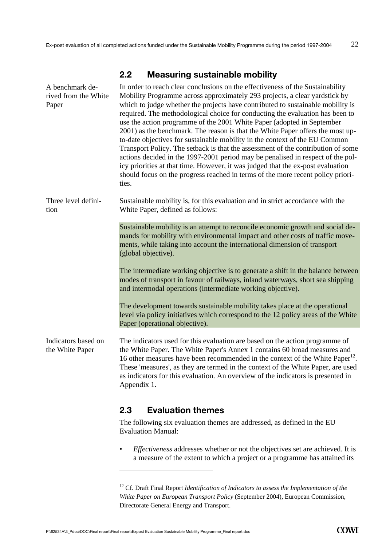## **2.2 Measuring sustainable mobility**

| In order to reach clear conclusions on the effectiveness of the Sustainability<br>Mobility Programme across approximately 293 projects, a clear yardstick by<br>which to judge whether the projects have contributed to sustainable mobility is<br>required. The methodological choice for conducting the evaluation has been to<br>use the action programme of the 2001 White Paper (adopted in September<br>2001) as the benchmark. The reason is that the White Paper offers the most up-<br>to-date objectives for sustainable mobility in the context of the EU Common<br>Transport Policy. The setback is that the assessment of the contribution of some<br>actions decided in the 1997-2001 period may be penalised in respect of the pol-<br>icy priorities at that time. However, it was judged that the ex-post evaluation<br>should focus on the progress reached in terms of the more recent policy priori-<br>ties. |
|-----------------------------------------------------------------------------------------------------------------------------------------------------------------------------------------------------------------------------------------------------------------------------------------------------------------------------------------------------------------------------------------------------------------------------------------------------------------------------------------------------------------------------------------------------------------------------------------------------------------------------------------------------------------------------------------------------------------------------------------------------------------------------------------------------------------------------------------------------------------------------------------------------------------------------------|
| Sustainable mobility is, for this evaluation and in strict accordance with the<br>White Paper, defined as follows:                                                                                                                                                                                                                                                                                                                                                                                                                                                                                                                                                                                                                                                                                                                                                                                                                |
| Sustainable mobility is an attempt to reconcile economic growth and social de-<br>mands for mobility with environmental impact and other costs of traffic move-<br>ments, while taking into account the international dimension of transport<br>(global objective).                                                                                                                                                                                                                                                                                                                                                                                                                                                                                                                                                                                                                                                               |
| The intermediate working objective is to generate a shift in the balance between<br>modes of transport in favour of railways, inland waterways, short sea shipping<br>and intermodal operations (intermediate working objective).                                                                                                                                                                                                                                                                                                                                                                                                                                                                                                                                                                                                                                                                                                 |
| The development towards sustainable mobility takes place at the operational<br>level via policy initiatives which correspond to the 12 policy areas of the White<br>Paper (operational objective).                                                                                                                                                                                                                                                                                                                                                                                                                                                                                                                                                                                                                                                                                                                                |
| The indicators used for this evaluation are based on the action programme of<br>the White Paper. The White Paper's Annex 1 contains 60 broad measures and<br>16 other measures have been recommended in the context of the White Paper <sup>12</sup> .<br>These 'measures', as they are termed in the context of the White Paper, are used<br>as indicators for this evaluation. An overview of the indicators is presented in<br>Appendix 1.                                                                                                                                                                                                                                                                                                                                                                                                                                                                                     |
|                                                                                                                                                                                                                                                                                                                                                                                                                                                                                                                                                                                                                                                                                                                                                                                                                                                                                                                                   |

# **2.3 Evaluation themes**

The following six evaluation themes are addressed, as defined in the EU Evaluation Manual:

• *Effectiveness* addresses whether or not the objectives set are achieved. It is a measure of the extent to which a project or a programme has attained its

 $\overline{a}$ 

<sup>&</sup>lt;sup>12</sup> Cf. Draft Final Report *Identification of Indicators to assess the Implementation of the White Paper on European Transport Policy* (September 2004), European Commission, Directorate General Energy and Transport.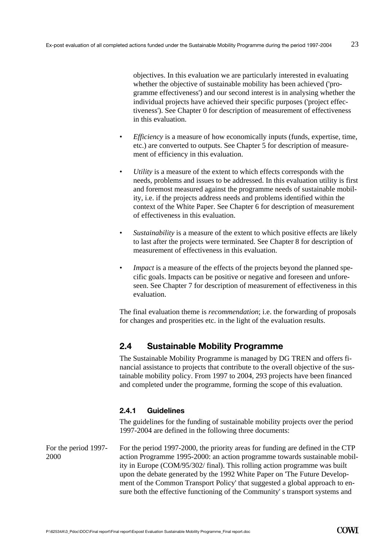objectives. In this evaluation we are particularly interested in evaluating whether the objective of sustainable mobility has been achieved ('programme effectiveness') and our second interest is in analysing whether the individual projects have achieved their specific purposes ('project effectiveness'). See Chapter 0 for description of measurement of effectiveness in this evaluation.

- *Efficiency* is a measure of how economically inputs (funds, expertise, time, etc.) are converted to outputs. See Chapter 5 for description of measurement of efficiency in this evaluation.
- *Utility* is a measure of the extent to which effects corresponds with the needs, problems and issues to be addressed. In this evaluation utility is first and foremost measured against the programme needs of sustainable mobility, i.e. if the projects address needs and problems identified within the context of the White Paper. See Chapter 6 for description of measurement of effectiveness in this evaluation.
- *Sustainability* is a measure of the extent to which positive effects are likely to last after the projects were terminated. See Chapter 8 for description of measurement of effectiveness in this evaluation.
- *Impact* is a measure of the effects of the projects beyond the planned specific goals. Impacts can be positive or negative and foreseen and unforeseen. See Chapter 7 for description of measurement of effectiveness in this evaluation.

The final evaluation theme is *recommendation*; i.e. the forwarding of proposals for changes and prosperities etc. in the light of the evaluation results.

# **2.4 Sustainable Mobility Programme**

The Sustainable Mobility Programme is managed by DG TREN and offers financial assistance to projects that contribute to the overall objective of the sustainable mobility policy. From 1997 to 2004, 293 projects have been financed and completed under the programme, forming the scope of this evaluation.

#### **2.4.1 Guidelines**

The guidelines for the funding of sustainable mobility projects over the period 1997-2004 are defined in the following three documents:

For the period 1997-2000, the priority areas for funding are defined in the CTP action Programme 1995-2000: an action programme towards sustainable mobility in Europe (COM/95/302/ final). This rolling action programme was built upon the debate generated by the 1992 White Paper on 'The Future Development of the Common Transport Policy' that suggested a global approach to ensure both the effective functioning of the Community' s transport systems and For the period 1997- 2000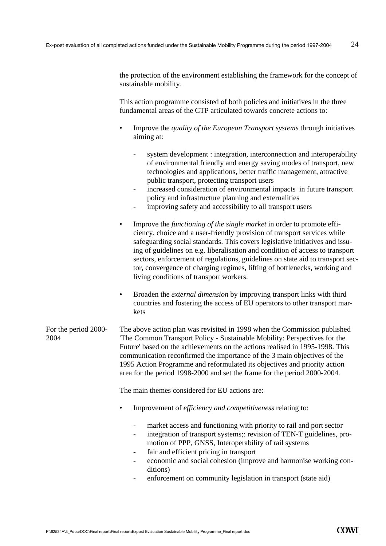the protection of the environment establishing the framework for the concept of sustainable mobility.

This action programme consisted of both policies and initiatives in the three fundamental areas of the CTP articulated towards concrete actions to:

- Improve the *quality of the European Transport systems* through initiatives aiming at:
	- system development : integration, interconnection and interoperability of environmental friendly and energy saving modes of transport, new technologies and applications, better traffic management, attractive public transport, protecting transport users
	- increased consideration of environmental impacts in future transport policy and infrastructure planning and externalities
	- improving safety and accessibility to all transport users
- Improve the *functioning of the single market* in order to promote efficiency, choice and a user-friendly provision of transport services while safeguarding social standards. This covers legislative initiatives and issuing of guidelines on e.g. liberalisation and condition of access to transport sectors, enforcement of regulations, guidelines on state aid to transport sector, convergence of charging regimes, lifting of bottlenecks, working and living conditions of transport workers.
- Broaden the *external dimension* by improving transport links with third countries and fostering the access of EU operators to other transport markets

#### The above action plan was revisited in 1998 when the Commission published 'The Common Transport Policy - Sustainable Mobility: Perspectives for the Future' based on the achievements on the actions realised in 1995-1998. This communication reconfirmed the importance of the 3 main objectives of the 1995 Action Programme and reformulated its objectives and priority action area for the period 1998-2000 and set the frame for the period 2000-2004. For the period 2000- 2004

The main themes considered for EU actions are:

- Improvement of *efficiency and competitiveness* relating to:
	- market access and functioning with priority to rail and port sector
	- integration of transport systems;: revision of TEN-T guidelines, promotion of PPP, GNSS, Interoperability of rail systems
	- fair and efficient pricing in transport
	- economic and social cohesion (improve and harmonise working conditions)
	- enforcement on community legislation in transport (state aid)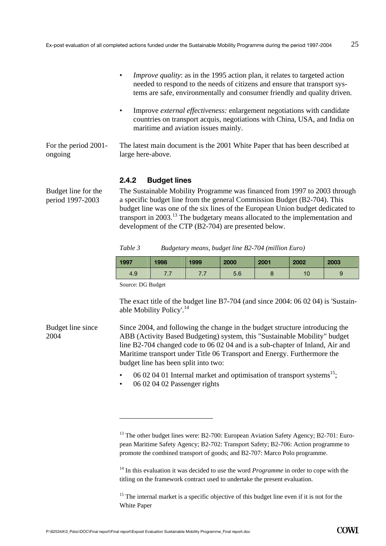|                                 | <i>Improve quality:</i> as in the 1995 action plan, it relates to targeted action<br>needed to respond to the needs of citizens and ensure that transport sys-<br>tems are safe, environmentally and consumer friendly and quality driven. |
|---------------------------------|--------------------------------------------------------------------------------------------------------------------------------------------------------------------------------------------------------------------------------------------|
|                                 | Improve <i>external effectiveness:</i> enlargement negotiations with candidate<br>٠<br>countries on transport acquis, negotiations with China, USA, and India on<br>maritime and aviation issues mainly.                                   |
| For the period 2001-<br>ongoing | The latest main document is the 2001 White Paper that has been described at<br>large here-above.                                                                                                                                           |
|                                 | <b>Rudget lines</b><br>2 A 2                                                                                                                                                                                                               |

#### **2.4.2 Budget lines**

Budget line for the period 1997-2003

2004

The Sustainable Mobility Programme was financed from 1997 to 2003 through a specific budget line from the general Commission Budget (B2-704). This budget line was one of the six lines of the European Union budget dedicated to transport in 2003.13 The budgetary means allocated to the implementation and development of the CTP (B2-704) are presented below.

| Table 3 | Budgetary means, budget line B2-704 (million Euro) |  |  |
|---------|----------------------------------------------------|--|--|
|         |                                                    |  |  |

| 1997 | 1998     | 1999 | 2000 | 2001 | 2002 | 2003 |
|------|----------|------|------|------|------|------|
| 4.9  | $\cdots$ | .    | 5.6  |      |      |      |

Source: DG Budget

l

The exact title of the budget line B7-704 (and since 2004: 06 02 04) is 'Sustainable Mobility Policy'.<sup>14</sup>

Since 2004, and following the change in the budget structure introducing the ABB (Activity Based Budgeting) system, this "Sustainable Mobility" budget line B2-704 changed code to 06 02 04 and is a sub-chapter of Inland, Air and Maritime transport under Title 06 Transport and Energy. Furthermore the budget line has been split into two: Budget line since

- 06 02 04 01 Internal market and optimisation of transport systems<sup>15</sup>;
- 06 02 04 02 Passenger rights

<sup>14</sup> In this evaluation it was decided to use the word *Programme* in order to cope with the titling on the framework contract used to undertake the present evaluation.

 $15$  The internal market is a specific objective of this budget line even if it is not for the White Paper

<sup>&</sup>lt;sup>13</sup> The other budget lines were: B2-700: European Aviation Safety Agency; B2-701: European Maritime Safety Agency; B2-702: Transport Safety; B2-706: Action programme to promote the combined transport of goods; and B2-707: Marco Polo programme.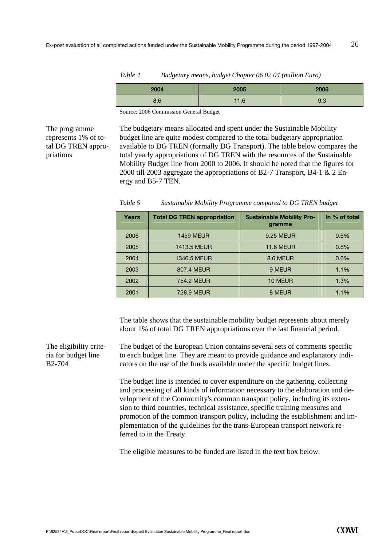| Table 4<br>Budgetary means, budget Chapter 06 02 04 (million Euro) |      |      |      |
|--------------------------------------------------------------------|------|------|------|
|                                                                    | 2004 | 2005 | 2006 |
|                                                                    | 8.6  | 11.6 | 9.3  |

Source: 2006 Commission General Budget

The programme represents 1% of total DG TREN appropriations

The budgetary means allocated and spent under the Sustainable Mobility budget line are quite modest compared to the total budgetary appropriation available to DG TREN (formally DG Transport). The table below compares the total yearly appropriations of DG TREN with the resources of the Sustainable Mobility Budget line from 2000 to 2006. It should be noted that the figures for 2000 till 2003 aggregate the appropriations of B2-7 Transport, B4-1 & 2 Energy and B5-7 TEN.

| Years | <b>Total DG TREN appropriation</b> | <b>Sustainable Mobility Pro-</b><br>gramme | In % of total |
|-------|------------------------------------|--------------------------------------------|---------------|
| 2006  | <b>1459 MEUR</b>                   | 9.25 MEUR                                  | 0.6%          |
| 2005  | <b>1413.5 MEUR</b>                 | <b>11.6 MEUR</b>                           | 0.8%          |
| 2004  | 1346.5 MEUR                        | 8.6 MEUR                                   | 0.6%          |
| 2003  | 807.4 MEUR                         | 9 MEUR                                     | 1.1%          |
| 2002  | 754.2 MEUR                         | 10 MEUR                                    | 1.3%          |
| 2001  | 728.9 MEUR                         | 8 MEUR                                     | 1.1%          |

*Table 5 Sustainable Mobility Programme compared to DG TREN budget* 

The table shows that the sustainable mobility budget represents about merely about 1% of total DG TREN appropriations over the last financial period.

The budget of the European Union contains several sets of comments specific to each budget line. They are meant to provide guidance and explanatory indicators on the use of the funds available under the specific budget lines. The eligibility criteria for budget line B2-704

> The budget line is intended to cover expenditure on the gathering, collecting and processing of all kinds of information necessary to the elaboration and development of the Community's common transport policy, including its extension to third countries, technical assistance, specific training measures and promotion of the common transport policy, including the establishment and implementation of the guidelines for the trans-European transport network referred to in the Treaty.

The eligible measures to be funded are listed in the text box below.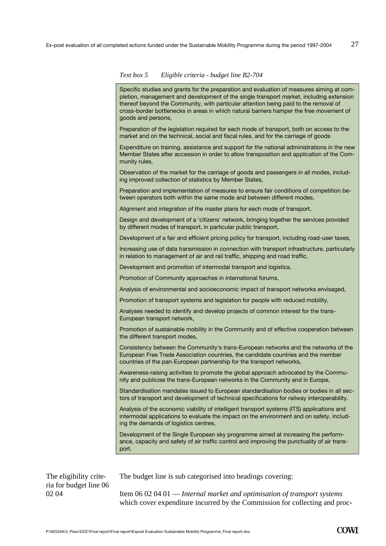#### *Text box 5 Eligible criteria - budget line B2-704*

Specific studies and grants for the preparation and evaluation of measures aiming at completion, management and development of the single transport market, including extension thereof beyond the Community, with particular attention being paid to the removal of cross-border bottlenecks in areas in which natural barriers hamper the free movement of goods and persons,

Preparation of the legislation required for each mode of transport, both on access to the market and on the technical, social and fiscal rules, and for the carriage of goods

Expenditure on training, assistance and support for the national administrations in the new Member States after accession in order to allow transposition and application of the Community rules,

Observation of the market for the carriage of goods and passengers in all modes, including improved collection of statistics by Member States,

Preparation and implementation of measures to ensure fair conditions of competition between operators both within the same mode and between different modes,

Alignment and integration of the master plans for each mode of transport,

Design and development of a 'citizens' network, bringing together the services provided by different modes of transport, in particular public transport,

Development of a fair and efficient pricing policy for transport, including road-user taxes,

Increasing use of data transmission in connection with transport infrastructure, particularly in relation to management of air and rail traffic, shipping and road traffic,

Development and promotion of intermodal transport and logistics,

Promotion of Community approaches in international forums,

Analysis of environmental and socioeconomic impact of transport networks envisaged,

Promotion of transport systems and legislation for people with reduced mobility,

Analyses needed to identify and develop projects of common interest for the trans-European transport network,

Promotion of sustainable mobility in the Community and of effective cooperation between the different transport modes,

Consistency between the Community's trans-European networks and the networks of the European Free Trade Association countries, the candidate countries and the member countries of the pan-European partnership for the transport networks,

Awareness-raising activities to promote the global approach advocated by the Community and publicise the trans-European networks in the Community and in Europe,

Standardisation mandates issued to European standardisation bodies or bodies in all sectors of transport and development of technical specifications for railway interoperability.

Analysis of the economic viability of intelligent transport systems (ITS) applications and intermodal applications to evaluate the impact on the environment and on safety, including the demands of logistics centres,

Development of the Single European sky programme aimed at increasing the performance, capacity and safety of air traffic control and improving the punctuality of air transport.

The budget line is sub categorised into headings covering:

Item 06 02 04 01 — *Internal market and optimisation of transport systems* which cover expenditure incurred by the Commission for collecting and proc-

The eligibility criteria for budget line 06 02 04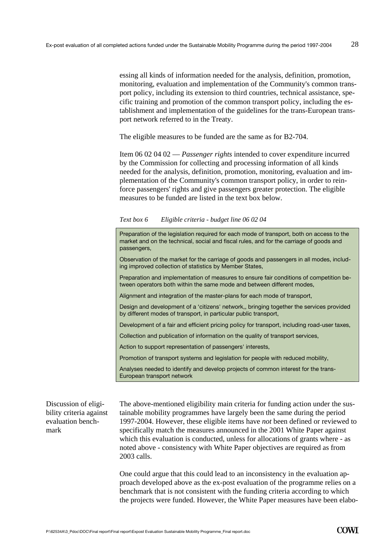essing all kinds of information needed for the analysis, definition, promotion, monitoring, evaluation and implementation of the Community's common transport policy, including its extension to third countries, technical assistance, specific training and promotion of the common transport policy, including the establishment and implementation of the guidelines for the trans-European transport network referred to in the Treaty.

The eligible measures to be funded are the same as for B2-704.

Item 06 02 04 02 — *Passenger rights* intended to cover expenditure incurred by the Commission for collecting and processing information of all kinds needed for the analysis, definition, promotion, monitoring, evaluation and implementation of the Community's common transport policy, in order to reinforce passengers' rights and give passengers greater protection. The eligible measures to be funded are listed in the text box below.

*Text box 6 Eligible criteria - budget line 06 02 04* 

Preparation of the legislation required for each mode of transport, both on access to the market and on the technical, social and fiscal rules, and for the carriage of goods and passengers,

Observation of the market for the carriage of goods and passengers in all modes, including improved collection of statistics by Member States,

Preparation and implementation of measures to ensure fair conditions of competition between operators both within the same mode and between different modes,

Alignment and integration of the master-plans for each mode of transport,

Design and development of a 'citizens' network,, bringing together the services provided by different modes of transport, in particular public transport,

Development of a fair and efficient pricing policy for transport, including road-user taxes,

Collection and publication of information on the quality of transport services,

Action to support representation of passengers' interests,

Promotion of transport systems and legislation for people with reduced mobility,

Analyses needed to identify and develop projects of common interest for the trans-European transport network

The above-mentioned eligibility main criteria for funding action under the sustainable mobility programmes have largely been the same during the period 1997-2004. However, these eligible items have *not* been defined or reviewed to specifically match the measures announced in the 2001 White Paper against which this evaluation is conducted, unless for allocations of grants where - as noted above - consistency with White Paper objectives are required as from 2003 calls. Discussion of eligibility criteria against evaluation benchmark

> One could argue that this could lead to an inconsistency in the evaluation approach developed above as the ex-post evaluation of the programme relies on a benchmark that is not consistent with the funding criteria according to which the projects were funded. However, the White Paper measures have been elabo-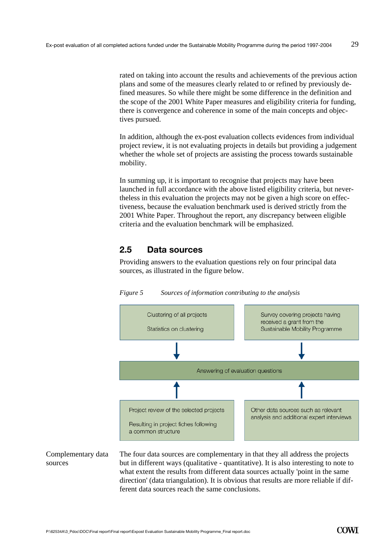rated on taking into account the results and achievements of the previous action plans and some of the measures clearly related to or refined by previously defined measures. So while there might be some difference in the definition and the scope of the 2001 White Paper measures and eligibility criteria for funding, there is convergence and coherence in some of the main concepts and objectives pursued.

In addition, although the ex-post evaluation collects evidences from individual project review, it is not evaluating projects in details but providing a judgement whether the whole set of projects are assisting the process towards sustainable mobility.

In summing up, it is important to recognise that projects may have been launched in full accordance with the above listed eligibility criteria, but nevertheless in this evaluation the projects may not be given a high score on effectiveness, because the evaluation benchmark used is derived strictly from the 2001 White Paper. Throughout the report, any discrepancy between eligible criteria and the evaluation benchmark will be emphasized.

# **2.5 Data sources**

Providing answers to the evaluation questions rely on four principal data sources, as illustrated in the figure below.



*Figure 5 Sources of information contributing to the analysis* 

Complementary data sources

The four data sources are complementary in that they all address the projects but in different ways (qualitative - quantitative). It is also interesting to note to what extent the results from different data sources actually 'point in the same direction' (data triangulation). It is obvious that results are more reliable if different data sources reach the same conclusions.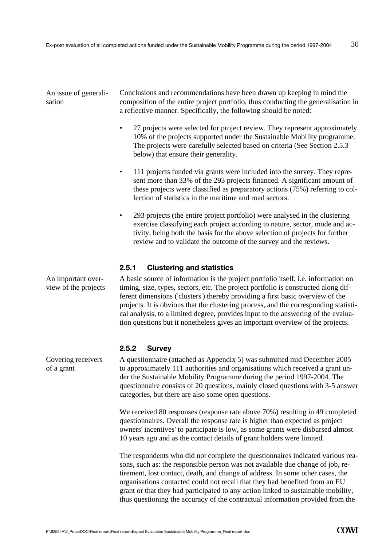## An issue of generalisation

Conclusions and recommendations have been drawn up keeping in mind the composition of the entire project portfolio, thus conducting the generalisation in a reflective manner. Specifically, the following should be noted:

- 27 projects were selected for project review. They represent approximately 10% of the projects supported under the Sustainable Mobility programme. The projects were carefully selected based on criteria (See Section 2.5.3 below) that ensure their generality.
- 111 projects funded via grants were included into the survey. They represent more than 33% of the 293 projects financed. A significant amount of these projects were classified as preparatory actions (75%) referring to collection of statistics in the maritime and road sectors.
- 293 projects (the entire project portfolio) were analysed in the clustering exercise classifying each project according to nature, sector, mode and activity, being both the basis for the above selection of projects for further review and to validate the outcome of the survey and the reviews.

#### **2.5.1 Clustering and statistics**

A basic source of information is the project portfolio itself, i.e. information on timing, size, types, sectors, etc. The project portfolio is constructed along different dimensions ('clusters') thereby providing a first basic overview of the projects. It is obvious that the clustering process, and the corresponding statistical analysis, to a limited degree, provides input to the answering of the evaluation questions but it nonetheless gives an important overview of the projects.

#### **2.5.2 Survey**

A questionnaire (attached as Appendix 5) was submitted mid December 2005 to approximately 111 authorities and organisations which received a grant under the Sustainable Mobility Programme during the period 1997-2004. The questionnaire consists of 20 questions, mainly closed questions with 3-5 answer categories, but there are also some open questions.

We received 80 responses (response rate above 70%) resulting in 49 completed questionnaires. Overall the response rate is higher than expected as project owners' incentives' to participate is low, as some grants were disbursed almost 10 years ago and as the contact details of grant holders were limited.

The respondents who did not complete the questionnaires indicated various reasons, such as: the responsible person was not available due change of job, retirement, lost contact, death, and change of address. In some other cases, the organisations contacted could not recall that they had benefited from an EU grant or that they had participated to any action linked to sustainable mobility, thus questioning the accuracy of the contractual information provided from the

An important overview of the projects

Covering receivers of a grant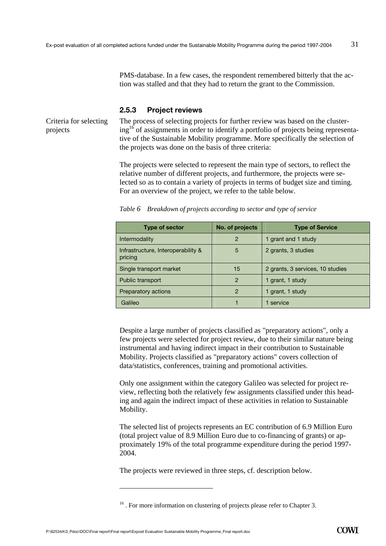PMS-database. In a few cases, the respondent remembered bitterly that the action was stalled and that they had to return the grant to the Commission.

#### **2.5.3 Project reviews**

Criteria for selecting projects

The process of selecting projects for further review was based on the clustering<sup>16</sup> of assignments in order to identify a portfolio of projects being representative of the Sustainable Mobility programme. More specifically the selection of the projects was done on the basis of three criteria:

The projects were selected to represent the main type of sectors, to reflect the relative number of different projects, and furthermore, the projects were selected so as to contain a variety of projects in terms of budget size and timing. For an overview of the project, we refer to the table below.

| <b>Type of sector</b>                         | No. of projects | <b>Type of Service</b>           |
|-----------------------------------------------|-----------------|----------------------------------|
| Intermodality                                 | 2               | 1 grant and 1 study              |
| Infrastructure, Interoperability &<br>pricing | 5               | 2 grants, 3 studies              |
| Single transport market                       | 15              | 2 grants, 3 services, 10 studies |
| Public transport                              | 2               | 1 grant, 1 study                 |
| Preparatory actions                           | 2               | 1 grant, 1 study                 |
| Galileo                                       |                 | service                          |

*Table 6 Breakdown of projects according to sector and type of service* 

Despite a large number of projects classified as "preparatory actions", only a few projects were selected for project review, due to their similar nature being instrumental and having indirect impact in their contribution to Sustainable Mobility. Projects classified as "preparatory actions" covers collection of data/statistics, conferences, training and promotional activities.

Only one assignment within the category Galileo was selected for project review, reflecting both the relatively few assignments classified under this heading and again the indirect impact of these activities in relation to Sustainable Mobility.

The selected list of projects represents an EC contribution of 6.9 Million Euro (total project value of 8.9 Million Euro due to co-financing of grants) or approximately 19% of the total programme expenditure during the period 1997- 2004.

The projects were reviewed in three steps, cf. description below.

 $\overline{a}$ 

<sup>&</sup>lt;sup>16</sup>. For more information on clustering of projects please refer to Chapter 3.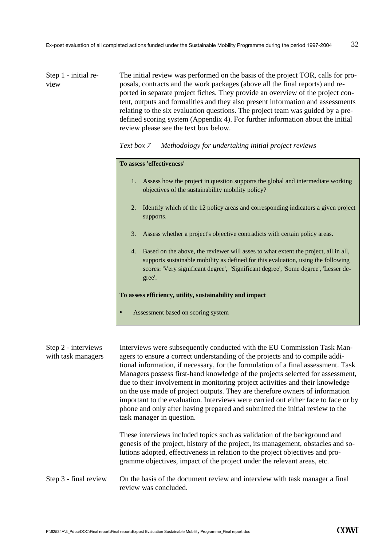The initial review was performed on the basis of the project TOR, calls for proposals, contracts and the work packages (above all the final reports) and reported in separate project fiches. They provide an overview of the project content, outputs and formalities and they also present information and assessments relating to the six evaluation questions. The project team was guided by a predefined scoring system (Appendix 4). For further information about the initial review please see the text box below. Step 1 - initial review

*Text box 7 Methodology for undertaking initial project reviews* 

# **To assess 'effectiveness'**

- 1. Assess how the project in question supports the global and intermediate working objectives of the sustainability mobility policy?
- 2. Identify which of the 12 policy areas and corresponding indicators a given project supports.
- 3. Assess whether a project's objective contradicts with certain policy areas.
- 4. Based on the above, the reviewer will asses to what extent the project, all in all, supports sustainable mobility as defined for this evaluation, using the following scores: 'Very significant degree', 'Significant degree', 'Some degree', 'Lesser degree'.

#### **To assess efficiency, utility, sustainability and impact**

Assessment based on scoring system

| Step 2 - interviews<br>with task managers | Interviews were subsequently conducted with the EU Commission Task Man-<br>agers to ensure a correct understanding of the projects and to compile addi-<br>tional information, if necessary, for the formulation of a final assessment. Task<br>Managers possess first-hand knowledge of the projects selected for assessment,<br>due to their involvement in monitoring project activities and their knowledge<br>on the use made of project outputs. They are therefore owners of information<br>important to the evaluation. Interviews were carried out either face to face or by<br>phone and only after having prepared and submitted the initial review to the<br>task manager in question. |
|-------------------------------------------|----------------------------------------------------------------------------------------------------------------------------------------------------------------------------------------------------------------------------------------------------------------------------------------------------------------------------------------------------------------------------------------------------------------------------------------------------------------------------------------------------------------------------------------------------------------------------------------------------------------------------------------------------------------------------------------------------|
|                                           | These interviews included topics such as validation of the background and<br>genesis of the project, history of the project, its management, obstacles and so-<br>lutions adopted, effectiveness in relation to the project objectives and pro-<br>gramme objectives, impact of the project under the relevant areas, etc.                                                                                                                                                                                                                                                                                                                                                                         |
| Step 3 - final review                     | On the basis of the document review and interview with task manager a final<br>review was concluded.                                                                                                                                                                                                                                                                                                                                                                                                                                                                                                                                                                                               |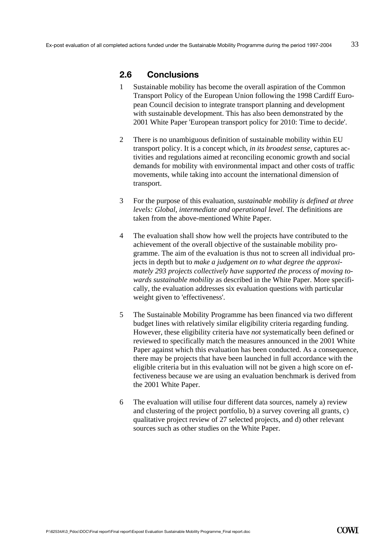#### **2.6 Conclusions**

- 1 Sustainable mobility has become the overall aspiration of the Common Transport Policy of the European Union following the 1998 Cardiff European Council decision to integrate transport planning and development with sustainable development. This has also been demonstrated by the 2001 White Paper 'European transport policy for 2010: Time to decide'.
- 2 There is no unambiguous definition of sustainable mobility within EU transport policy. It is a concept which, *in its broadest sense,* captures activities and regulations aimed at reconciling economic growth and social demands for mobility with environmental impact and other costs of traffic movements, while taking into account the international dimension of transport.
- 3 For the purpose of this evaluation, *sustainable mobility is defined at three levels: Global, intermediate and operational level.* The definitions are taken from the above-mentioned White Paper.
- 4 The evaluation shall show how well the projects have contributed to the achievement of the overall objective of the sustainable mobility programme. The aim of the evaluation is thus not to screen all individual projects in depth but to *make a judgement on to what degree the approximately 293 projects collectively have supported the process of moving towards sustainable mobility* as described in the White Paper. More specifically, the evaluation addresses six evaluation questions with particular weight given to 'effectiveness'.
- 5 The Sustainable Mobility Programme has been financed via two different budget lines with relatively similar eligibility criteria regarding funding. However, these eligibility criteria have *not* systematically been defined or reviewed to specifically match the measures announced in the 2001 White Paper against which this evaluation has been conducted. As a consequence, there may be projects that have been launched in full accordance with the eligible criteria but in this evaluation will not be given a high score on effectiveness because we are using an evaluation benchmark is derived from the 2001 White Paper.
- 6 The evaluation will utilise four different data sources, namely a) review and clustering of the project portfolio, b) a survey covering all grants, c) qualitative project review of 27 selected projects, and d) other relevant sources such as other studies on the White Paper.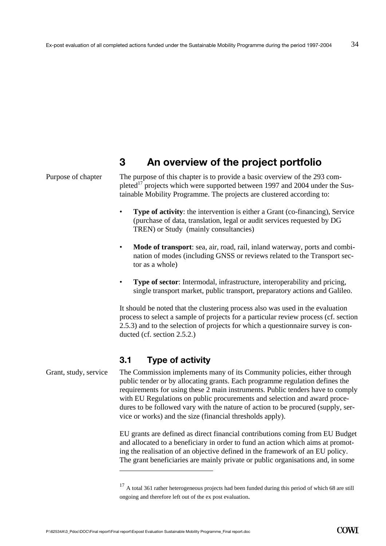# **3 An overview of the project portfolio**

# Purpose of chapter

The purpose of this chapter is to provide a basic overview of the 293 completed<sup>17</sup> projects which were supported between 1997 and 2004 under the Sustainable Mobility Programme. The projects are clustered according to:

- **Type of activity**: the intervention is either a Grant (co-financing), Service (purchase of data, translation, legal or audit services requested by DG TREN) or Study (mainly consultancies)
- **Mode of transport**: sea, air, road, rail, inland waterway, ports and combination of modes (including GNSS or reviews related to the Transport sector as a whole)
- **Type of sector**: Intermodal, infrastructure, interoperability and pricing, single transport market, public transport, preparatory actions and Galileo.

It should be noted that the clustering process also was used in the evaluation process to select a sample of projects for a particular review process (cf. section 2.5.3) and to the selection of projects for which a questionnaire survey is conducted (cf. section 2.5.2.)

## **3.1 Type of activity**

Grant, study, service The Commission implements many of its Community policies, either through public tender or by allocating grants. Each programme regulation defines the requirements for using these 2 main instruments. Public tenders have to comply with EU Regulations on public procurements and selection and award procedures to be followed vary with the nature of action to be procured (supply, service or works) and the size (financial thresholds apply).

> EU grants are defined as direct financial contributions coming from EU Budget and allocated to a beneficiary in order to fund an action which aims at promoting the realisation of an objective defined in the framework of an EU policy. The grant beneficiaries are mainly private or public organisations and, in some

 $\overline{a}$ 

 $17$  A total 361 rather heterogeneous projects had been funded during this period of which 68 are still ongoing and therefore left out of the ex post evaluation.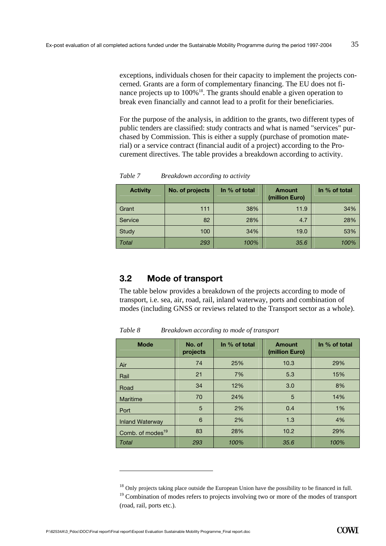exceptions, individuals chosen for their capacity to implement the projects concerned. Grants are a form of complementary financing. The EU does not finance projects up to 100%<sup>18</sup>. The grants should enable a given operation to break even financially and cannot lead to a profit for their beneficiaries.

For the purpose of the analysis, in addition to the grants, two different types of public tenders are classified: study contracts and what is named "services" purchased by Commission. This is either a supply (purchase of promotion material) or a service contract (financial audit of a project) according to the Procurement directives. The table provides a breakdown according to activity.

| <b>Activity</b> | No. of projects | In % of total | <b>Amount</b><br>(million Euro) | In % of total |
|-----------------|-----------------|---------------|---------------------------------|---------------|
| Grant           | 111             | 38%           | 11.9                            | 34%           |
| Service         | 82              | 28%           | 4.7                             | 28%           |
| Study           | 100             | 34%           | 19.0                            | 53%           |
| Total           | 293             | 100%          | 35.6                            | 100%          |

*Table 7 Breakdown according to activity* 

## **3.2 Mode of transport**

The table below provides a breakdown of the projects according to mode of transport, i.e. sea, air, road, rail, inland waterway, ports and combination of modes (including GNSS or reviews related to the Transport sector as a whole).

| <b>Mode</b>                  | No. of<br>projects | In % of total | <b>Amount</b><br>(million Euro) | In % of total |  |  |  |
|------------------------------|--------------------|---------------|---------------------------------|---------------|--|--|--|
| Air                          | 74                 | 25%           | 10.3                            | 29%           |  |  |  |
| Rail                         | 21                 | 7%            | 5.3                             | 15%           |  |  |  |
| Road                         | 34                 | 12%           | 3.0                             | 8%            |  |  |  |
| Maritime                     | 70                 | 24%           | 5                               | 14%           |  |  |  |
| Port                         | 5                  | 2%            | 0.4                             | 1%            |  |  |  |
| <b>Inland Waterway</b>       | 6                  | 2%            | 1.3                             | 4%            |  |  |  |
| Comb. of modes <sup>19</sup> | 83                 | 28%           | 10.2                            | 29%           |  |  |  |
| Total                        | 293                | 100%          | 35.6                            |               |  |  |  |

*Table 8 Breakdown according to mode of transport* 

 $\overline{a}$ 

<sup>&</sup>lt;sup>18</sup> Only projects taking place outside the European Union have the possibility to be financed in full.

 $19$  Combination of modes refers to projects involving two or more of the modes of transport (road, rail, ports etc.).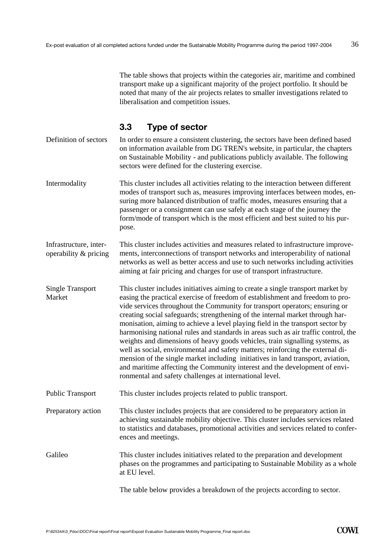The table shows that projects within the categories air, maritime and combined transport make up a significant majority of the project portfolio. It should be noted that many of the air projects relates to smaller investigations related to liberalisation and competition issues.

## **3.3 Type of sector**

In order to ensure a consistent clustering, the sectors have been defined based on information available from DG TREN's website, in particular, the chapters on Sustainable Mobility - and publications publicly available. The following sectors were defined for the clustering exercise. Definition of sectors

Intermodality This cluster includes all activities relating to the interaction between different modes of transport such as, measures improving interfaces between modes, ensuring more balanced distribution of traffic modes, measures ensuring that a passenger or a consignment can use safely at each stage of the journey the form/mode of transport which is the most efficient and best suited to his purpose.

This cluster includes activities and measures related to infrastructure improvements, interconnections of transport networks and interoperability of national networks as well as better access and use to such networks including activities aiming at fair pricing and charges for use of transport infrastructure. Infrastructure, interoperability & pricing

This cluster includes initiatives aiming to create a single transport market by easing the practical exercise of freedom of establishment and freedom to provide services throughout the Community for transport operators; ensuring or creating social safeguards; strengthening of the internal market through harmonisation, aiming to achieve a level playing field in the transport sector by harmonising national rules and standards in areas such as air traffic control, the weights and dimensions of heavy goods vehicles, train signalling systems, as well as social, environmental and safety matters; reinforcing the external dimension of the single market including initiatives in land transport, aviation, and maritime affecting the Community interest and the development of environmental and safety challenges at international level. Single Transport Market

Public Transport This cluster includes projects related to public transport.

This cluster includes projects that are considered to be preparatory action in achieving sustainable mobility objective. This cluster includes services related to statistics and databases, promotional activities and services related to conferences and meetings. Preparatory action

Galileo This cluster includes initiatives related to the preparation and development phases on the programmes and participating to Sustainable Mobility as a whole at EU level.

The table below provides a breakdown of the projects according to sector.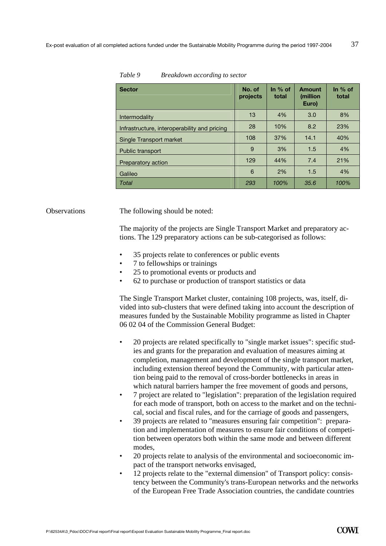| <b>Sector</b>                                | No. of<br>projects | In $%$ of<br>total | Amount<br><i>(million)</i><br>Euro) | In $%$ of<br>total |
|----------------------------------------------|--------------------|--------------------|-------------------------------------|--------------------|
| Intermodality                                | 13                 | 4%                 | 3.0                                 | 8%                 |
| Infrastructure, interoperability and pricing | 28                 | 10%                | 8.2                                 | 23%                |
| Single Transport market                      | 108                | 37%                | 14.1                                | 40%                |
| Public transport                             | 9                  | 3%                 | 1.5                                 | 4%                 |
| Preparatory action                           | 129                | 44%                | 7.4                                 | 21%                |
| Galileo                                      | 6                  | 2%                 | 1.5                                 | 4%                 |
| Total                                        | 293                | 100%               | 35.6                                | 100%               |

## *Table 9 Breakdown according to sector*

#### Observations The following should be noted:

The majority of the projects are Single Transport Market and preparatory actions. The 129 preparatory actions can be sub-categorised as follows:

- 35 projects relate to conferences or public events
- 7 to fellowships or trainings
- 25 to promotional events or products and
- 62 to purchase or production of transport statistics or data

The Single Transport Market cluster, containing 108 projects, was, itself, divided into sub-clusters that were defined taking into account the description of measures funded by the Sustainable Mobility programme as listed in Chapter 06 02 04 of the Commission General Budget:

- 20 projects are related specifically to "single market issues": specific studies and grants for the preparation and evaluation of measures aiming at completion, management and development of the single transport market, including extension thereof beyond the Community, with particular attention being paid to the removal of cross-border bottlenecks in areas in which natural barriers hamper the free movement of goods and persons,
- 7 project are related to "legislation": preparation of the legislation required for each mode of transport, both on access to the market and on the technical, social and fiscal rules, and for the carriage of goods and passengers,
- 39 projects are related to "measures ensuring fair competition": preparation and implementation of measures to ensure fair conditions of competition between operators both within the same mode and between different modes,
- 20 projects relate to analysis of the environmental and socioeconomic impact of the transport networks envisaged,
- 12 projects relate to the "external dimension" of Transport policy: consistency between the Community's trans-European networks and the networks of the European Free Trade Association countries, the candidate countries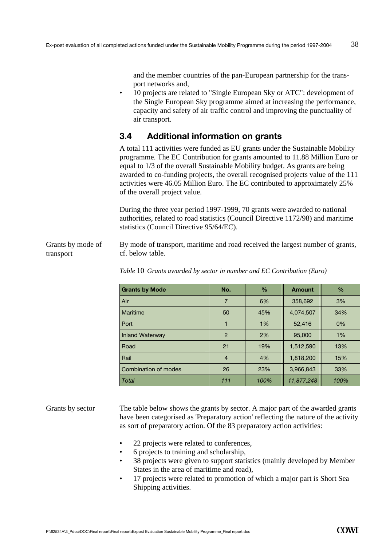and the member countries of the pan-European partnership for the transport networks and,

• 10 projects are related to "Single European Sky or ATC": development of the Single European Sky programme aimed at increasing the performance, capacity and safety of air traffic control and improving the punctuality of air transport.

# **3.4 Additional information on grants**

A total 111 activities were funded as EU grants under the Sustainable Mobility programme. The EC Contribution for grants amounted to 11.88 Million Euro or equal to 1/3 of the overall Sustainable Mobility budget. As grants are being awarded to co-funding projects, the overall recognised projects value of the 111 activities were 46.05 Million Euro. The EC contributed to approximately 25% of the overall project value.

During the three year period 1997-1999, 70 grants were awarded to national authorities, related to road statistics (Council Directive 1172/98) and maritime statistics (Council Directive 95/64/EC).

By mode of transport, maritime and road received the largest number of grants, cf. below table. Grants by mode of transport

| <b>Grants by Mode</b> | No.            | $\frac{0}{0}$ | <b>Amount</b> | $\frac{0}{0}$ |
|-----------------------|----------------|---------------|---------------|---------------|
| Air                   | 7              | 6%            | 358,692       | 3%            |
| Maritime              | 50             | 45%           | 4,074,507     | 34%           |
| Port                  | 1              | 1%            | 52,416        | 0%            |
| Inland Waterway       | $\overline{2}$ | 2%            | 95,000        | 1%            |
| Road                  | 21             | 19%           | 1,512,590     | 13%           |
| Rail                  | $\overline{4}$ | 4%            | 1,818,200     | 15%           |
| Combination of modes  | 26             | 23%           | 3,966,843     | 33%           |
| Total                 | 111            | 100%          | 11,877,248    | 100%          |

*Table* 10 *Grants awarded by sector in number and EC Contribution (Euro)* 

#### Grants by sector

The table below shows the grants by sector. A major part of the awarded grants have been categorised as 'Preparatory action' reflecting the nature of the activity as sort of preparatory action. Of the 83 preparatory action activities:

- 22 projects were related to conferences,
- 6 projects to training and scholarship,
- 38 projects were given to support statistics (mainly developed by Member States in the area of maritime and road),
- 17 projects were related to promotion of which a major part is Short Sea Shipping activities.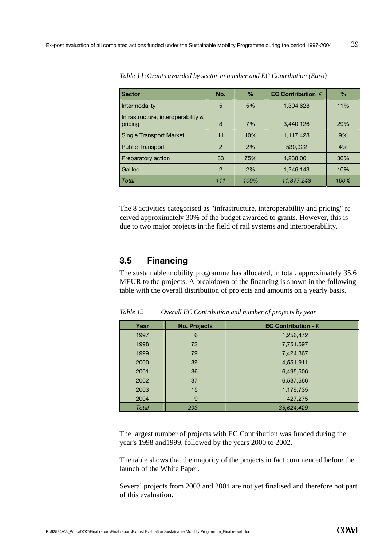| <b>Sector</b>                                 | No.           | $\frac{0}{0}$ | EC Contribution $\in$ | $\frac{0}{0}$ |
|-----------------------------------------------|---------------|---------------|-----------------------|---------------|
| Intermodality                                 | 5             | 5%            | 1,304,628             | 11%           |
| Infrastructure, interoperability &<br>pricing | 8             | 7%            | 3,440,126             | 29%           |
| <b>Single Transport Market</b>                | 11            | 10%           | 1,117,428             | 9%            |
| <b>Public Transport</b>                       | $\mathcal{P}$ | 2%            | 530,922               | 4%            |
| Preparatory action                            | 83            | 75%           | 4,238,001             | 36%           |
| Galileo                                       | $\mathcal{P}$ | 2%            | 1,246,143             | 10%           |
| Total                                         | 111           | 100%          | 11,877,248            | 100%          |

*Table 11: Grants awarded by sector in number and EC Contribution (Euro)* 

The 8 activities categorised as "infrastructure, interoperability and pricing" received approximately 30% of the budget awarded to grants. However, this is due to two major projects in the field of rail systems and interoperability.

# **3.5 Financing**

The sustainable mobility programme has allocated, in total, approximately 35.6 MEUR to the projects. A breakdown of the financing is shown in the following table with the overall distribution of projects and amounts on a yearly basis.

| Year  | <b>No. Projects</b> | EC Contribution - $\in$ |
|-------|---------------------|-------------------------|
| 1997  | 6                   | 1,256,472               |
| 1998  | 72                  | 7,751,597               |
| 1999  | 79                  | 7,424,367               |
| 2000  | 39                  | 4,551,911               |
| 2001  | 36                  | 6,495,506               |
| 2002  | 37                  | 6,537,566               |
| 2003  | 15                  | 1,179,735               |
| 2004  | 9                   | 427,275                 |
| Total | 293                 | 35,624,429              |

*Table 12 Overall EC Contribution and number of projects by year* 

The largest number of projects with EC Contribution was funded during the year's 1998 and1999, followed by the years 2000 to 2002.

The table shows that the majority of the projects in fact commenced before the launch of the White Paper.

Several projects from 2003 and 2004 are not yet finalised and therefore not part of this evaluation.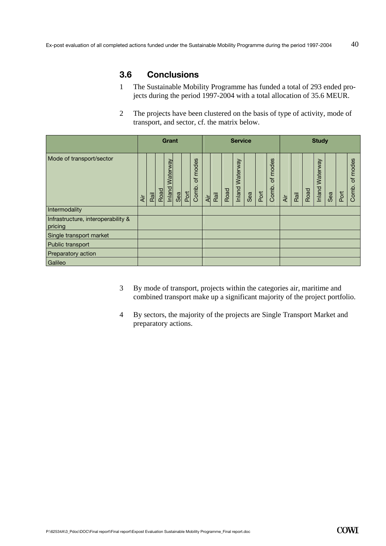# **3.6 Conclusions**

- 1 The Sustainable Mobility Programme has funded a total of 293 ended projects during the period 1997-2004 with a total allocation of 35.6 MEUR.
- 2 The projects have been clustered on the basis of type of activity, mode of transport, and sector, cf. the matrix below.

|                                               |     | Grant |      |                    |     | <b>Service</b> |                     |            |      |      |                    | <b>Study</b> |      |                     |     |      |      |                           |     |      |                     |
|-----------------------------------------------|-----|-------|------|--------------------|-----|----------------|---------------------|------------|------|------|--------------------|--------------|------|---------------------|-----|------|------|---------------------------|-----|------|---------------------|
| Mode of transport/sector                      | ΑÌΓ | Rail  | Road | Waterway<br>Inland | Sea | Port           | modes<br>৳<br>Comb. | <b>Air</b> | Rail | Road | Waterway<br>Inland | Sea          | Port | modes<br>đ<br>Comb. | Äir | Rail | Road | <b>Waterway</b><br>Inland | Sea | Port | modes<br>Ⴆ<br>Comb. |
| Intermodality                                 |     |       |      |                    |     |                |                     |            |      |      |                    |              |      |                     |     |      |      |                           |     |      |                     |
| Infrastructure, interoperability &<br>pricing |     |       |      |                    |     |                |                     |            |      |      |                    |              |      |                     |     |      |      |                           |     |      |                     |
| Single transport market                       |     |       |      |                    |     |                |                     |            |      |      |                    |              |      |                     |     |      |      |                           |     |      |                     |
| Public transport                              |     |       |      |                    |     |                |                     |            |      |      |                    |              |      |                     |     |      |      |                           |     |      |                     |
| Preparatory action                            |     |       |      |                    |     |                |                     |            |      |      |                    |              |      |                     |     |      |      |                           |     |      |                     |
| Galileo                                       |     |       |      |                    |     |                |                     |            |      |      |                    |              |      |                     |     |      |      |                           |     |      |                     |

- 3 By mode of transport, projects within the categories air, maritime and combined transport make up a significant majority of the project portfolio.
- 4 By sectors, the majority of the projects are Single Transport Market and preparatory actions.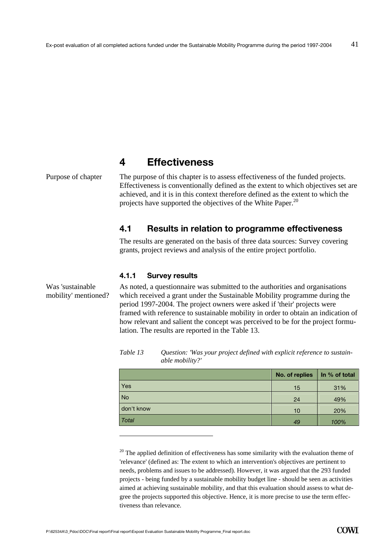# **4 Effectiveness**

Purpose of chapter

Was 'sustainable

The purpose of this chapter is to assess effectiveness of the funded projects. Effectiveness is conventionally defined as the extent to which objectives set are achieved, and it is in this context therefore defined as the extent to which the projects have supported the objectives of the White Paper.<sup>20</sup>

## **4.1 Results in relation to programme effectiveness**

The results are generated on the basis of three data sources: Survey covering grants, project reviews and analysis of the entire project portfolio.

#### **4.1.1 Survey results**

As noted, a questionnaire was submitted to the authorities and organisations which received a grant under the Sustainable Mobility programme during the period 1997-2004. The project owners were asked if 'their' projects were framed with reference to sustainable mobility in order to obtain an indication of how relevant and salient the concept was perceived to be for the project formulation. The results are reported in the Table 13. mobility' mentioned?

| Table 13 | Question: 'Was your project defined with explicit reference to sustain- |
|----------|-------------------------------------------------------------------------|
|          | able mobility?'                                                         |

|              | No. of replies | In % of total |
|--------------|----------------|---------------|
| Yes          | 15             | 31%           |
| <b>No</b>    | 24             | 49%           |
| don't know   | 10             | 20%           |
| <b>Total</b> | 49             | 100%          |

 $20$  The applied definition of effectiveness has some similarity with the evaluation theme of 'relevance' (defined as: The extent to which an intervention's objectives are pertinent to needs, problems and issues to be addressed). However, it was argued that the 293 funded projects - being funded by a sustainable mobility budget line - should be seen as activities aimed at achieving sustainable mobility, and that this evaluation should assess to what degree the projects supported this objective. Hence, it is more precise to use the term effectiveness than relevance.

 $\overline{a}$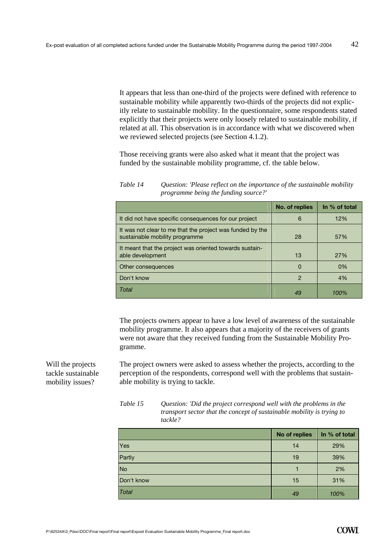It appears that less than one-third of the projects were defined with reference to sustainable mobility while apparently two-thirds of the projects did not explicitly relate to sustainable mobility. In the questionnaire, some respondents stated explicitly that their projects were only loosely related to sustainable mobility, if related at all. This observation is in accordance with what we discovered when we reviewed selected projects (see Section 4.1.2).

Those receiving grants were also asked what it meant that the project was funded by the sustainable mobility programme, cf. the table below.

*Table 14 Question: 'Please reflect on the importance of the sustainable mobility programme being the funding source?'* 

|                                                                                             | No. of replies | In % of total |
|---------------------------------------------------------------------------------------------|----------------|---------------|
| It did not have specific consequences for our project                                       | 6              | 12%           |
| It was not clear to me that the project was funded by the<br>sustainable mobility programme | 28             | 57%           |
| It meant that the project was oriented towards sustain-<br>able development                 | 13             | 27%           |
| Other consequences                                                                          | $\Omega$       | 0%            |
| Don't know                                                                                  | $\mathcal{P}$  | 4%            |
| Total                                                                                       |                |               |

The projects owners appear to have a low level of awareness of the sustainable mobility programme. It also appears that a majority of the receivers of grants were not aware that they received funding from the Sustainable Mobility Programme.

The project owners were asked to assess whether the projects, according to the perception of the respondents, correspond well with the problems that sustainable mobility is trying to tackle.

| Table 15 | Question: 'Did the project correspond well with the problems in the    |
|----------|------------------------------------------------------------------------|
|          | transport sector that the concept of sustainable mobility is trying to |
|          | tackle?                                                                |

|              | No of replies | In % of total |
|--------------|---------------|---------------|
| Yes          | 14            | 29%           |
| Partly       | 19            | 39%           |
| <b>No</b>    |               | 2%            |
| Don't know   | 15            | 31%           |
| <b>Total</b> | 49            | 100%          |

Will the projects tackle sustainable mobility issues?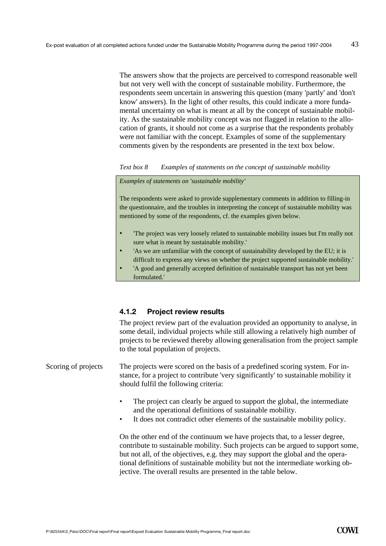The answers show that the projects are perceived to correspond reasonable well but not very well with the concept of sustainable mobility. Furthermore, the respondents seem uncertain in answering this question (many 'partly' and 'don't know' answers). In the light of other results, this could indicate a more fundamental uncertainty on what is meant at all by the concept of sustainable mobility. As the sustainable mobility concept was not flagged in relation to the allocation of grants, it should not come as a surprise that the respondents probably were not familiar with the concept. Examples of some of the supplementary comments given by the respondents are presented in the text box below.

*Text box 8 Examples of statements on the concept of sustainable mobility* 

#### *Examples of statements on 'sustainable mobility'*

The respondents were asked to provide supplementary comments in addition to filling-in the questionnaire, and the troubles in interpreting the concept of sustainable mobility was mentioned by some of the respondents, cf. the examples given below.

- 'The project was very loosely related to sustainable mobility issues but I'm really not sure what is meant by sustainable mobility.'
- 'As we are unfamiliar with the concept of sustainability developed by the EU; it is difficult to express any views on whether the project supported sustainable mobility.'
- 'A good and generally accepted definition of sustainable transport has not yet been formulated.'

#### **4.1.2 Project review results**

The project review part of the evaluation provided an opportunity to analyse, in some detail, individual projects while still allowing a relatively high number of projects to be reviewed thereby allowing generalisation from the project sample to the total population of projects.

The projects were scored on the basis of a predefined scoring system. For instance, for a project to contribute 'very significantly' to sustainable mobility it should fulfil the following criteria: Scoring of projects

- The project can clearly be argued to support the global, the intermediate and the operational definitions of sustainable mobility.
- It does not contradict other elements of the sustainable mobility policy.

On the other end of the continuum we have projects that, to a lesser degree, contribute to sustainable mobility. Such projects can be argued to support some, but not all, of the objectives, e.g. they may support the global and the operational definitions of sustainable mobility but not the intermediate working objective. The overall results are presented in the table below.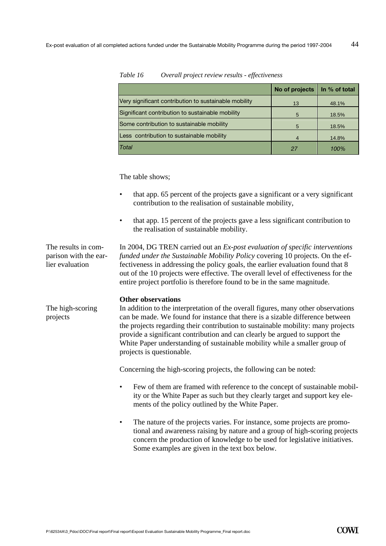|                                                       | No of projects | In % of total |
|-------------------------------------------------------|----------------|---------------|
| Very significant contribution to sustainable mobility | 13             | 48.1%         |
| Significant contribution to sustainable mobility      | 5              | 18.5%         |
| Some contribution to sustainable mobility             | 5              | 18.5%         |
| Less contribution to sustainable mobility             | 4              | 14.8%         |
| Total                                                 | 27             | 100%          |

#### *Table 16 Overall project review results - effectiveness*

The table shows;

- that app. 65 percent of the projects gave a significant or a very significant contribution to the realisation of sustainable mobility,
- that app. 15 percent of the projects gave a less significant contribution to the realisation of sustainable mobility.

In 2004, DG TREN carried out an *Ex-post evaluation of specific interventions funded under the Sustainable Mobility Policy* covering 10 projects. On the effectiveness in addressing the policy goals, the earlier evaluation found that 8 out of the 10 projects were effective. The overall level of effectiveness for the entire project portfolio is therefore found to be in the same magnitude. The results in comparison with the earlier evaluation

#### **Other observations**

The high-scoring projects

In addition to the interpretation of the overall figures, many other observations can be made. We found for instance that there is a sizable difference between the projects regarding their contribution to sustainable mobility: many projects provide a significant contribution and can clearly be argued to support the White Paper understanding of sustainable mobility while a smaller group of projects is questionable.

Concerning the high-scoring projects, the following can be noted:

- Few of them are framed with reference to the concept of sustainable mobility or the White Paper as such but they clearly target and support key elements of the policy outlined by the White Paper.
- The nature of the projects varies. For instance, some projects are promotional and awareness raising by nature and a group of high-scoring projects concern the production of knowledge to be used for legislative initiatives. Some examples are given in the text box below.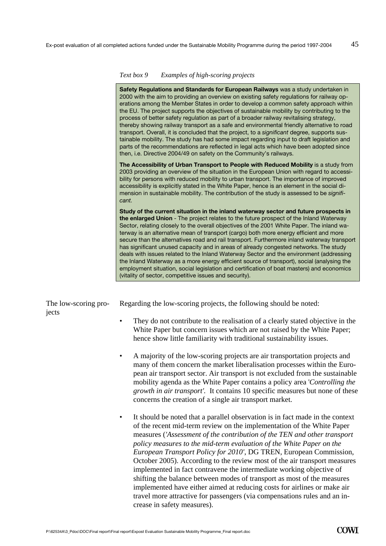|                               | Text box 9<br>Examples of high-scoring projects                                                                                                                                                                                                                                                                                                                                                                                                                                                                                                                                                                                                                                                                                                                                                                                                                                                                            |
|-------------------------------|----------------------------------------------------------------------------------------------------------------------------------------------------------------------------------------------------------------------------------------------------------------------------------------------------------------------------------------------------------------------------------------------------------------------------------------------------------------------------------------------------------------------------------------------------------------------------------------------------------------------------------------------------------------------------------------------------------------------------------------------------------------------------------------------------------------------------------------------------------------------------------------------------------------------------|
|                               | Safety Regulations and Standards for European Railways was a study undertaken in<br>2000 with the aim to providing an overview on existing safety regulations for railway op-<br>erations among the Member States in order to develop a common safety approach within<br>the EU. The project supports the objectives of sustainable mobility by contributing to the<br>process of better safety regulation as part of a broader railway revitalising strategy,<br>thereby showing railway transport as a safe and environmental friendly alternative to road<br>transport. Overall, it is concluded that the project, to a significant degree, supports sus-<br>tainable mobility. The study has had some impact regarding input to draft legislation and<br>parts of the recommendations are reflected in legal acts which have been adopted since<br>then, i.e. Directive 2004/49 on safety on the Community's railways. |
|                               | The Accessibility of Urban Transport to People with Reduced Mobility is a study from<br>2003 providing an overview of the situation in the European Union with regard to accessi-<br>bility for persons with reduced mobility to urban transport. The importance of improved<br>accessibility is explicitly stated in the White Paper, hence is an element in the social di-<br>mension in sustainable mobility. The contribution of the study is assessed to be signifi-<br>cant.                                                                                                                                                                                                                                                                                                                                                                                                                                         |
|                               | Study of the current situation in the inland waterway sector and future prospects in<br>the enlarged Union - The project relates to the future prospect of the Inland Waterway<br>Sector, relating closely to the overall objectives of the 2001 White Paper. The inland wa-<br>terway is an alternative mean of transport (cargo) both more energy efficient and more<br>secure than the alternatives road and rail transport. Furthermore inland waterway transport<br>has significant unused capacity and in areas of already congested networks. The study<br>deals with issues related to the Inland Waterway Sector and the environment (addressing<br>the Inland Waterway as a more energy efficient source of transport), social (analysing the<br>employment situation, social legislation and certification of boat masters) and economics<br>(vitality of sector, competitive issues and security).             |
| The low-scoring pro-<br>jects | Regarding the low-scoring projects, the following should be noted:                                                                                                                                                                                                                                                                                                                                                                                                                                                                                                                                                                                                                                                                                                                                                                                                                                                         |
|                               | They do not contribute to the realisation of a clearly stated objective in the<br>$\bullet$<br>White Paper but concern issues which are not raised by the White Paper;<br>hence show little familiarity with traditional sustainability issues.                                                                                                                                                                                                                                                                                                                                                                                                                                                                                                                                                                                                                                                                            |
|                               | A majority of the low-scoring projects are air transportation projects and<br>many of them concern the market liberalisation processes within the Euro-<br>pean air transport sector. Air transport is not excluded from the sustainable<br>mobility agenda as the White Paper contains a policy area 'Controlling the<br>growth in air transport'. It contains 10 specific measures but none of these<br>concerns the creation of a single air transport market.                                                                                                                                                                                                                                                                                                                                                                                                                                                          |
|                               | It should be noted that a parallel observation is in fact made in the context<br>$\bullet$<br>of the recent mid-term review on the implementation of the White Paper<br>measures ('Assessment of the contribution of the TEN and other transport<br>policy measures to the mid-term evaluation of the White Paper on the<br>European Transport Policy for 2010', DG TREN, European Commission,<br>October 2005). According to the review most of the air transport measures<br>implemented in fact contravene the intermediate working objective of<br>shifting the balance between modes of transport as most of the measures<br>implemented have either aimed at reducing costs for airlines or make air<br>travel more attractive for passengers (via compensations rules and an in-                                                                                                                                    |

crease in safety measures).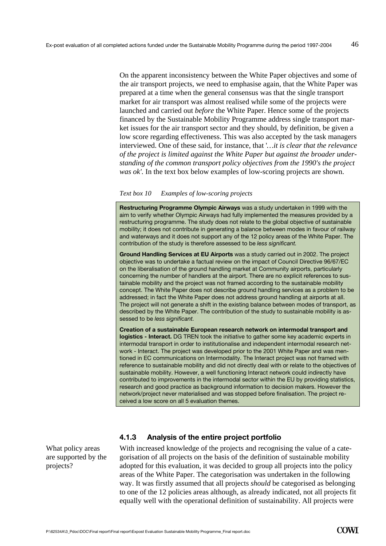On the apparent inconsistency between the White Paper objectives and some of the air transport projects, we need to emphasise again, that the White Paper was prepared at a time when the general consensus was that the single transport market for air transport was almost realised while some of the projects were launched and carried out *before* the White Paper. Hence some of the projects financed by the Sustainable Mobility Programme address single transport market issues for the air transport sector and they should, by definition, be given a low score regarding effectiveness. This was also accepted by the task managers interviewed. One of these said, for instance, that '*…it is clear that the relevance of the project is limited against the White Paper but against the broader understanding of the common transport policy objectives from the 1990's the project was ok'.* In the text box below examples of low-scoring projects are shown.

#### *Text box 10 Examples of low-scoring projects*

**Restructuring Programme Olympic Airways** was a study undertaken in 1999 with the aim to verify whether Olympic Airways had fully implemented the measures provided by a restructuring programme. The study does not relate to the global objective of sustainable mobility; it does not contribute in generating a balance between modes in favour of railway and waterways and it does not support any of the 12 policy areas of the White Paper. The contribution of the study is therefore assessed to be *less significant.*

**Ground Handling Services at EU Airports** was a study carried out in 2002. The project objective was to undertake a factual review on the impact of Council Directive 96/67/EC on the liberalisation of the ground handling market at Community airports, particularly concerning the number of handlers at the airport. There are no explicit references to sustainable mobility and the project was not framed according to the sustainable mobility concept. The White Paper does not describe ground handling services as a problem to be addressed; in fact the White Paper does not address ground handling at airports at all. The project will not generate a shift in the existing balance between modes of transport, as described by the White Paper. The contribution of the study to sustainable mobility is assessed to be *less significant.* 

**Creation of a sustainable European research network on intermodal transport and logistics - Interact.** DG TREN took the initiative to gather some key academic experts in intermodal transport in order to institutionalise and independent intermodal research network - Interact. The project was developed prior to the 2001 White Paper and was mentioned in EC communications on Intermodality. The Interact project was not framed with reference to sustainable mobility and did not directly deal with or relate to the objectives of sustainable mobility. However, a well functioning Interact network could indirectly have contributed to improvements in the intermodal sector within the EU by providing statistics, research and good practice as background information to decision makers. However the network/project never materialised and was stopped before finalisation. The project received a low score on all 5 evaluation themes.

What policy areas are supported by the projects?

## **4.1.3 Analysis of the entire project portfolio**

With increased knowledge of the projects and recognising the value of a categorisation of all projects on the basis of the definition of sustainable mobility adopted for this evaluation, it was decided to group all projects into the policy areas of the White Paper. The categorisation was undertaken in the following way. It was firstly assumed that all projects *should* be categorised as belonging to one of the 12 policies areas although, as already indicated, not all projects fit equally well with the operational definition of sustainability. All projects were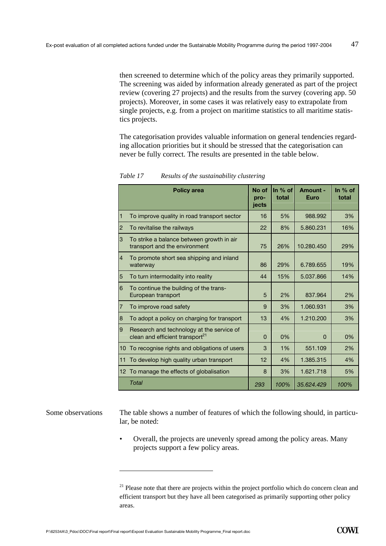then screened to determine which of the policy areas they primarily supported. The screening was aided by information already generated as part of the project review (covering 27 projects) and the results from the survey (covering app. 50 projects). Moreover, in some cases it was relatively easy to extrapolate from single projects, e.g. from a project on maritime statistics to all maritime statistics projects.

The categorisation provides valuable information on general tendencies regarding allocation priorities but it should be stressed that the categorisation can never be fully correct. The results are presented in the table below.

|                | <b>Policy area</b>                                                                       | No of<br>pro-<br>iects | In $%$ of<br>total | Amount -<br><b>Euro</b> | In $%$ of<br>total |
|----------------|------------------------------------------------------------------------------------------|------------------------|--------------------|-------------------------|--------------------|
| 11             | To improve quality in road transport sector                                              | 16                     | 5%                 | 988.992                 | 3%                 |
| $\overline{2}$ | To revitalise the railways                                                               | 22                     | 8%                 | 5.860.231               | 16%                |
| 3              | To strike a balance between growth in air<br>transport and the environment               | 75                     | 26%                | 10.280.450              | 29%                |
| $\overline{4}$ | To promote short sea shipping and inland<br>waterway                                     | 86                     | 29%                | 6.789.655               | 19%                |
| 5              | To turn intermodality into reality                                                       | 44                     | 15%                | 5.037.866               | 14%                |
| 6              | To continue the building of the trans-<br>European transport                             | 5                      | 2%                 | 837.964                 | 2%                 |
| 17             | To improve road safety                                                                   | 9                      | 3%                 | 1.060.931               | 3%                 |
| 8              | To adopt a policy on charging for transport                                              | 13                     | 4%                 | 1.210.200               | 3%                 |
| <u>g</u>       | Research and technology at the service of<br>clean and efficient transport <sup>21</sup> | $\Omega$               | 0%                 | $\Omega$                | 0%                 |
| 10             | To recognise rights and obligations of users                                             | 3                      | 1%                 | 551.109                 | 2%                 |
| 11             | To develop high quality urban transport                                                  | 12                     | 4%                 | 1.385.315               | 4%                 |
|                | 12 To manage the effects of globalisation                                                | 8                      | 3%                 | 1.621.718               | 5%                 |
|                | Total                                                                                    | 293                    | 100%               | 35.624.429              | 100%               |

*Table 17 Results of the sustainability clustering* 

The table shows a number of features of which the following should, in particular, be noted: Some observations

> • Overall, the projects are unevenly spread among the policy areas. Many projects support a few policy areas.

 $\overline{a}$ 

<sup>&</sup>lt;sup>21</sup> Please note that there are projects within the project portfolio which do concern clean and efficient transport but they have all been categorised as primarily supporting other policy areas.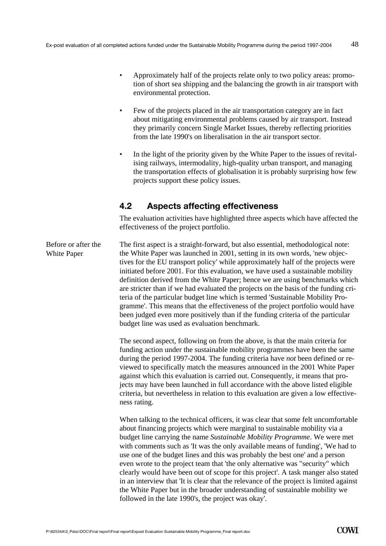- Approximately half of the projects relate only to two policy areas: promotion of short sea shipping and the balancing the growth in air transport with environmental protection.
- Few of the projects placed in the air transportation category are in fact about mitigating environmental problems caused by air transport. Instead they primarily concern Single Market Issues, thereby reflecting priorities from the late 1990's on liberalisation in the air transport sector.
- In the light of the priority given by the White Paper to the issues of revitalising railways, intermodality, high-quality urban transport, and managing the transportation effects of globalisation it is probably surprising how few projects support these policy issues.

## **4.2 Aspects affecting effectiveness**

The evaluation activities have highlighted three aspects which have affected the effectiveness of the project portfolio.

The first aspect is a straight-forward, but also essential, methodological note: the White Paper was launched in 2001, setting in its own words, 'new objectives for the EU transport policy' while approximately half of the projects were initiated before 2001. For this evaluation, we have used a sustainable mobility definition derived from the White Paper; hence we are using benchmarks which are stricter than if we had evaluated the projects on the basis of the funding criteria of the particular budget line which is termed 'Sustainable Mobility Programme'. This means that the effectiveness of the project portfolio would have been judged even more positively than if the funding criteria of the particular budget line was used as evaluation benchmark. Before or after the White Paper

> The second aspect, following on from the above, is that the main criteria for funding action under the sustainable mobility programmes have been the same during the period 1997-2004. The funding criteria have *not* been defined or reviewed to specifically match the measures announced in the 2001 White Paper against which this evaluation is carried out. Consequently, it means that projects may have been launched in full accordance with the above listed eligible criteria, but nevertheless in relation to this evaluation are given a low effectiveness rating.

When talking to the technical officers, it was clear that some felt uncomfortable about financing projects which were marginal to sustainable mobility via a budget line carrying the name *Sustainable Mobility Programme*. We were met with comments such as 'It was the only available means of funding', 'We had to use one of the budget lines and this was probably the best one' and a person even wrote to the project team that 'the only alternative was "security" which clearly would have been out of scope for this project'. A task manger also stated in an interview that 'It is clear that the relevance of the project is limited against the White Paper but in the broader understanding of sustainable mobility we followed in the late 1990's, the project was okay'.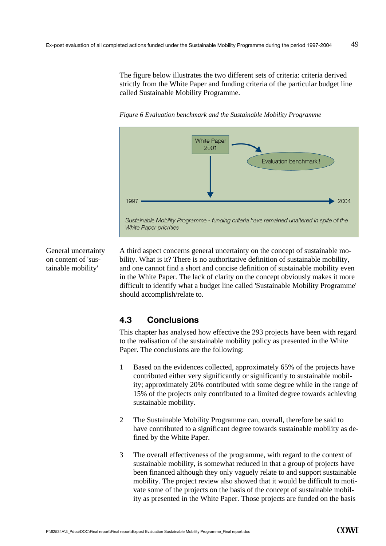The figure below illustrates the two different sets of criteria: criteria derived strictly from the White Paper and funding criteria of the particular budget line called Sustainable Mobility Programme.

*Figure 6 Evaluation benchmark and the Sustainable Mobility Programme* 



General uncertainty on content of 'sustainable mobility'

A third aspect concerns general uncertainty on the concept of sustainable mobility. What is it? There is no authoritative definition of sustainable mobility, and one cannot find a short and concise definition of sustainable mobility even in the White Paper. The lack of clarity on the concept obviously makes it more difficult to identify what a budget line called 'Sustainable Mobility Programme' should accomplish/relate to.

# **4.3 Conclusions**

This chapter has analysed how effective the 293 projects have been with regard to the realisation of the sustainable mobility policy as presented in the White Paper. The conclusions are the following:

- 1 Based on the evidences collected, approximately 65% of the projects have contributed either very significantly or significantly to sustainable mobility; approximately 20% contributed with some degree while in the range of 15% of the projects only contributed to a limited degree towards achieving sustainable mobility.
- 2 The Sustainable Mobility Programme can, overall, therefore be said to have contributed to a significant degree towards sustainable mobility as defined by the White Paper.
- 3 The overall effectiveness of the programme, with regard to the context of sustainable mobility, is somewhat reduced in that a group of projects have been financed although they only vaguely relate to and support sustainable mobility. The project review also showed that it would be difficult to motivate some of the projects on the basis of the concept of sustainable mobility as presented in the White Paper. Those projects are funded on the basis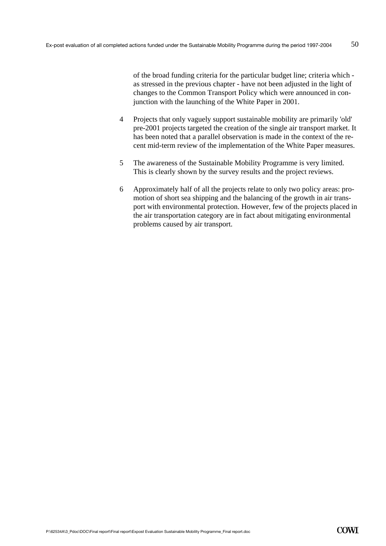of the broad funding criteria for the particular budget line; criteria which as stressed in the previous chapter - have not been adjusted in the light of changes to the Common Transport Policy which were announced in conjunction with the launching of the White Paper in 2001.

- 4 Projects that only vaguely support sustainable mobility are primarily 'old' pre-2001 projects targeted the creation of the single air transport market. It has been noted that a parallel observation is made in the context of the recent mid-term review of the implementation of the White Paper measures.
- 5 The awareness of the Sustainable Mobility Programme is very limited. This is clearly shown by the survey results and the project reviews.
- 6 Approximately half of all the projects relate to only two policy areas: promotion of short sea shipping and the balancing of the growth in air transport with environmental protection. However, few of the projects placed in the air transportation category are in fact about mitigating environmental problems caused by air transport.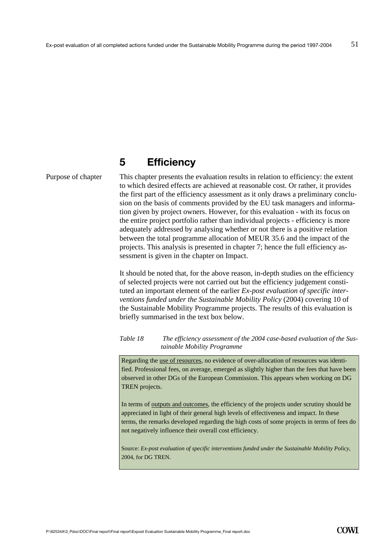# **5 Efficiency**

Purpose of chapter

This chapter presents the evaluation results in relation to efficiency: the extent to which desired effects are achieved at reasonable cost. Or rather, it provides the first part of the efficiency assessment as it only draws a preliminary conclusion on the basis of comments provided by the EU task managers and information given by project owners. However, for this evaluation - with its focus on the entire project portfolio rather than individual projects - efficiency is more adequately addressed by analysing whether or not there is a positive relation between the total programme allocation of MEUR 35.6 and the impact of the projects. This analysis is presented in chapter 7; hence the full efficiency assessment is given in the chapter on Impact.

It should be noted that, for the above reason, in-depth studies on the efficiency of selected projects were not carried out but the efficiency judgement constituted an important element of the earlier *Ex-post evaluation of specific interventions funded under the Sustainable Mobility Policy* (2004) covering 10 of the Sustainable Mobility Programme projects. The results of this evaluation is briefly summarised in the text box below.

*Table 18 The efficiency assessment of the 2004 case-based evaluation of the Sustainable Mobility Programme* 

Regarding the use of resources, no evidence of over-allocation of resources was identified. Professional fees, on average, emerged as slightly higher than the fees that have been observed in other DGs of the European Commission. This appears when working on DG TREN projects.

In terms of outputs and outcomes, the efficiency of the projects under scrutiny should be appreciated in light of their general high levels of effectiveness and impact. In these terms, the remarks developed regarding the high costs of some projects in terms of fees do not negatively influence their overall cost efficiency.

Source: *Ex-post evaluation of specific interventions funded under the Sustainable Mobility Policy*, 2004, for DG TREN.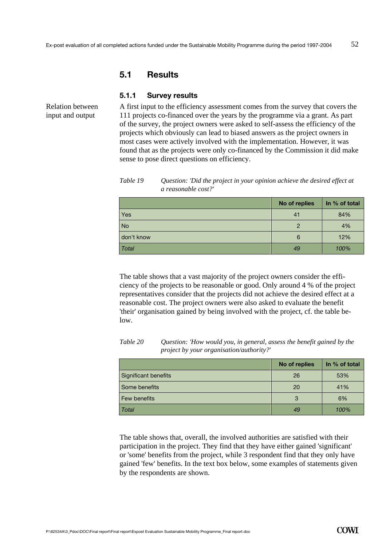## **5.1 Results**

**5.1.1 Survey results** 

Relation between input and output

A first input to the efficiency assessment comes from the survey that covers the 111 projects co-financed over the years by the programme via a grant. As part of the survey, the project owners were asked to self-assess the efficiency of the projects which obviously can lead to biased answers as the project owners in most cases were actively involved with the implementation. However, it was found that as the projects were only co-financed by the Commission it did make sense to pose direct questions on efficiency.

*Table 19 Question: 'Did the project in your opinion achieve the desired effect at a reasonable cost?'* 

|            | No of replies | In % of total |
|------------|---------------|---------------|
| Yes        | 41            | 84%           |
| <b>No</b>  | $\mathcal{P}$ | 4%            |
| don't know | 6             | 12%           |
| Total      | 49            | 100%          |

The table shows that a vast majority of the project owners consider the efficiency of the projects to be reasonable or good. Only around 4 % of the project representatives consider that the projects did not achieve the desired effect at a reasonable cost. The project owners were also asked to evaluate the benefit 'their' organisation gained by being involved with the project, cf. the table below.

**No of replies | In % of total** Significant benefits 26 53% Some benefits **20** 20 41% Few benefits **3** 6% *Total 49 100%* 

*Table 20 Question: 'How would you, in general, assess the benefit gained by the project by your organisation/authority?'* 

The table shows that, overall, the involved authorities are satisfied with their participation in the project. They find that they have either gained 'significant' or 'some' benefits from the project, while 3 respondent find that they only have gained 'few' benefits. In the text box below, some examples of statements given by the respondents are shown.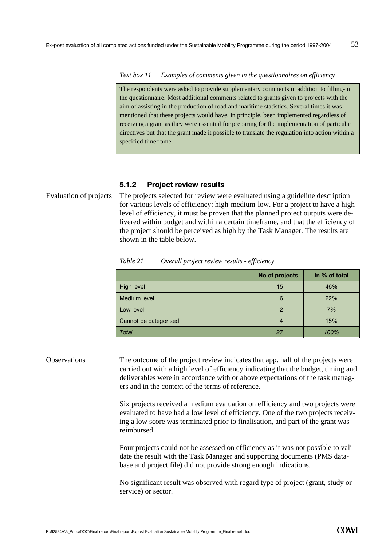#### *Text box 11 Examples of comments given in the questionnaires on efficiency*

The respondents were asked to provide supplementary comments in addition to filling-in the questionnaire. Most additional comments related to grants given to projects with the aim of assisting in the production of road and maritime statistics. Several times it was mentioned that these projects would have, in principle, been implemented regardless of receiving a grant as they were essential for preparing for the implementation of particular directives but that the grant made it possible to translate the regulation into action within a specified timeframe.

#### **5.1.2 Project review results**

Evaluation of projects The projects selected for review were evaluated using a guideline description for various levels of efficiency: high-medium-low. For a project to have a high level of efficiency, it must be proven that the planned project outputs were delivered within budget and within a certain timeframe, and that the efficiency of the project should be perceived as high by the Task Manager. The results are shown in the table below.

|                       | No of projects | In % of total |
|-----------------------|----------------|---------------|
| <b>High level</b>     | 15             | 46%           |
| Medium level          | 6              | 22%           |
| Low level             | 2              | 7%            |
| Cannot be categorised |                | 15%           |
| Total                 | 27             | 100%          |

*Table 21 Overall project review results - efficiency* 

Observations The outcome of the project review indicates that app. half of the projects were carried out with a high level of efficiency indicating that the budget, timing and deliverables were in accordance with or above expectations of the task managers and in the context of the terms of reference.

> Six projects received a medium evaluation on efficiency and two projects were evaluated to have had a low level of efficiency. One of the two projects receiving a low score was terminated prior to finalisation, and part of the grant was reimbursed.

> Four projects could not be assessed on efficiency as it was not possible to validate the result with the Task Manager and supporting documents (PMS database and project file) did not provide strong enough indications.

No significant result was observed with regard type of project (grant, study or service) or sector.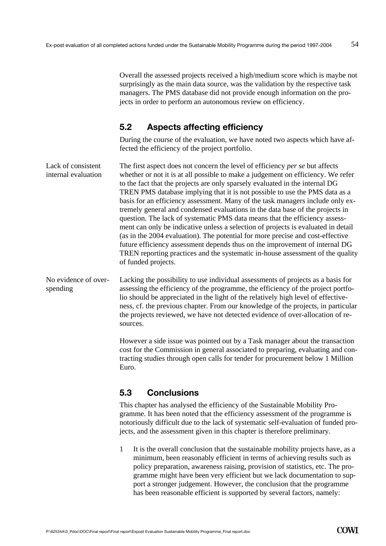Overall the assessed projects received a high/medium score which is maybe not surprisingly as the main data source, was the validation by the respective task managers. The PMS database did not provide enough information on the projects in order to perform an autonomous review on efficiency.

# **5.2 Aspects affecting efficiency**

During the course of the evaluation, we have noted two aspects which have affected the efficiency of the project portfolio.

| Lack of consistent  | The first aspect does not concern the level of efficiency <i>per se</i> but affects |
|---------------------|-------------------------------------------------------------------------------------|
| internal evaluation | whether or not it is at all possible to make a judgement on efficiency. We refer    |
|                     | to the fact that the projects are only sparsely evaluated in the internal DG        |
|                     | TREN PMS database implying that it is not possible to use the PMS data as a         |
|                     | basis for an efficiency assessment. Many of the task managers include only ex-      |
|                     | tremely general and condensed evaluations in the data base of the projects in       |
|                     | question. The lack of systematic PMS data means that the efficiency assess-         |
|                     | ment can only be indicative unless a selection of projects is evaluated in detail   |
|                     | (as in the 2004 evaluation). The potential for more precise and cost-effective      |
|                     | future efficiency assessment depends thus on the improvement of internal DG         |
|                     | TREN reporting practices and the systematic in-house assessment of the quality      |
|                     | of funded projects.                                                                 |
|                     |                                                                                     |

Lacking the possibility to use individual assessments of projects as a basis for assessing the efficiency of the programme, the efficiency of the project portfolio should be appreciated in the light of the relatively high level of effectiveness, cf. the previous chapter. From our knowledge of the projects, in particular the projects reviewed, we have not detected evidence of over-allocation of resources. No evidence of overspending

> However a side issue was pointed out by a Task manager about the transaction cost for the Commission in general associated to preparing, evaluating and contracting studies through open calls for tender for procurement below 1 Million Euro.

# **5.3 Conclusions**

This chapter has analysed the efficiency of the Sustainable Mobility Programme. It has been noted that the efficiency assessment of the programme is notoriously difficult due to the lack of systematic self-evaluation of funded projects, and the assessment given in this chapter is therefore preliminary.

1 It is the overall conclusion that the sustainable mobility projects have, as a minimum, been reasonably efficient in terms of achieving results such as policy preparation, awareness raising, provision of statistics, etc. The programme might have been very efficient but we lack documentation to support a stronger judgement. However, the conclusion that the programme has been reasonable efficient is supported by several factors, namely: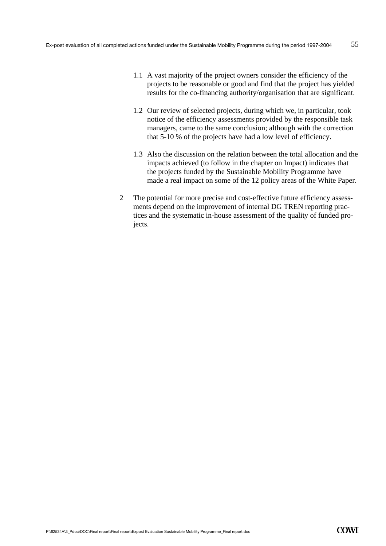- 1.1 A vast majority of the project owners consider the efficiency of the projects to be reasonable or good and find that the project has yielded results for the co-financing authority/organisation that are significant.
- 1.2 Our review of selected projects, during which we, in particular, took notice of the efficiency assessments provided by the responsible task managers, came to the same conclusion; although with the correction that 5-10 % of the projects have had a low level of efficiency.
- 1.3 Also the discussion on the relation between the total allocation and the impacts achieved (to follow in the chapter on Impact) indicates that the projects funded by the Sustainable Mobility Programme have made a real impact on some of the 12 policy areas of the White Paper.
- 2 The potential for more precise and cost-effective future efficiency assessments depend on the improvement of internal DG TREN reporting practices and the systematic in-house assessment of the quality of funded projects.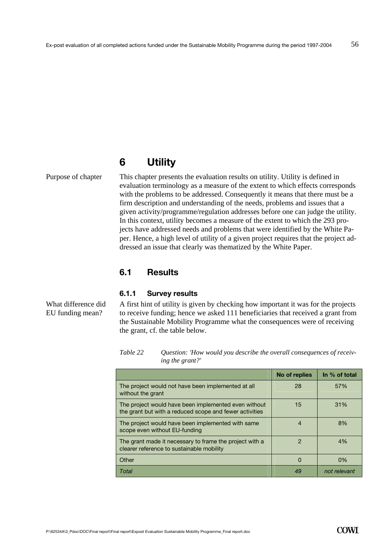# **6 Utility**

Purpose of chapter

This chapter presents the evaluation results on utility. Utility is defined in evaluation terminology as a measure of the extent to which effects corresponds with the problems to be addressed. Consequently it means that there must be a firm description and understanding of the needs, problems and issues that a given activity/programme/regulation addresses before one can judge the utility. In this context, utility becomes a measure of the extent to which the 293 projects have addressed needs and problems that were identified by the White Paper. Hence, a high level of utility of a given project requires that the project addressed an issue that clearly was thematized by the White Paper.

## **6.1 Results**

#### **6.1.1 Survey results**

A first hint of utility is given by checking how important it was for the projects to receive funding; hence we asked 111 beneficiaries that received a grant from the Sustainable Mobility Programme what the consequences were of receiving the grant, cf. the table below.

*Table 22 Question: 'How would you describe the overall consequences of receiving the grant?'* 

|                                                                                                                 | No of replies | In % of total |
|-----------------------------------------------------------------------------------------------------------------|---------------|---------------|
| The project would not have been implemented at all<br>without the grant                                         | 28            | 57%           |
| The project would have been implemented even without<br>the grant but with a reduced scope and fewer activities | 15            | 31%           |
| The project would have been implemented with same<br>scope even without EU-funding                              | 4             | 8%            |
| The grant made it necessary to frame the project with a<br>clearer reference to sustainable mobility            | $\mathcal{P}$ | 4%            |
| Other                                                                                                           | $\Omega$      | 0%            |
| Total                                                                                                           | 49            | not relevant  |

What difference did EU funding mean?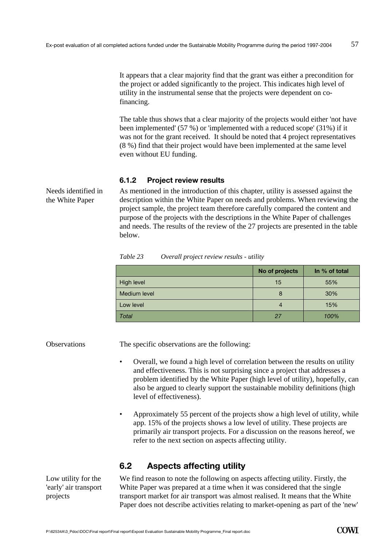It appears that a clear majority find that the grant was either a precondition for the project or added significantly to the project. This indicates high level of utility in the instrumental sense that the projects were dependent on cofinancing.

The table thus shows that a clear majority of the projects would either 'not have been implemented' (57 %) or 'implemented with a reduced scope' (31%) if it was not for the grant received. It should be noted that 4 project representatives (8 %) find that their project would have been implemented at the same level even without EU funding.

## **6.1.2 Project review results**

As mentioned in the introduction of this chapter, utility is assessed against the description within the White Paper on needs and problems. When reviewing the project sample, the project team therefore carefully compared the content and purpose of the projects with the descriptions in the White Paper of challenges and needs. The results of the review of the 27 projects are presented in the table below.

|              | No of projects | In % of total |
|--------------|----------------|---------------|
| High level   | 15             | 55%           |
| Medium level | 8              | 30%           |
| Low level    | $\overline{4}$ | 15%           |
| Total        | 27             | 100%          |

*Table 23 Overall project review results - utility* 

**Observations** 

The specific observations are the following:

- Overall, we found a high level of correlation between the results on utility and effectiveness. This is not surprising since a project that addresses a problem identified by the White Paper (high level of utility), hopefully, can also be argued to clearly support the sustainable mobility definitions (high level of effectiveness).
- Approximately 55 percent of the projects show a high level of utility, while app. 15% of the projects shows a low level of utility. These projects are primarily air transport projects. For a discussion on the reasons hereof, we refer to the next section on aspects affecting utility.

# **6.2 Aspects affecting utility**

We find reason to note the following on aspects affecting utility. Firstly, the White Paper was prepared at a time when it was considered that the single transport market for air transport was almost realised. It means that the White Paper does not describe activities relating to market-opening as part of the 'new'

Low utility for the 'early' air transport projects

Needs identified in the White Paper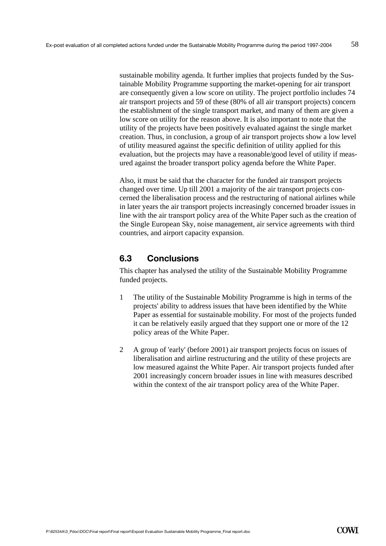sustainable mobility agenda. It further implies that projects funded by the Sustainable Mobility Programme supporting the market-opening for air transport are consequently given a low score on utility. The project portfolio includes 74 air transport projects and 59 of these (80% of all air transport projects) concern the establishment of the single transport market, and many of them are given a low score on utility for the reason above. It is also important to note that the utility of the projects have been positively evaluated against the single market creation. Thus, in conclusion, a group of air transport projects show a low level of utility measured against the specific definition of utility applied for this evaluation, but the projects may have a reasonable/good level of utility if measured against the broader transport policy agenda before the White Paper.

Also, it must be said that the character for the funded air transport projects changed over time. Up till 2001 a majority of the air transport projects concerned the liberalisation process and the restructuring of national airlines while in later years the air transport projects increasingly concerned broader issues in line with the air transport policy area of the White Paper such as the creation of the Single European Sky, noise management, air service agreements with third countries, and airport capacity expansion.

## **6.3 Conclusions**

This chapter has analysed the utility of the Sustainable Mobility Programme funded projects.

- 1 The utility of the Sustainable Mobility Programme is high in terms of the projects' ability to address issues that have been identified by the White Paper as essential for sustainable mobility. For most of the projects funded it can be relatively easily argued that they support one or more of the 12 policy areas of the White Paper.
- 2 A group of 'early' (before 2001) air transport projects focus on issues of liberalisation and airline restructuring and the utility of these projects are low measured against the White Paper. Air transport projects funded after 2001 increasingly concern broader issues in line with measures described within the context of the air transport policy area of the White Paper.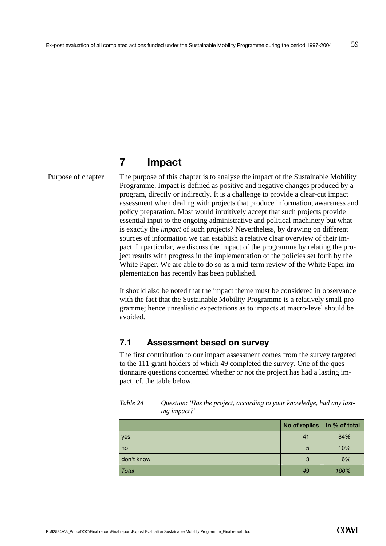# **7 Impact**

Purpose of chapter

The purpose of this chapter is to analyse the impact of the Sustainable Mobility Programme. Impact is defined as positive and negative changes produced by a program, directly or indirectly. It is a challenge to provide a clear-cut impact assessment when dealing with projects that produce information, awareness and policy preparation. Most would intuitively accept that such projects provide essential input to the ongoing administrative and political machinery but what is exactly the *impact* of such projects? Nevertheless, by drawing on different sources of information we can establish a relative clear overview of their impact. In particular, we discuss the impact of the programme by relating the project results with progress in the implementation of the policies set forth by the White Paper. We are able to do so as a mid-term review of the White Paper implementation has recently has been published.

It should also be noted that the impact theme must be considered in observance with the fact that the Sustainable Mobility Programme is a relatively small programme; hence unrealistic expectations as to impacts at macro-level should be avoided.

## **7.1 Assessment based on survey**

The first contribution to our impact assessment comes from the survey targeted to the 111 grant holders of which 49 completed the survey. One of the questionnaire questions concerned whether or not the project has had a lasting impact, cf. the table below.

|              | No of replies   In % of total |      |
|--------------|-------------------------------|------|
| yes          | 41                            | 84%  |
| no           | 5                             | 10%  |
| don't know   | 3                             | 6%   |
| <b>Total</b> | 49                            | 100% |

| Table 24 | Question: 'Has the project, according to your knowledge, had any last- |
|----------|------------------------------------------------------------------------|
|          | ing impact?'                                                           |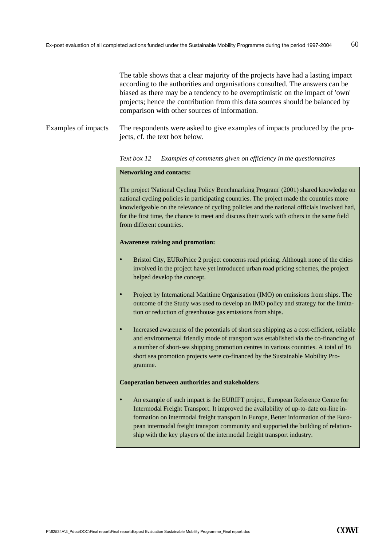The table shows that a clear majority of the projects have had a lasting impact according to the authorities and organisations consulted. The answers can be biased as there may be a tendency to be overoptimistic on the impact of 'own' projects; hence the contribution from this data sources should be balanced by comparison with other sources of information.

The respondents were asked to give examples of impacts produced by the projects, cf. the text box below. Examples of impacts

#### *Text box 12 Examples of comments given on efficiency in the questionnaires*

#### **Networking and contacts:**

The project 'National Cycling Policy Benchmarking Program' (2001) shared knowledge on national cycling policies in participating countries. The project made the countries more knowledgeable on the relevance of cycling policies and the national officials involved had, for the first time, the chance to meet and discuss their work with others in the same field from different countries.

#### **Awareness raising and promotion:**

- Bristol City, EURoPrice 2 project concerns road pricing. Although none of the cities involved in the project have yet introduced urban road pricing schemes, the project helped develop the concept.
- Project by International Maritime Organisation (IMO) on emissions from ships. The outcome of the Study was used to develop an IMO policy and strategy for the limitation or reduction of greenhouse gas emissions from ships.
- Increased awareness of the potentials of short sea shipping as a cost-efficient, reliable and environmental friendly mode of transport was established via the co-financing of a number of short-sea shipping promotion centres in various countries. A total of 16 short sea promotion projects were co-financed by the Sustainable Mobility Programme.

#### **Cooperation between authorities and stakeholders**

• An example of such impact is the EURIFT project, European Reference Centre for Intermodal Freight Transport. It improved the availability of up-to-date on-line information on intermodal freight transport in Europe, Better information of the European intermodal freight transport community and supported the building of relationship with the key players of the intermodal freight transport industry.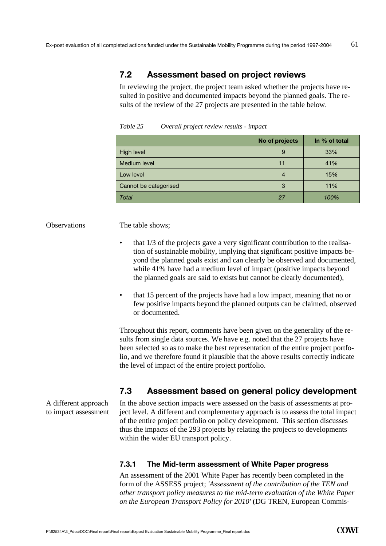# **7.2 Assessment based on project reviews**

In reviewing the project, the project team asked whether the projects have resulted in positive and documented impacts beyond the planned goals. The results of the review of the 27 projects are presented in the table below.

|                       | No of projects | In % of total |
|-----------------------|----------------|---------------|
| High level            | 9              | 33%           |
| Medium level          | 11             | 41%           |
| Low level             |                | 15%           |
| Cannot be categorised | 3              | 11%           |
| Total                 | 27             | 100%          |

*Table 25 Overall project review results - impact* 

#### **Observations**

The table shows;

- that 1/3 of the projects gave a very significant contribution to the realisation of sustainable mobility, implying that significant positive impacts beyond the planned goals exist and can clearly be observed and documented, while 41% have had a medium level of impact (positive impacts beyond the planned goals are said to exists but cannot be clearly documented),
- that 15 percent of the projects have had a low impact, meaning that no or few positive impacts beyond the planned outputs can be claimed, observed or documented.

Throughout this report, comments have been given on the generality of the results from single data sources. We have e.g. noted that the 27 projects have been selected so as to make the best representation of the entire project portfolio, and we therefore found it plausible that the above results correctly indicate the level of impact of the entire project portfolio.

# **7.3 Assessment based on general policy development**

In the above section impacts were assessed on the basis of assessments at project level. A different and complementary approach is to assess the total impact of the entire project portfolio on policy development. This section discusses thus the impacts of the 293 projects by relating the projects to developments within the wider EU transport policy.

## **7.3.1 The Mid-term assessment of White Paper progress**

An assessment of the 2001 White Paper has recently been completed in the form of the ASSESS project; *'Assessment of the contribution of the TEN and other transport policy measures to the mid-term evaluation of the White Paper on the European Transport Policy for 2010'* (DG TREN, European Commis-

A different approach to impact assessment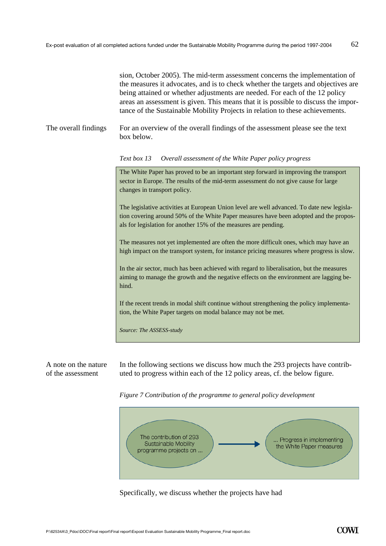sion, October 2005). The mid-term assessment concerns the implementation of the measures it advocates, and is to check whether the targets and objectives are being attained or whether adjustments are needed. For each of the 12 policy areas an assessment is given. This means that it is possible to discuss the importance of the Sustainable Mobility Projects in relation to these achievements.

For an overview of the overall findings of the assessment please see the text box below. The overall findings

*Text box 13 Overall assessment of the White Paper policy progress* 

The White Paper has proved to be an important step forward in improving the transport sector in Europe. The results of the mid-term assessment do not give cause for large changes in transport policy.

The legislative activities at European Union level are well advanced. To date new legislation covering around 50% of the White Paper measures have been adopted and the proposals for legislation for another 15% of the measures are pending.

The measures not yet implemented are often the more difficult ones, which may have an high impact on the transport system, for instance pricing measures where progress is slow.

In the air sector, much has been achieved with regard to liberalisation, but the measures aiming to manage the growth and the negative effects on the environment are lagging behind.

If the recent trends in modal shift continue without strengthening the policy implementation, the White Paper targets on modal balance may not be met.

*Source: The ASSESS-study* 

A note on the nature of the assessment

In the following sections we discuss how much the 293 projects have contributed to progress within each of the 12 policy areas, cf. the below figure.





Specifically, we discuss whether the projects have had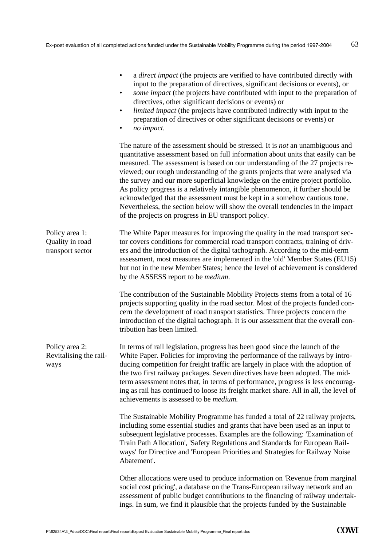|                                                       | a <i>direct impact</i> (the projects are verified to have contributed directly with<br>input to the preparation of directives, significant decisions or events), or<br>some impact (the projects have contributed with input to the preparation of<br>$\bullet$<br>directives, other significant decisions or events) or<br><i>limited impact</i> (the projects have contributed indirectly with input to the<br>$\bullet$<br>preparation of directives or other significant decisions or events) or<br>no impact.<br>$\bullet$                                                                                                                                                                                                      |
|-------------------------------------------------------|--------------------------------------------------------------------------------------------------------------------------------------------------------------------------------------------------------------------------------------------------------------------------------------------------------------------------------------------------------------------------------------------------------------------------------------------------------------------------------------------------------------------------------------------------------------------------------------------------------------------------------------------------------------------------------------------------------------------------------------|
|                                                       | The nature of the assessment should be stressed. It is <i>not</i> an unambiguous and<br>quantitative assessment based on full information about units that easily can be<br>measured. The assessment is based on our understanding of the 27 projects re-<br>viewed; our rough understanding of the grants projects that were analysed via<br>the survey and our more superficial knowledge on the entire project portfolio.<br>As policy progress is a relatively intangible phenomenon, it further should be<br>acknowledged that the assessment must be kept in a somehow cautious tone.<br>Nevertheless, the section below will show the overall tendencies in the impact<br>of the projects on progress in EU transport policy. |
| Policy area 1:<br>Quality in road<br>transport sector | The White Paper measures for improving the quality in the road transport sec-<br>tor covers conditions for commercial road transport contracts, training of driv-<br>ers and the introduction of the digital tachograph. According to the mid-term<br>assessment, most measures are implemented in the 'old' Member States (EU15)<br>but not in the new Member States; hence the level of achievement is considered<br>by the ASSESS report to be <i>medium</i> .                                                                                                                                                                                                                                                                    |
|                                                       | The contribution of the Sustainable Mobility Projects stems from a total of 16<br>projects supporting quality in the road sector. Most of the projects funded con-<br>cern the development of road transport statistics. Three projects concern the<br>introduction of the digital tachograph. It is our assessment that the overall con-<br>tribution has been limited.                                                                                                                                                                                                                                                                                                                                                             |
| Policy area 2:<br>Revitalising the rail-<br>ways      | In terms of rail legislation, progress has been good since the launch of the<br>White Paper. Policies for improving the performance of the railways by intro-<br>ducing competition for freight traffic are largely in place with the adoption of<br>the two first railway packages. Seven directives have been adopted. The mid-<br>term assessment notes that, in terms of performance, progress is less encourag-<br>ing as rail has continued to loose its freight market share. All in all, the level of<br>achievements is assessed to be <i>medium</i> .                                                                                                                                                                      |
|                                                       | The Sustainable Mobility Programme has funded a total of 22 railway projects,<br>including some essential studies and grants that have been used as an input to<br>subsequent legislative processes. Examples are the following: 'Examination of<br>Train Path Allocation', 'Safety Regulations and Standards for European Rail-<br>ways' for Directive and 'European Priorities and Strategies for Railway Noise<br>Abatement'.                                                                                                                                                                                                                                                                                                     |
|                                                       | Other allocations were used to produce information on 'Revenue from marginal<br>social cost pricing', a database on the Trans-European railway network and an<br>assessment of public budget contributions to the financing of railway undertak-<br>ings. In sum, we find it plausible that the projects funded by the Sustainable                                                                                                                                                                                                                                                                                                                                                                                                   |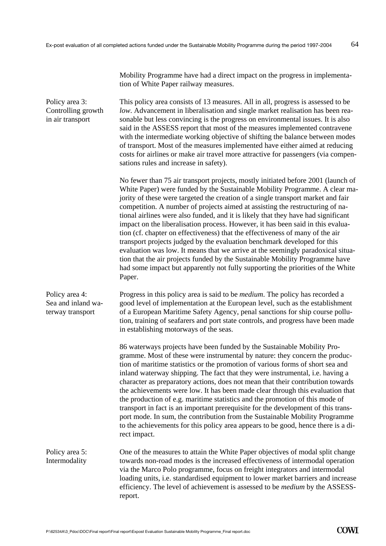tion of White Paper railway measures.

Mobility Programme have had a direct impact on the progress in implementa-

64

This policy area consists of 13 measures. All in all, progress is assessed to be *low*. Advancement in liberalisation and single market realisation has been reasonable but less convincing is the progress on environmental issues. It is also said in the ASSESS report that most of the measures implemented contravene with the intermediate working objective of shifting the balance between modes of transport. Most of the measures implemented have either aimed at reducing costs for airlines or make air travel more attractive for passengers (via compensations rules and increase in safety). No fewer than 75 air transport projects, mostly initiated before 2001 (launch of White Paper) were funded by the Sustainable Mobility Programme. A clear majority of these were targeted the creation of a single transport market and fair competition. A number of projects aimed at assisting the restructuring of national airlines were also funded, and it is likely that they have had significant impact on the liberalisation process. However, it has been said in this evaluation (cf. chapter on effectiveness) that the effectiveness of many of the air transport projects judged by the evaluation benchmark developed for this evaluation was low. It means that we arrive at the seemingly paradoxical situation that the air projects funded by the Sustainable Mobility Programme have had some impact but apparently not fully supporting the priorities of the White Paper. Progress in this policy area is said to be *medium*. The policy has recorded a good level of implementation at the European level, such as the establishment of a European Maritime Safety Agency, penal sanctions for ship course pollution, training of seafarers and port state controls, and progress have been made in establishing motorways of the seas. 86 waterways projects have been funded by the Sustainable Mobility Programme. Most of these were instrumental by nature: they concern the production of maritime statistics or the promotion of various forms of short sea and inland waterway shipping. The fact that they were instrumental, i.e. having a character as preparatory actions, does not mean that their contribution towards the achievements were low. It has been made clear through this evaluation that the production of e.g. maritime statistics and the promotion of this mode of transport in fact is an important prerequisite for the development of this transport mode. In sum, the contribution from the Sustainable Mobility Programme to the achievements for this policy area appears to be good, hence there is a direct impact. One of the measures to attain the White Paper objectives of modal split change towards non-road modes is the increased effectiveness of intermodal operation via the Marco Polo programme, focus on freight integrators and intermodal loading units, i.e. standardised equipment to lower market barriers and increase efficiency. The level of achievement is assessed to be *medium* by the ASSESSreport. Policy area 3: Controlling growth in air transport Policy area 4: Sea and inland waterway transport Policy area 5: Intermodality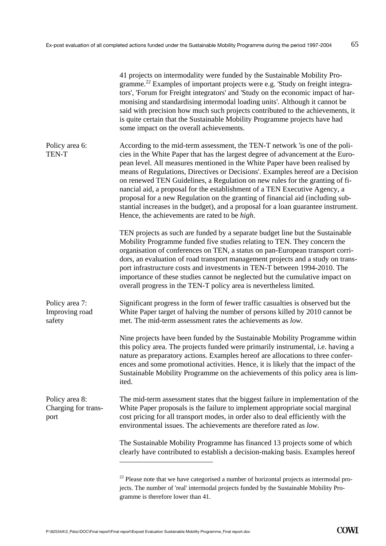|                                               | 41 projects on intermodality were funded by the Sustainable Mobility Pro-<br>gramme. <sup>22</sup> Examples of important projects were e.g. Study on freight integra-<br>tors', 'Forum for Freight integrators' and 'Study on the economic impact of har-<br>monising and standardising intermodal loading units'. Although it cannot be<br>said with precision how much such projects contributed to the achievements, it<br>is quite certain that the Sustainable Mobility Programme projects have had<br>some impact on the overall achievements.                                                                                                                                                                            |
|-----------------------------------------------|---------------------------------------------------------------------------------------------------------------------------------------------------------------------------------------------------------------------------------------------------------------------------------------------------------------------------------------------------------------------------------------------------------------------------------------------------------------------------------------------------------------------------------------------------------------------------------------------------------------------------------------------------------------------------------------------------------------------------------|
| Policy area 6:<br><b>TEN-T</b>                | According to the mid-term assessment, the TEN-T network 'is one of the poli-<br>cies in the White Paper that has the largest degree of advancement at the Euro-<br>pean level. All measures mentioned in the White Paper have been realised by<br>means of Regulations, Directives or Decisions'. Examples hereof are a Decision<br>on renewed TEN Guidelines, a Regulation on new rules for the granting of fi-<br>nancial aid, a proposal for the establishment of a TEN Executive Agency, a<br>proposal for a new Regulation on the granting of financial aid (including sub-<br>stantial increases in the budget), and a proposal for a loan guarantee instrument.<br>Hence, the achievements are rated to be <i>high</i> . |
|                                               | TEN projects as such are funded by a separate budget line but the Sustainable<br>Mobility Programme funded five studies relating to TEN. They concern the<br>organisation of conferences on TEN, a status on pan-European transport corri-<br>dors, an evaluation of road transport management projects and a study on trans-<br>port infrastructure costs and investments in TEN-T between 1994-2010. The<br>importance of these studies cannot be neglected but the cumulative impact on<br>overall progress in the TEN-T policy area is nevertheless limited.                                                                                                                                                                |
| Policy area 7:<br>Improving road<br>safety    | Significant progress in the form of fewer traffic casualties is observed but the<br>White Paper target of halving the number of persons killed by 2010 cannot be<br>met. The mid-term assessment rates the achievements as low.                                                                                                                                                                                                                                                                                                                                                                                                                                                                                                 |
|                                               | Nine projects have been funded by the Sustainable Mobility Programme within<br>this policy area. The projects funded were primarily instrumental, i.e. having a<br>nature as preparatory actions. Examples hereof are allocations to three confer-<br>ences and some promotional activities. Hence, it is likely that the impact of the<br>Sustainable Mobility Programme on the achievements of this policy area is lim-<br>ited.                                                                                                                                                                                                                                                                                              |
| Policy area 8:<br>Charging for trans-<br>port | The mid-term assessment states that the biggest failure in implementation of the<br>White Paper proposals is the failure to implement appropriate social marginal<br>cost pricing for all transport modes, in order also to deal efficiently with the<br>environmental issues. The achievements are therefore rated as low.                                                                                                                                                                                                                                                                                                                                                                                                     |
|                                               | The Sustainable Mobility Programme has financed 13 projects some of which<br>clearly have contributed to establish a decision-making basis. Examples hereof                                                                                                                                                                                                                                                                                                                                                                                                                                                                                                                                                                     |
|                                               | <sup>22</sup> Please note that we have categorised a number of horizontal projects as intermodal pro-<br>jects. The number of 'real' intermodal projects funded by the Sustainable Mobility Pro-<br>gramme is therefore lower than 41.                                                                                                                                                                                                                                                                                                                                                                                                                                                                                          |

**COWI**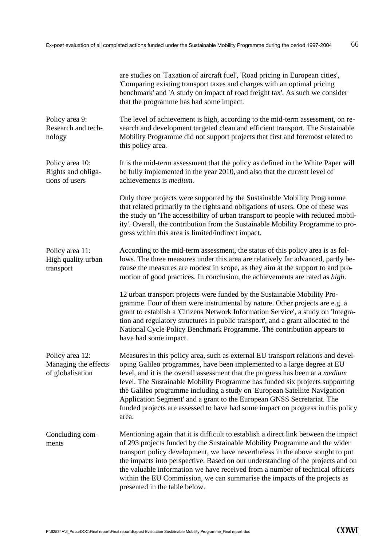|                                                             | are studies on 'Taxation of aircraft fuel', 'Road pricing in European cities',<br>'Comparing existing transport taxes and charges with an optimal pricing<br>benchmark' and 'A study on impact of road freight tax'. As such we consider<br>that the programme has had some impact.                                                                                                                                                                                                                                                                                                     |  |
|-------------------------------------------------------------|-----------------------------------------------------------------------------------------------------------------------------------------------------------------------------------------------------------------------------------------------------------------------------------------------------------------------------------------------------------------------------------------------------------------------------------------------------------------------------------------------------------------------------------------------------------------------------------------|--|
| Policy area 9:<br>Research and tech-<br>nology              | The level of achievement is high, according to the mid-term assessment, on re-<br>search and development targeted clean and efficient transport. The Sustainable<br>Mobility Programme did not support projects that first and foremost related to<br>this policy area.                                                                                                                                                                                                                                                                                                                 |  |
| Policy area 10:<br>Rights and obliga-<br>tions of users     | It is the mid-term assessment that the policy as defined in the White Paper will<br>be fully implemented in the year 2010, and also that the current level of<br>achievements is medium.                                                                                                                                                                                                                                                                                                                                                                                                |  |
|                                                             | Only three projects were supported by the Sustainable Mobility Programme<br>that related primarily to the rights and obligations of users. One of these was<br>the study on 'The accessibility of urban transport to people with reduced mobil-<br>ity'. Overall, the contribution from the Sustainable Mobility Programme to pro-<br>gress within this area is limited/indirect impact.                                                                                                                                                                                                |  |
| Policy area 11:<br>High quality urban<br>transport          | According to the mid-term assessment, the status of this policy area is as fol-<br>lows. The three measures under this area are relatively far advanced, partly be-<br>cause the measures are modest in scope, as they aim at the support to and pro-<br>motion of good practices. In conclusion, the achievements are rated as high.                                                                                                                                                                                                                                                   |  |
|                                                             | 12 urban transport projects were funded by the Sustainable Mobility Pro-<br>gramme. Four of them were instrumental by nature. Other projects are e.g. a<br>grant to establish a 'Citizens Network Information Service', a study on 'Integra-<br>tion and regulatory structures in public transport', and a grant allocated to the<br>National Cycle Policy Benchmark Programme. The contribution appears to<br>have had some impact.                                                                                                                                                    |  |
| Policy area 12:<br>Managing the effects<br>of globalisation | Measures in this policy area, such as external EU transport relations and devel-<br>oping Galileo programmes, have been implemented to a large degree at EU<br>level, and it is the overall assessment that the progress has been at a <i>medium</i><br>level. The Sustainable Mobility Programme has funded six projects supporting<br>the Galileo programme including a study on 'European Satellite Navigation<br>Application Segment' and a grant to the European GNSS Secretariat. The<br>funded projects are assessed to have had some impact on progress in this policy<br>area. |  |
| Concluding com-<br>ments                                    | Mentioning again that it is difficult to establish a direct link between the impact<br>of 293 projects funded by the Sustainable Mobility Programme and the wider<br>transport policy development, we have nevertheless in the above sought to put<br>the impacts into perspective. Based on our understanding of the projects and on<br>the valuable information we have received from a number of technical officers<br>within the EU Commission, we can summarise the impacts of the projects as<br>presented in the table below.                                                    |  |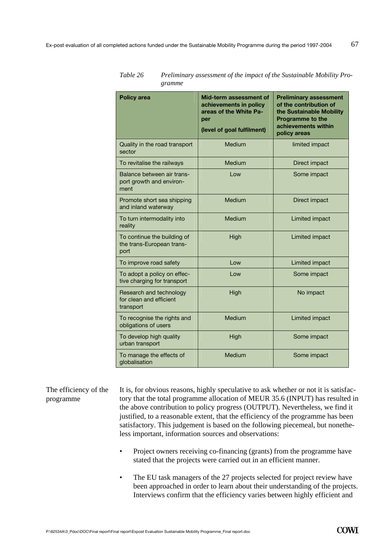| <b>Policy area</b>                                               | Mid-term assessment of<br>achievements in policy<br>areas of the White Pa-<br>per<br>(level of goal fulfilment) | <b>Preliminary assessment</b><br>of the contribution of<br>the Sustainable Mobility<br><b>Programme to the</b><br>achievements within<br>policy areas |
|------------------------------------------------------------------|-----------------------------------------------------------------------------------------------------------------|-------------------------------------------------------------------------------------------------------------------------------------------------------|
| Quality in the road transport<br>sector                          | Medium                                                                                                          | limited impact                                                                                                                                        |
| To revitalise the railways                                       | Medium                                                                                                          | Direct impact                                                                                                                                         |
| Balance between air trans-<br>port growth and environ-<br>ment   | Low                                                                                                             | Some impact                                                                                                                                           |
| Promote short sea shipping<br>and inland waterway                | Medium                                                                                                          | Direct impact                                                                                                                                         |
| To turn intermodality into<br>reality                            | Medium                                                                                                          | Limited impact                                                                                                                                        |
| To continue the building of<br>the trans-European trans-<br>port | High                                                                                                            | Limited impact                                                                                                                                        |
| To improve road safety                                           | Low                                                                                                             | Limited impact                                                                                                                                        |
| To adopt a policy on effec-<br>tive charging for transport       | Low                                                                                                             | Some impact                                                                                                                                           |
| Research and technology<br>for clean and efficient<br>transport  | High                                                                                                            | No impact                                                                                                                                             |
| To recognise the rights and<br>obligations of users              | Medium                                                                                                          | Limited impact                                                                                                                                        |
| To develop high quality<br>urban transport                       | High                                                                                                            | Some impact                                                                                                                                           |
| To manage the effects of<br>globalisation                        | Medium                                                                                                          | Some impact                                                                                                                                           |

*Table 26 Preliminary assessment of the impact of the Sustainable Mobility Programme* 

It is, for obvious reasons, highly speculative to ask whether or not it is satisfactory that the total programme allocation of MEUR 35.6 (INPUT) has resulted in the above contribution to policy progress (OUTPUT). Nevertheless, we find it justified, to a reasonable extent, that the efficiency of the programme has been satisfactory. This judgement is based on the following piecemeal, but nonetheless important, information sources and observations: The efficiency of the programme

- Project owners receiving co-financing (grants) from the programme have stated that the projects were carried out in an efficient manner.
- The EU task managers of the 27 projects selected for project review have been approached in order to learn about their understanding of the projects. Interviews confirm that the efficiency varies between highly efficient and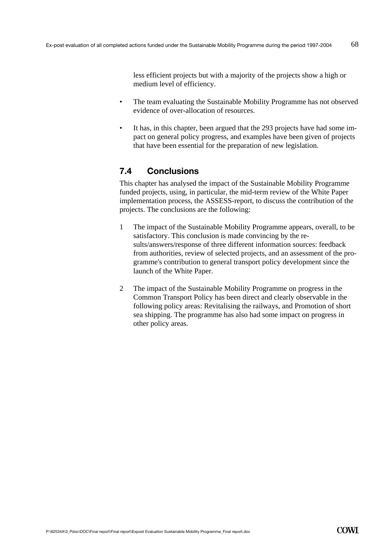less efficient projects but with a majority of the projects show a high or medium level of efficiency.

- The team evaluating the Sustainable Mobility Programme has not observed evidence of over-allocation of resources.
- It has, in this chapter, been argued that the 293 projects have had some impact on general policy progress, and examples have been given of projects that have been essential for the preparation of new legislation.

# **7.4 Conclusions**

This chapter has analysed the impact of the Sustainable Mobility Programme funded projects, using, in particular, the mid-term review of the White Paper implementation process, the ASSESS-report, to discuss the contribution of the projects. The conclusions are the following:

- 1 The impact of the Sustainable Mobility Programme appears, overall, to be satisfactory. This conclusion is made convincing by the results/answers/response of three different information sources: feedback from authorities, review of selected projects, and an assessment of the programme's contribution to general transport policy development since the launch of the White Paper.
- 2 The impact of the Sustainable Mobility Programme on progress in the Common Transport Policy has been direct and clearly observable in the following policy areas: Revitalising the railways, and Promotion of short sea shipping. The programme has also had some impact on progress in other policy areas.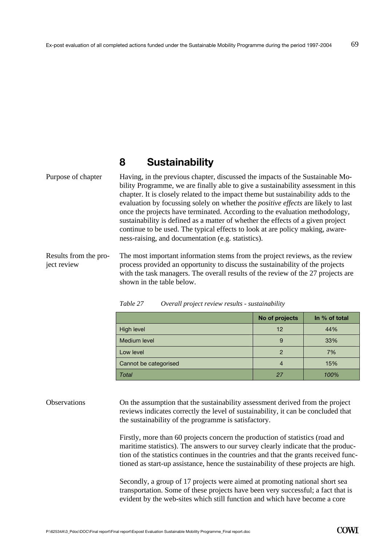# **8 Sustainability**

Having, in the previous chapter, discussed the impacts of the Sustainable Mobility Programme, we are finally able to give a sustainability assessment in this chapter. It is closely related to the impact theme but sustainability adds to the evaluation by focussing solely on whether the *positive effects* are likely to last once the projects have terminated. According to the evaluation methodology, sustainability is defined as a matter of whether the effects of a given project continue to be used. The typical effects to look at are policy making, awareness-raising, and documentation (e.g. statistics). Purpose of chapter

The most important information stems from the project reviews, as the review process provided an opportunity to discuss the sustainability of the projects with the task managers. The overall results of the review of the 27 projects are shown in the table below. Results from the project review

|                       | No of projects | In % of total |
|-----------------------|----------------|---------------|
| High level            | 12             | 44%           |
| Medium level          | 9              | 33%           |
| Low level             | 2              | 7%            |
| Cannot be categorised | 4              | 15%           |
| Total                 | 27             | 100%          |

*Table 27 Overall project review results - sustainability* 

On the assumption that the sustainability assessment derived from the project reviews indicates correctly the level of sustainability, it can be concluded that the sustainability of the programme is satisfactory. **Observations** 

> Firstly, more than 60 projects concern the production of statistics (road and maritime statistics). The answers to our survey clearly indicate that the production of the statistics continues in the countries and that the grants received functioned as start-up assistance, hence the sustainability of these projects are high.

Secondly, a group of 17 projects were aimed at promoting national short sea transportation. Some of these projects have been very successful; a fact that is evident by the web-sites which still function and which have become a core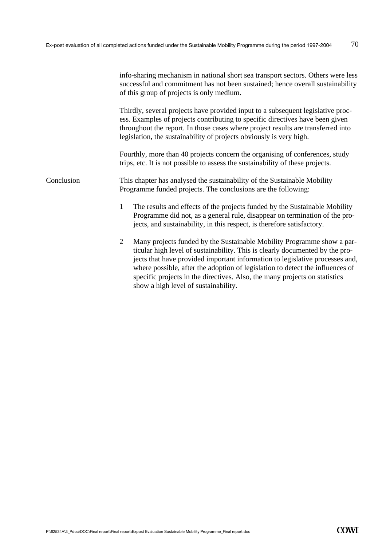|            | info-sharing mechanism in national short sea transport sectors. Others were less<br>successful and commitment has not been sustained; hence overall sustainability<br>of this group of projects is only medium.                                                                                                                                                                                                                                                 |  |  |
|------------|-----------------------------------------------------------------------------------------------------------------------------------------------------------------------------------------------------------------------------------------------------------------------------------------------------------------------------------------------------------------------------------------------------------------------------------------------------------------|--|--|
|            | Thirdly, several projects have provided input to a subsequent legislative proc-<br>ess. Examples of projects contributing to specific directives have been given<br>throughout the report. In those cases where project results are transferred into<br>legislation, the sustainability of projects obviously is very high.                                                                                                                                     |  |  |
|            | Fourthly, more than 40 projects concern the organising of conferences, study<br>trips, etc. It is not possible to assess the sustainability of these projects.                                                                                                                                                                                                                                                                                                  |  |  |
| Conclusion | This chapter has analysed the sustainability of the Sustainable Mobility<br>Programme funded projects. The conclusions are the following:                                                                                                                                                                                                                                                                                                                       |  |  |
|            | The results and effects of the projects funded by the Sustainable Mobility<br>1<br>Programme did not, as a general rule, disappear on termination of the pro-<br>jects, and sustainability, in this respect, is therefore satisfactory.                                                                                                                                                                                                                         |  |  |
|            | $\overline{2}$<br>Many projects funded by the Sustainable Mobility Programme show a par-<br>ticular high level of sustainability. This is clearly documented by the pro-<br>jects that have provided important information to legislative processes and,<br>where possible, after the adoption of legislation to detect the influences of<br>specific projects in the directives. Also, the many projects on statistics<br>show a high level of sustainability. |  |  |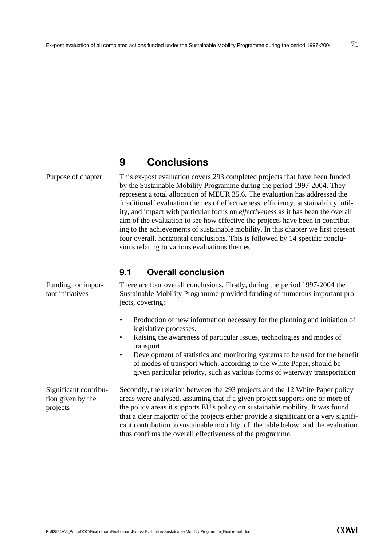# **9 Conclusions**

#### Purpose of chapter

This ex-post evaluation covers 293 completed projects that have been funded by the Sustainable Mobility Programme during the period 1997-2004. They represent a total allocation of MEUR 35.6. The evaluation has addressed the ´traditional´ evaluation themes of effectiveness, efficiency, sustainability, utility, and impact with particular focus on *effectiveness* as it has been the overall aim of the evaluation to see how effective the projects have been in contributing to the achievements of sustainable mobility. In this chapter we first present four overall, horizontal conclusions. This is followed by 14 specific conclusions relating to various evaluations themes.

#### **9.1 Overall conclusion**

| Funding for impor-<br>tant initiatives                 | There are four overall conclusions. Firstly, during the period 1997-2004 the<br>Sustainable Mobility Programme provided funding of numerous important pro-<br>jects, covering:                                                                                                                                                                                                                                                                                                               |
|--------------------------------------------------------|----------------------------------------------------------------------------------------------------------------------------------------------------------------------------------------------------------------------------------------------------------------------------------------------------------------------------------------------------------------------------------------------------------------------------------------------------------------------------------------------|
|                                                        | Production of new information necessary for the planning and initiation of<br>٠<br>legislative processes.<br>Raising the awareness of particular issues, technologies and modes of<br>٠<br>transport.<br>Development of statistics and monitoring systems to be used for the benefit<br>$\bullet$<br>of modes of transport which, according to the White Paper, should be<br>given particular priority, such as various forms of waterway transportation                                     |
| Significant contribu-<br>tion given by the<br>projects | Secondly, the relation between the 293 projects and the 12 White Paper policy<br>areas were analysed, assuming that if a given project supports one or more of<br>the policy areas it supports EU's policy on sustainable mobility. It was found<br>that a clear majority of the projects either provide a significant or a very signifi-<br>cant contribution to sustainable mobility, cf. the table below, and the evaluation<br>thus confirms the overall effectiveness of the programme. |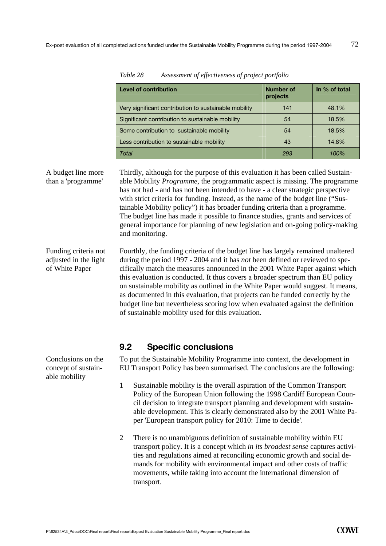| <b>Level of contribution</b>                          | <b>Number of</b><br>projects | In % of total |
|-------------------------------------------------------|------------------------------|---------------|
| Very significant contribution to sustainable mobility | 141                          | 48.1%         |
| Significant contribution to sustainable mobility      | 54                           | 18.5%         |
| Some contribution to sustainable mobility             | 54                           | 18.5%         |
| Less contribution to sustainable mobility             | 43                           | 14.8%         |
| Total                                                 | 293                          | 100%          |

A budget line more than a 'programme'

Thirdly, although for the purpose of this evaluation it has been called Sustainable Mobility *Programme*, the programmatic aspect is missing. The programme has not had - and has not been intended to have - a clear strategic perspective with strict criteria for funding. Instead, as the name of the budget line ("Sustainable Mobility policy") it has broader funding criteria than a programme. The budget line has made it possible to finance studies, grants and services of general importance for planning of new legislation and on-going policy-making and monitoring.

Fourthly, the funding criteria of the budget line has largely remained unaltered during the period 1997 - 2004 and it has *not* been defined or reviewed to specifically match the measures announced in the 2001 White Paper against which this evaluation is conducted. It thus covers a broader spectrum than EU policy on sustainable mobility as outlined in the White Paper would suggest. It means, as documented in this evaluation, that projects can be funded correctly by the budget line but nevertheless scoring low when evaluated against the definition of sustainable mobility used for this evaluation. Funding criteria not adjusted in the light of White Paper

### **9.2 Specific conclusions**

To put the Sustainable Mobility Programme into context, the development in EU Transport Policy has been summarised. The conclusions are the following:

- 1 Sustainable mobility is the overall aspiration of the Common Transport Policy of the European Union following the 1998 Cardiff European Council decision to integrate transport planning and development with sustainable development. This is clearly demonstrated also by the 2001 White Paper 'European transport policy for 2010: Time to decide'.
- 2 There is no unambiguous definition of sustainable mobility within EU transport policy. It is a concept which *in its broadest sense* captures activities and regulations aimed at reconciling economic growth and social demands for mobility with environmental impact and other costs of traffic movements, while taking into account the international dimension of transport.

Conclusions on the concept of sustainable mobility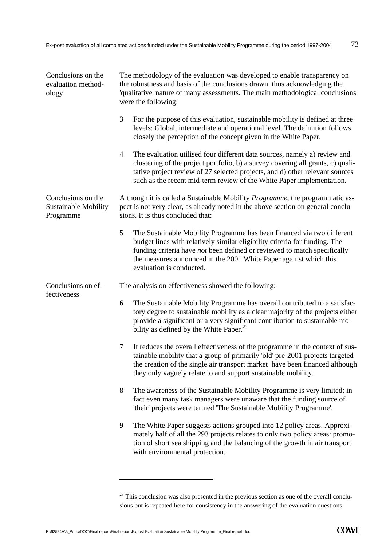| Conclusions on the<br>evaluation method-<br>ology       | The methodology of the evaluation was developed to enable transparency on<br>the robustness and basis of the conclusions drawn, thus acknowledging the<br>'qualitative' nature of many assessments. The main methodological conclusions<br>were the following:                                                                          |  |  |
|---------------------------------------------------------|-----------------------------------------------------------------------------------------------------------------------------------------------------------------------------------------------------------------------------------------------------------------------------------------------------------------------------------------|--|--|
|                                                         | 3<br>For the purpose of this evaluation, sustainable mobility is defined at three<br>levels: Global, intermediate and operational level. The definition follows<br>closely the perception of the concept given in the White Paper.                                                                                                      |  |  |
|                                                         | $\overline{4}$<br>The evaluation utilised four different data sources, namely a) review and<br>clustering of the project portfolio, b) a survey covering all grants, c) quali-<br>tative project review of 27 selected projects, and d) other relevant sources<br>such as the recent mid-term review of the White Paper implementation. |  |  |
| Conclusions on the<br>Sustainable Mobility<br>Programme | Although it is called a Sustainable Mobility <i>Programme</i> , the programmatic as-<br>pect is not very clear, as already noted in the above section on general conclu-<br>sions. It is thus concluded that:                                                                                                                           |  |  |
|                                                         | 5<br>The Sustainable Mobility Programme has been financed via two different<br>budget lines with relatively similar eligibility criteria for funding. The<br>funding criteria have not been defined or reviewed to match specifically<br>the measures announced in the 2001 White Paper against which this<br>evaluation is conducted.  |  |  |
| Conclusions on ef-                                      | The analysis on effectiveness showed the following:                                                                                                                                                                                                                                                                                     |  |  |
| fectiveness                                             | The Sustainable Mobility Programme has overall contributed to a satisfac-<br>6<br>tory degree to sustainable mobility as a clear majority of the projects either<br>provide a significant or a very significant contribution to sustainable mo-<br>bility as defined by the White Paper. $^{23}$                                        |  |  |
|                                                         | It reduces the overall effectiveness of the programme in the context of sus-<br>7<br>tainable mobility that a group of primarily 'old' pre-2001 projects targeted<br>the creation of the single air transport market have been financed although<br>they only vaguely relate to and support sustainable mobility.                       |  |  |
|                                                         | 8<br>The awareness of the Sustainable Mobility Programme is very limited; in<br>fact even many task managers were unaware that the funding source of<br>'their' projects were termed 'The Sustainable Mobility Programme'.                                                                                                              |  |  |
|                                                         | 9<br>The White Paper suggests actions grouped into 12 policy areas. Approxi-<br>mately half of all the 293 projects relates to only two policy areas: promo-<br>tion of short sea shipping and the balancing of the growth in air transport<br>with environmental protection.                                                           |  |  |
|                                                         |                                                                                                                                                                                                                                                                                                                                         |  |  |

<sup>&</sup>lt;sup>23</sup> This conclusion was also presented in the previous section as one of the overall conclusions but is repeated here for consistency in the answering of the evaluation questions.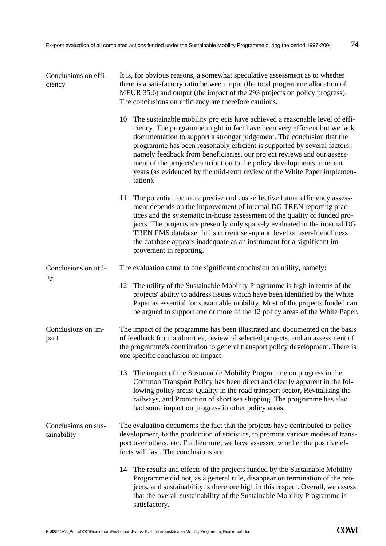| Conclusions on effi-<br>ciency     | It is, for obvious reasons, a somewhat speculative assessment as to whether<br>there is a satisfactory ratio between input (the total programme allocation of<br>MEUR 35.6) and output (the impact of the 293 projects on policy progress).<br>The conclusions on efficiency are therefore cautious.                                                                                                                                                                                                                                                             |  |  |
|------------------------------------|------------------------------------------------------------------------------------------------------------------------------------------------------------------------------------------------------------------------------------------------------------------------------------------------------------------------------------------------------------------------------------------------------------------------------------------------------------------------------------------------------------------------------------------------------------------|--|--|
|                                    | The sustainable mobility projects have achieved a reasonable level of effi-<br>10<br>ciency. The programme might in fact have been very efficient but we lack<br>documentation to support a stronger judgement. The conclusion that the<br>programme has been reasonably efficient is supported by several factors,<br>namely feedback from beneficiaries, our project reviews and our assess-<br>ment of the projects' contribution to the policy developments in recent<br>years (as evidenced by the mid-term review of the White Paper implemen-<br>tation). |  |  |
|                                    | 11<br>The potential for more precise and cost-effective future efficiency assess-<br>ment depends on the improvement of internal DG TREN reporting prac-<br>tices and the systematic in-house assessment of the quality of funded pro-<br>jects. The projects are presently only sparsely evaluated in the internal DG<br>TREN PMS database. In its current set-up and level of user-friendliness<br>the database appears inadequate as an instrument for a significant im-<br>provement in reporting.                                                           |  |  |
| Conclusions on util-               | The evaluation came to one significant conclusion on utility, namely:                                                                                                                                                                                                                                                                                                                                                                                                                                                                                            |  |  |
| ity                                | 12<br>The utility of the Sustainable Mobility Programme is high in terms of the<br>projects' ability to address issues which have been identified by the White<br>Paper as essential for sustainable mobility. Most of the projects funded can<br>be argued to support one or more of the 12 policy areas of the White Paper.                                                                                                                                                                                                                                    |  |  |
| Conclusions on im-<br>pact         | The impact of the programme has been illustrated and documented on the basis<br>of feedback from authorities, review of selected projects, and an assessment of<br>the programme's contribution to general transport policy development. There is<br>one specific conclusion on impact:                                                                                                                                                                                                                                                                          |  |  |
|                                    | The impact of the Sustainable Mobility Programme on progress in the<br>13<br>Common Transport Policy has been direct and clearly apparent in the fol-<br>lowing policy areas: Quality in the road transport sector, Revitalising the<br>railways, and Promotion of short sea shipping. The programme has also<br>had some impact on progress in other policy areas.                                                                                                                                                                                              |  |  |
| Conclusions on sus-<br>tainability | The evaluation documents the fact that the projects have contributed to policy<br>development, to the production of statistics, to promote various modes of trans-<br>port over others, etc. Furthermore, we have assessed whether the positive ef-<br>fects will last. The conclusions are:                                                                                                                                                                                                                                                                     |  |  |
|                                    | The results and effects of the projects funded by the Sustainable Mobility<br>14<br>Programme did not, as a general rule, disappear on termination of the pro-<br>jects, and sustainability is therefore high in this respect. Overall, we assess<br>that the overall sustainability of the Sustainable Mobility Programme is<br>satisfactory.                                                                                                                                                                                                                   |  |  |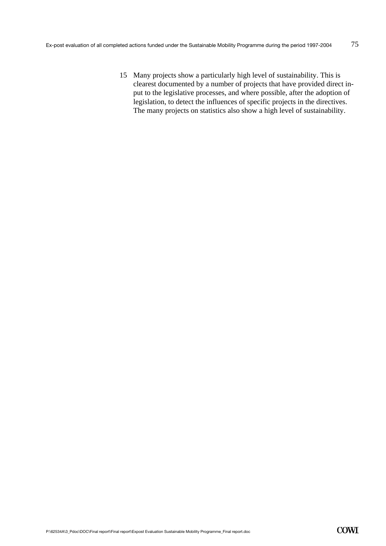15 Many projects show a particularly high level of sustainability. This is clearest documented by a number of projects that have provided direct input to the legislative processes, and where possible, after the adoption of legislation, to detect the influences of specific projects in the directives. The many projects on statistics also show a high level of sustainability.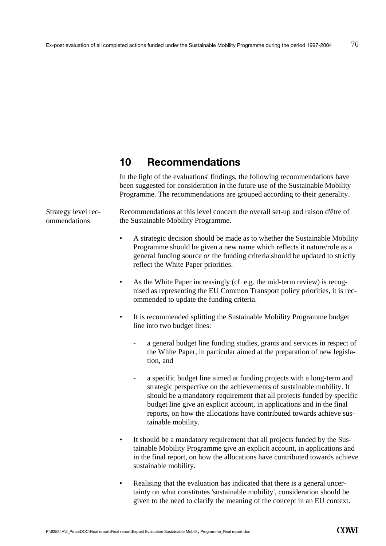# **10 Recommendations**

In the light of the evaluations' findings, the following recommendations have been suggested for consideration in the future use of the Sustainable Mobility Programme. The recommendations are grouped according to their generality.

Strategy level recommendations

Recommendations at this level concern the overall set-up and raison d'être of the Sustainable Mobility Programme.

- A strategic decision should be made as to whether the Sustainable Mobility Programme should be given a new name which reflects it nature/role as a general funding source *or* the funding criteria should be updated to strictly reflect the White Paper priorities.
- As the White Paper increasingly (cf. e.g. the mid-term review) is recognised as representing the EU Common Transport policy priorities, it is recommended to update the funding criteria.
- It is recommended splitting the Sustainable Mobility Programme budget line into two budget lines:
	- a general budget line funding studies, grants and services in respect of the White Paper, in particular aimed at the preparation of new legislation, and
	- a specific budget line aimed at funding projects with a long-term and strategic perspective on the achievements of sustainable mobility. It should be a mandatory requirement that all projects funded by specific budget line give an explicit account, in applications and in the final reports, on how the allocations have contributed towards achieve sustainable mobility.
- It should be a mandatory requirement that all projects funded by the Sustainable Mobility Programme give an explicit account, in applications and in the final report, on how the allocations have contributed towards achieve sustainable mobility.
- Realising that the evaluation has indicated that there is a general uncertainty on what constitutes 'sustainable mobility', consideration should be given to the need to clarify the meaning of the concept in an EU context.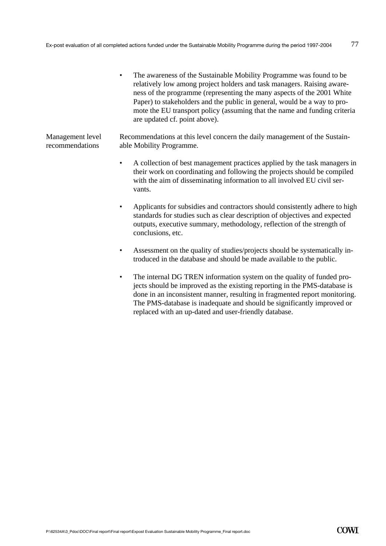• The awareness of the Sustainable Mobility Programme was found to be relatively low among project holders and task managers. Raising awareness of the programme (representing the many aspects of the 2001 White Paper) to stakeholders and the public in general, would be a way to promote the EU transport policy (assuming that the name and funding criteria are updated cf. point above).

Recommendations at this level concern the daily management of the Sustainable Mobility Programme. Management level recommendations

- A collection of best management practices applied by the task managers in their work on coordinating and following the projects should be compiled with the aim of disseminating information to all involved EU civil servants.
- Applicants for subsidies and contractors should consistently adhere to high standards for studies such as clear description of objectives and expected outputs, executive summary, methodology, reflection of the strength of conclusions, etc.
- Assessment on the quality of studies/projects should be systematically introduced in the database and should be made available to the public.
- The internal DG TREN information system on the quality of funded projects should be improved as the existing reporting in the PMS-database is done in an inconsistent manner, resulting in fragmented report monitoring. The PMS-database is inadequate and should be significantly improved or replaced with an up-dated and user-friendly database.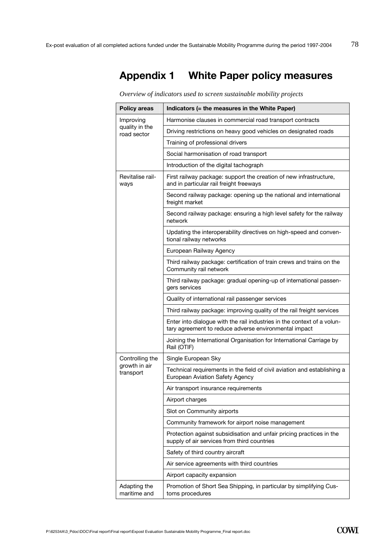# **Appendix 1 White Paper policy measures**

*Overview of indicators used to screen sustainable mobility projects* 

| <b>Policy areas</b>                        | Indicators (= the measures in the White Paper)                                                                                   |
|--------------------------------------------|----------------------------------------------------------------------------------------------------------------------------------|
| Improving<br>quality in the<br>road sector | Harmonise clauses in commercial road transport contracts                                                                         |
|                                            | Driving restrictions on heavy good vehicles on designated roads                                                                  |
|                                            | Training of professional drivers                                                                                                 |
|                                            | Social harmonisation of road transport                                                                                           |
|                                            | Introduction of the digital tachograph                                                                                           |
| Revitalise rail-<br>ways                   | First railway package: support the creation of new infrastructure,<br>and in particular rail freight freeways                    |
|                                            | Second railway package: opening up the national and international<br>freight market                                              |
|                                            | Second railway package: ensuring a high level safety for the railway<br>network                                                  |
|                                            | Updating the interoperability directives on high-speed and conven-<br>tional railway networks                                    |
|                                            | European Railway Agency                                                                                                          |
|                                            | Third railway package: certification of train crews and trains on the<br>Community rail network                                  |
|                                            | Third railway package: gradual opening-up of international passen-<br>gers services                                              |
|                                            | Quality of international rail passenger services                                                                                 |
|                                            | Third railway package: improving quality of the rail freight services                                                            |
|                                            | Enter into dialogue with the rail industries in the context of a volun-<br>tary agreement to reduce adverse environmental impact |
|                                            | Joining the International Organisation for International Carriage by<br>Rail (OTIF)                                              |
| Controlling the                            | Single European Sky                                                                                                              |
| growth in air<br>transport                 | Technical requirements in the field of civil aviation and establishing a<br>European Aviation Safety Agency                      |
|                                            | Air transport insurance requirements                                                                                             |
|                                            | Airport charges                                                                                                                  |
|                                            | Slot on Community airports                                                                                                       |
|                                            | Community framework for airport noise management                                                                                 |
|                                            | Protection against subsidisation and unfair pricing practices in the<br>supply of air services from third countries              |
|                                            | Safety of third country aircraft                                                                                                 |
|                                            | Air service agreements with third countries                                                                                      |
|                                            | Airport capacity expansion                                                                                                       |
| Adapting the<br>maritime and               | Promotion of Short Sea Shipping, in particular by simplifying Cus-<br>toms procedures                                            |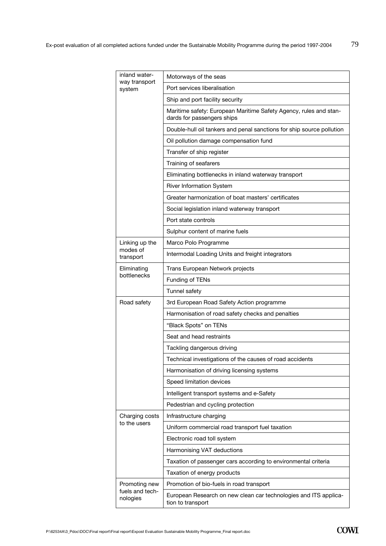| inland water-<br>way transport<br>system | Motorways of the seas                                                                           |
|------------------------------------------|-------------------------------------------------------------------------------------------------|
|                                          | Port services liberalisation                                                                    |
|                                          | Ship and port facility security                                                                 |
|                                          | Maritime safety: European Maritime Safety Agency, rules and stan-<br>dards for passengers ships |
|                                          | Double-hull oil tankers and penal sanctions for ship source pollution                           |
|                                          | Oil pollution damage compensation fund                                                          |
|                                          | Transfer of ship register                                                                       |
|                                          | Training of seafarers                                                                           |
|                                          | Eliminating bottlenecks in inland waterway transport                                            |
|                                          | <b>River Information System</b>                                                                 |
|                                          | Greater harmonization of boat masters' certificates                                             |
|                                          | Social legislation inland waterway transport                                                    |
|                                          | Port state controls                                                                             |
|                                          | Sulphur content of marine fuels                                                                 |
| Linking up the                           | Marco Polo Programme                                                                            |
| modes of<br>transport                    | Intermodal Loading Units and freight integrators                                                |
| Eliminating                              | Trans European Network projects                                                                 |
| bottlenecks                              | Funding of TENs                                                                                 |
|                                          | Tunnel safety                                                                                   |
| Road safety                              | 3rd European Road Safety Action programme                                                       |
|                                          | Harmonisation of road safety checks and penalties                                               |
|                                          | "Black Spots" on TENs                                                                           |
|                                          | Seat and head restraints                                                                        |
|                                          | Tackling dangerous driving                                                                      |
|                                          | Technical investigations of the causes of road accidents                                        |
|                                          | Harmonisation of driving licensing systems                                                      |
|                                          | Speed limitation devices                                                                        |
|                                          | Intelligent transport systems and e-Safety                                                      |
|                                          | Pedestrian and cycling protection                                                               |
| Charging costs                           | Infrastructure charging                                                                         |
| to the users                             | Uniform commercial road transport fuel taxation                                                 |
|                                          | Electronic road toll system                                                                     |
|                                          | Harmonising VAT deductions                                                                      |
|                                          | Taxation of passenger cars according to environmental criteria                                  |
|                                          | Taxation of energy products                                                                     |
| Promoting new                            | Promotion of bio-fuels in road transport                                                        |
| fuels and tech-<br>nologies              | European Research on new clean car technologies and ITS applica-<br>tion to transport           |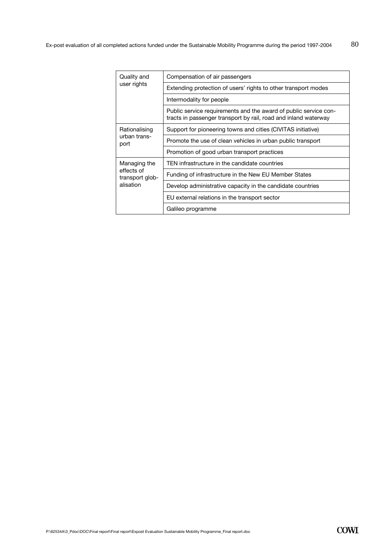| Quality and<br>user rights                                 | Compensation of air passengers                                                                                                      |
|------------------------------------------------------------|-------------------------------------------------------------------------------------------------------------------------------------|
|                                                            | Extending protection of users' rights to other transport modes                                                                      |
|                                                            | Intermodality for people                                                                                                            |
|                                                            | Public service requirements and the award of public service con-<br>tracts in passenger transport by rail, road and inland waterway |
| Rationalising<br>urban trans-<br>port                      | Support for pioneering towns and cities (CIVITAS initiative)                                                                        |
|                                                            | Promote the use of clean vehicles in urban public transport                                                                         |
|                                                            | Promotion of good urban transport practices                                                                                         |
| Managing the<br>effects of<br>transport glob-<br>alisation | TEN infrastructure in the candidate countries                                                                                       |
|                                                            | Funding of infrastructure in the New EU Member States                                                                               |
|                                                            | Develop administrative capacity in the candidate countries                                                                          |
|                                                            | EU external relations in the transport sector                                                                                       |
|                                                            | Galileo programme                                                                                                                   |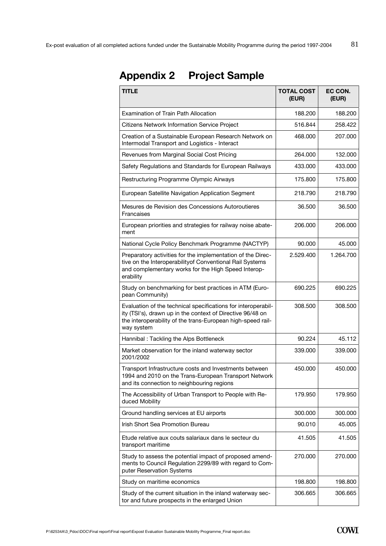| <b>TITLE</b>                                                                                                                                                                                             | <b>TOTAL COST</b><br>(EUR) | EC CON.<br>(EUR) |
|----------------------------------------------------------------------------------------------------------------------------------------------------------------------------------------------------------|----------------------------|------------------|
| <b>Examination of Train Path Allocation</b>                                                                                                                                                              | 188,200                    | 188,200          |
| <b>Citizens Network Information Service Project</b>                                                                                                                                                      | 516.844                    | 258.422          |
| Creation of a Sustainable European Research Network on<br>Intermodal Transport and Logistics - Interact                                                                                                  | 468.000                    | 207.000          |
| Revenues from Marginal Social Cost Pricing                                                                                                                                                               | 264.000                    | 132.000          |
| Safety Regulations and Standards for European Railways                                                                                                                                                   | 433,000                    | 433.000          |
| Restructuring Programme Olympic Airways                                                                                                                                                                  | 175.800                    | 175.800          |
| European Satellite Navigation Application Segment                                                                                                                                                        | 218.790                    | 218.790          |
| Mesures de Revision des Concessions Autoroutieres<br>Francaises                                                                                                                                          | 36.500                     | 36.500           |
| European priorities and strategies for railway noise abate-<br>ment                                                                                                                                      | 206,000                    | 206.000          |
| National Cycle Policy Benchmark Programme (NACTYP)                                                                                                                                                       | 90.000                     | 45.000           |
| Preparatory activities for the implementation of the Direc-<br>tive on the Interoperabilityof Conventional Rail Systems<br>and complementary works for the High Speed Interop-<br>erability              | 2.529.400                  | 1.264.700        |
| Study on benchmarking for best practices in ATM (Euro-<br>pean Community)                                                                                                                                | 690.225                    | 690.225          |
| Evaluation of the technical specifications for interoperabil-<br>ity (TSI's), drawn up in the context of Directive 96/48 on<br>the interoperability of the trans-European high-speed rail-<br>way system | 308,500                    | 308.500          |
| Hannibal: Tackling the Alps Bottleneck                                                                                                                                                                   | 90.224                     | 45.112           |
| Market observation for the inland waterway sector<br>2001/2002                                                                                                                                           | 339.000                    | 339.000          |
| Transport Infrastructure costs and Investments between<br>1994 and 2010 on the Trans-European Transport Network<br>and its connection to neighbouring regions                                            | 450.000                    | 450.000          |
| The Accessibility of Urban Transport to People with Re-<br>duced Mobility                                                                                                                                | 179.950                    | 179.950          |
| Ground handling services at EU airports                                                                                                                                                                  | 300.000                    | 300.000          |
| Irish Short Sea Promotion Bureau                                                                                                                                                                         | 90.010                     | 45.005           |
| Etude relative aux couts salariaux dans le secteur du<br>transport maritime                                                                                                                              | 41.505                     | 41.505           |
| Study to assess the potential impact of proposed amend-<br>ments to Council Regulation 2299/89 with regard to Com-<br>puter Reservation Systems                                                          | 270.000                    | 270.000          |
| Study on maritime economics                                                                                                                                                                              | 198.800                    | 198.800          |
| Study of the current situation in the inland waterway sec-<br>tor and future prospects in the enlarged Union                                                                                             | 306.665                    | 306.665          |

# **Appendix 2 Project Sample**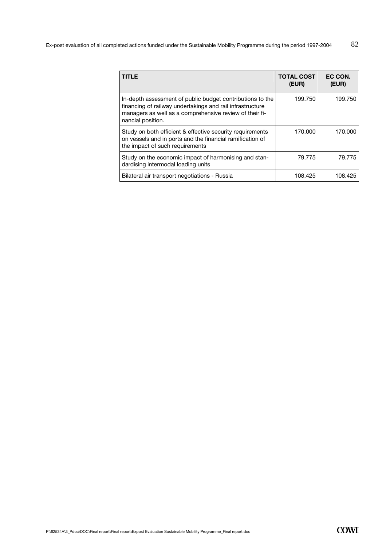Ex-post evaluation of all completed actions funded under the Sustainable Mobility Programme during the period 1997-2004 82

| <b>TITLE</b>                                                                                                                                                                                           | <b>TOTAL COST</b><br>(EUR) | EC CON.<br>(EUR) |
|--------------------------------------------------------------------------------------------------------------------------------------------------------------------------------------------------------|----------------------------|------------------|
| In-depth assessment of public budget contributions to the<br>financing of railway undertakings and rail infrastructure<br>managers as well as a comprehensive review of their fi-<br>nancial position. | 199.750                    | 199.750          |
| Study on both efficient & effective security requirements<br>on vessels and in ports and the financial ramification of<br>the impact of such requirements                                              | 170.000                    | 170.000          |
| Study on the economic impact of harmonising and stan-<br>dardising intermodal loading units                                                                                                            | 79.775                     | 79.775           |
| Bilateral air transport negotiations - Russia                                                                                                                                                          | 108.425                    | 108.425          |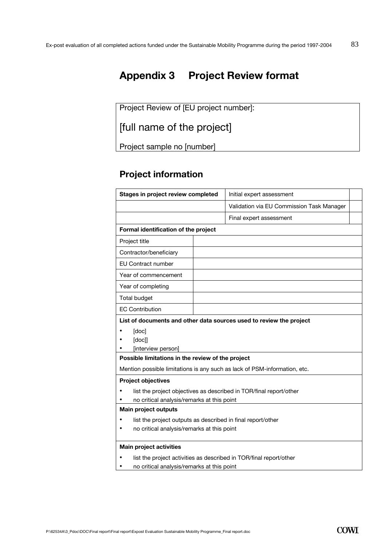# **Appendix 3 Project Review format**

Project Review of [EU project number]:

[full name of the project]

Project sample no [number]

## **Project information**

| Stages in project review completed                                        | Initial expert assessment                 |  |
|---------------------------------------------------------------------------|-------------------------------------------|--|
|                                                                           | Validation via EU Commission Task Manager |  |
|                                                                           | Final expert assessment                   |  |
| Formal identification of the project                                      |                                           |  |
| Project title                                                             |                                           |  |
| Contractor/beneficiary                                                    |                                           |  |
| <b>EU Contract number</b>                                                 |                                           |  |
| Year of commencement                                                      |                                           |  |
| Year of completing                                                        |                                           |  |
| Total budget                                                              |                                           |  |
| <b>EC Contribution</b>                                                    |                                           |  |
| [doc]<br>[doc]]<br>[interview person]                                     |                                           |  |
| Possible limitations in the review of the project                         |                                           |  |
| Mention possible limitations is any such as lack of PSM-information, etc. |                                           |  |
| <b>Project objectives</b>                                                 |                                           |  |
| list the project objectives as described in TOR/final report/other        |                                           |  |
| no critical analysis/remarks at this point                                |                                           |  |
| Main project outputs                                                      |                                           |  |
| list the project outputs as described in final report/other               |                                           |  |
| no critical analysis/remarks at this point<br>٠                           |                                           |  |
| <b>Main project activities</b>                                            |                                           |  |
| list the project activities as described in TOR/final report/other        |                                           |  |
| no critical analysis/remarks at this point                                |                                           |  |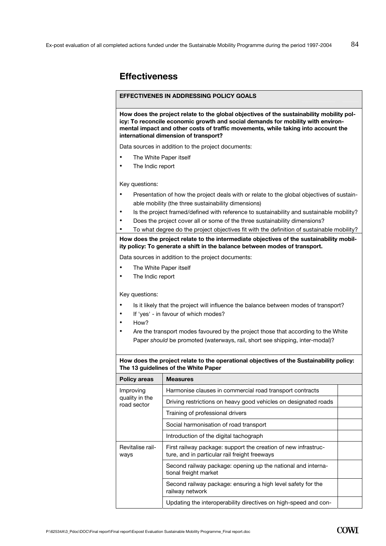### **Effectiveness**

#### **EFFECTIVENES IN ADDRESSING POLICY GOALS**

**How does the project relate to the global objectives of the sustainability mobility policy: To reconcile economic growth and social demands for mobility with environmental impact and other costs of traffic movements, while taking into account the international dimension of transport?** 

Data sources in addition to the project documents:

- The White Paper itself
- The Indic report

Key questions:

- Presentation of how the project deals with or relate to the global objectives of sustainable mobility (the three sustainability dimensions)
- Is the project framed/defined with reference to sustainability and sustainable mobility?
- Does the project cover all or some of the three sustainability dimensions?
- To what degree do the project objectives fit with the definition of sustainable mobility?

**How does the project relate to the intermediate objectives of the sustainability mobility policy: To generate a shift in the balance between modes of transport.** 

Data sources in addition to the project documents:

- The White Paper itself
- The Indic report

Key questions:

- Is it likely that the project will influence the balance between modes of transport?
- If 'yes' in favour of which modes?
- How?
- Are the transport modes favoured by the project those that according to the White Paper *should* be promoted (waterways, rail, short see shipping, inter-modal)?

**How does the project relate to the operational objectives of the Sustainability policy: The 13 guidelines of the White Paper** 

| <b>Policy areas</b>                        | <b>Measures</b>                                                                                                 |  |
|--------------------------------------------|-----------------------------------------------------------------------------------------------------------------|--|
| Improving<br>quality in the<br>road sector | Harmonise clauses in commercial road transport contracts                                                        |  |
|                                            | Driving restrictions on heavy good vehicles on designated roads                                                 |  |
|                                            | Training of professional drivers                                                                                |  |
|                                            | Social harmonisation of road transport                                                                          |  |
|                                            | Introduction of the digital tachograph                                                                          |  |
| Revitalise rail-<br>ways                   | First railway package: support the creation of new infrastruc-<br>ture, and in particular rail freight freeways |  |
|                                            | Second railway package: opening up the national and interna-<br>tional freight market                           |  |
|                                            | Second railway package: ensuring a high level safety for the<br>railway network                                 |  |
|                                            | Updating the interoperability directives on high-speed and con-                                                 |  |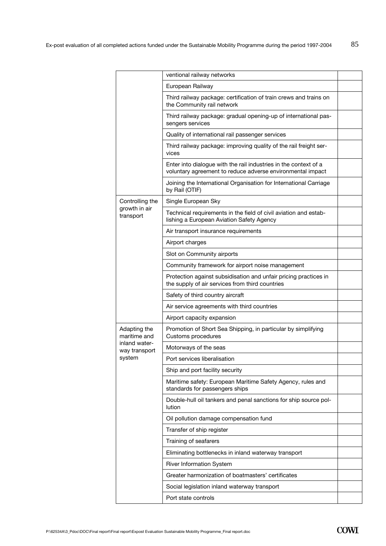|                                | ventional railway networks                                                                                                     |  |
|--------------------------------|--------------------------------------------------------------------------------------------------------------------------------|--|
|                                | European Railway                                                                                                               |  |
|                                |                                                                                                                                |  |
|                                | Third railway package: certification of train crews and trains on<br>the Community rail network                                |  |
|                                | Third railway package: gradual opening-up of international pas-<br>sengers services                                            |  |
|                                | Quality of international rail passenger services                                                                               |  |
|                                | Third railway package: improving quality of the rail freight ser-<br>vices                                                     |  |
|                                | Enter into dialogue with the rail industries in the context of a<br>voluntary agreement to reduce adverse environmental impact |  |
|                                | Joining the International Organisation for International Carriage<br>by Rail (OTIF)                                            |  |
| Controlling the                | Single European Sky                                                                                                            |  |
| growth in air<br>transport     | Technical requirements in the field of civil aviation and estab-<br>lishing a European Aviation Safety Agency                  |  |
|                                | Air transport insurance requirements                                                                                           |  |
|                                | Airport charges                                                                                                                |  |
|                                | Slot on Community airports                                                                                                     |  |
|                                | Community framework for airport noise management                                                                               |  |
|                                | Protection against subsidisation and unfair pricing practices in<br>the supply of air services from third countries            |  |
|                                | Safety of third country aircraft                                                                                               |  |
|                                | Air service agreements with third countries                                                                                    |  |
|                                | Airport capacity expansion                                                                                                     |  |
| Adapting the<br>maritime and   | Promotion of Short Sea Shipping, in particular by simplifying<br>Customs procedures                                            |  |
| inland water-<br>way transport | Motorways of the seas                                                                                                          |  |
| system                         | Port services liberalisation                                                                                                   |  |
|                                | Ship and port facility security                                                                                                |  |
|                                | Maritime safety: European Maritime Safety Agency, rules and<br>standards for passengers ships                                  |  |
|                                | Double-hull oil tankers and penal sanctions for ship source pol-<br>lution                                                     |  |
|                                | Oil pollution damage compensation fund                                                                                         |  |
|                                | Transfer of ship register                                                                                                      |  |
|                                | Training of seafarers                                                                                                          |  |
|                                | Eliminating bottlenecks in inland waterway transport                                                                           |  |
|                                | River Information System                                                                                                       |  |
|                                | Greater harmonization of boatmasters' certificates                                                                             |  |
|                                | Social legislation inland waterway transport                                                                                   |  |
|                                | Port state controls                                                                                                            |  |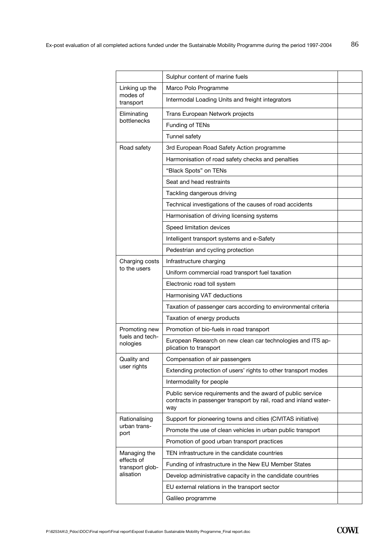|                                                            | Sulphur content of marine fuels                                                                                                        |  |
|------------------------------------------------------------|----------------------------------------------------------------------------------------------------------------------------------------|--|
| Linking up the                                             | Marco Polo Programme                                                                                                                   |  |
| modes of<br>transport                                      | Intermodal Loading Units and freight integrators                                                                                       |  |
| Eliminating<br>bottlenecks                                 | Trans European Network projects                                                                                                        |  |
|                                                            | Funding of TENs                                                                                                                        |  |
|                                                            | Tunnel safety                                                                                                                          |  |
| Road safety                                                | 3rd European Road Safety Action programme                                                                                              |  |
|                                                            | Harmonisation of road safety checks and penalties                                                                                      |  |
|                                                            | "Black Spots" on TENs                                                                                                                  |  |
|                                                            | Seat and head restraints                                                                                                               |  |
|                                                            | Tackling dangerous driving                                                                                                             |  |
|                                                            | Technical investigations of the causes of road accidents                                                                               |  |
|                                                            | Harmonisation of driving licensing systems                                                                                             |  |
|                                                            | Speed limitation devices                                                                                                               |  |
|                                                            | Intelligent transport systems and e-Safety                                                                                             |  |
|                                                            | Pedestrian and cycling protection                                                                                                      |  |
| Charging costs                                             | Infrastructure charging                                                                                                                |  |
| to the users                                               | Uniform commercial road transport fuel taxation                                                                                        |  |
|                                                            | Electronic road toll system                                                                                                            |  |
|                                                            | Harmonising VAT deductions                                                                                                             |  |
|                                                            | Taxation of passenger cars according to environmental criteria                                                                         |  |
|                                                            | Taxation of energy products                                                                                                            |  |
| Promoting new                                              | Promotion of bio-fuels in road transport                                                                                               |  |
| fuels and tech-<br>nologies                                | European Research on new clean car technologies and ITS ap-<br>plication to transport                                                  |  |
| Quality and                                                | Compensation of air passengers                                                                                                         |  |
| user rights                                                | Extending protection of users' rights to other transport modes                                                                         |  |
|                                                            | Intermodality for people                                                                                                               |  |
|                                                            | Public service requirements and the award of public service<br>contracts in passenger transport by rail, road and inland water-<br>way |  |
| Rationalising                                              | Support for pioneering towns and cities (CIVITAS initiative)                                                                           |  |
| urban trans-<br>port                                       | Promote the use of clean vehicles in urban public transport                                                                            |  |
|                                                            | Promotion of good urban transport practices                                                                                            |  |
| Managing the<br>effects of<br>transport glob-<br>alisation | TEN infrastructure in the candidate countries                                                                                          |  |
|                                                            | Funding of infrastructure in the New EU Member States                                                                                  |  |
|                                                            | Develop administrative capacity in the candidate countries                                                                             |  |
|                                                            | EU external relations in the transport sector                                                                                          |  |
|                                                            | Galileo programme                                                                                                                      |  |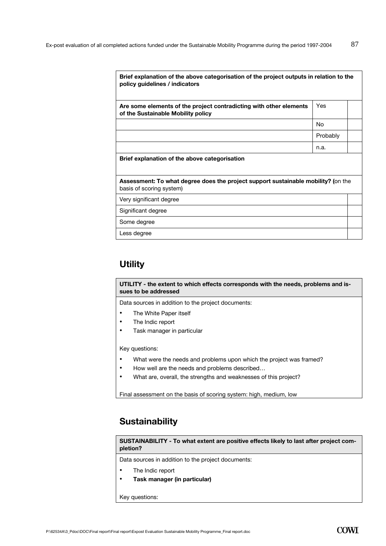| Brief explanation of the above categorisation of the project outputs in relation to the<br>policy guidelines / indicators |          |  |
|---------------------------------------------------------------------------------------------------------------------------|----------|--|
| Are some elements of the project contradicting with other elements<br>of the Sustainable Mobility policy                  | Yes      |  |
|                                                                                                                           | No.      |  |
|                                                                                                                           | Probably |  |
|                                                                                                                           | n.a.     |  |
| Brief explanation of the above categorisation                                                                             |          |  |
| Assessment: To what degree does the project support sustainable mobility? (on the<br>basis of scoring system)             |          |  |
| Very significant degree                                                                                                   |          |  |
| Significant degree                                                                                                        |          |  |
| Some degree                                                                                                               |          |  |
| Less degree                                                                                                               |          |  |

## **Utility**

**UTILITY - the extent to which effects corresponds with the needs, problems and issues to be addressed** 

Data sources in addition to the project documents:

- The White Paper itself
- The Indic report
- Task manager in particular

Key questions:

- What were the needs and problems upon which the project was framed?
- How well are the needs and problems described…
- What are, overall, the strengths and weaknesses of this project?

Final assessment on the basis of scoring system: high, medium, low

## **Sustainability**

**SUSTAINABILITY - To what extent are positive effects likely to last after project completion?**

Data sources in addition to the project documents:

- The Indic report
- **Task manager (in particular)**

Key questions: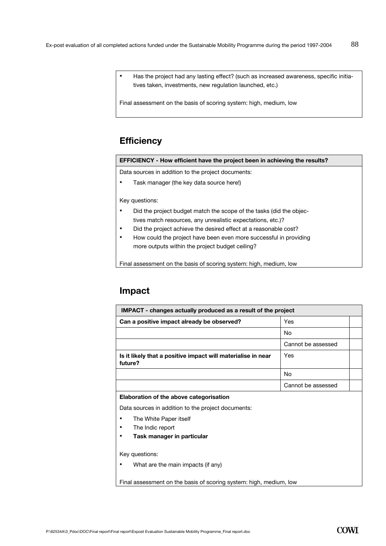• Has the project had any lasting effect? (such as increased awareness, specific initiatives taken, investments, new regulation launched, etc.)

Final assessment on the basis of scoring system: high, medium, low

## **Efficiency**

#### **EFFICIENCY - How efficient have the project been in achieving the results?**

Data sources in addition to the project documents:

• Task manager (the key data source here!)

Key questions:

- Did the project budget match the scope of the tasks (did the objectives match resources, any unrealistic expectations, etc.)?
- Did the project achieve the desired effect at a reasonable cost?
- How could the project have been even more successful in providing more outputs within the project budget ceiling?

Final assessment on the basis of scoring system: high, medium, low

## **Impact**

| <b>IMPACT</b> - changes actually produced as a result of the project    |                    |  |
|-------------------------------------------------------------------------|--------------------|--|
| Can a positive impact already be observed?                              | Yes                |  |
|                                                                         | No                 |  |
|                                                                         | Cannot be assessed |  |
| Is it likely that a positive impact will materialise in near<br>future? | Yes                |  |
|                                                                         | No                 |  |
|                                                                         | Cannot be assessed |  |
| Elaboration of the above categorisation                                 |                    |  |

Data sources in addition to the project documents:

- The White Paper itself
- The Indic report
- **Task manager in particular**

Key questions:

• What are the main impacts (if any)

Final assessment on the basis of scoring system: high, medium, low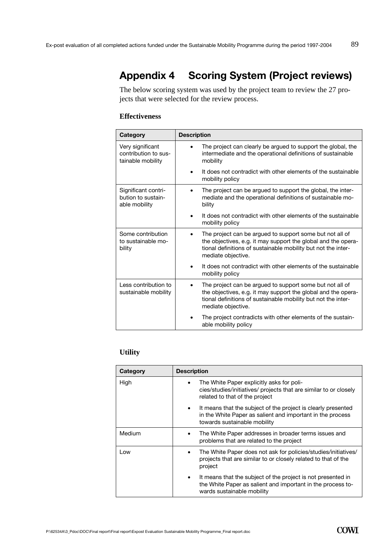# **Appendix 4 Scoring System (Project reviews)**

The below scoring system was used by the project team to review the 27 projects that were selected for the review process.

#### **Effectiveness**

| Category                                                      | <b>Description</b>                                                                                                                                                                                               |
|---------------------------------------------------------------|------------------------------------------------------------------------------------------------------------------------------------------------------------------------------------------------------------------|
| Very significant<br>contribution to sus-<br>tainable mobility | The project can clearly be argued to support the global, the<br>intermediate and the operational definitions of sustainable<br>mobility                                                                          |
|                                                               | It does not contradict with other elements of the sustainable<br>mobility policy                                                                                                                                 |
| Significant contri-<br>bution to sustain-<br>able mobility    | The project can be argued to support the global, the inter-<br>mediate and the operational definitions of sustainable mo-<br>bility                                                                              |
|                                                               | It does not contradict with other elements of the sustainable<br>mobility policy                                                                                                                                 |
| Some contribution<br>to sustainable mo-<br>bility             | The project can be argued to support some but not all of<br>the objectives, e.g. it may support the global and the opera-<br>tional definitions of sustainable mobility but not the inter-<br>mediate objective. |
|                                                               | It does not contradict with other elements of the sustainable<br>mobility policy                                                                                                                                 |
| Less contribution to<br>sustainable mobility                  | The project can be argued to support some but not all of<br>the objectives, e.g. it may support the global and the opera-<br>tional definitions of sustainable mobility but not the inter-<br>mediate objective. |
|                                                               | The project contradicts with other elements of the sustain-<br>able mobility policy                                                                                                                              |

#### **Utility**

| Category | <b>Description</b>                                                                                                                                                       |
|----------|--------------------------------------------------------------------------------------------------------------------------------------------------------------------------|
| High     | The White Paper explicitly asks for poli-<br>cies/studies/initiatives/ projects that are similar to or closely<br>related to that of the project                         |
|          | It means that the subject of the project is clearly presented<br>$\bullet$<br>in the White Paper as salient and important in the process<br>towards sustainable mobility |
| Medium   | The White Paper addresses in broader terms issues and<br>problems that are related to the project                                                                        |
| Low      | The White Paper does not ask for policies/studies/initiatives/<br>projects that are similar to or closely related to that of the<br>project                              |
|          | It means that the subject of the project is not presented in<br>$\bullet$<br>the White Paper as salient and important in the process to-<br>wards sustainable mobility   |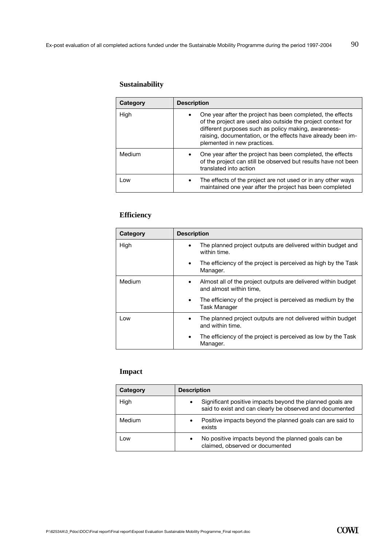### **Sustainability**

| Category | <b>Description</b>                                                                                                                                                                                                                                                                     |
|----------|----------------------------------------------------------------------------------------------------------------------------------------------------------------------------------------------------------------------------------------------------------------------------------------|
| High     | One year after the project has been completed, the effects<br>٠<br>of the project are used also outside the project context for<br>different purposes such as policy making, awareness-<br>raising, documentation, or the effects have already been im-<br>plemented in new practices. |
| Medium   | One year after the project has been completed, the effects<br>of the project can still be observed but results have not been<br>translated into action                                                                                                                                 |
| Low      | The effects of the project are not used or in any other ways<br>$\bullet$<br>maintained one year after the project has been completed                                                                                                                                                  |

#### **Efficiency**

| Category | <b>Description</b>                                                                                    |
|----------|-------------------------------------------------------------------------------------------------------|
| High     | The planned project outputs are delivered within budget and<br>٠<br>within time.                      |
|          | The efficiency of the project is perceived as high by the Task<br>٠<br>Manager.                       |
| Medium   | Almost all of the project outputs are delivered within budget<br>$\bullet$<br>and almost within time, |
|          | The efficiency of the project is perceived as medium by the<br>$\bullet$<br>Task Manager              |
| Low      | The planned project outputs are not delivered within budget<br>٠<br>and within time.                  |
|          | The efficiency of the project is perceived as low by the Task<br>٠<br>Manager.                        |

#### **Impact**

| Category | <b>Description</b>                                                                                                         |  |
|----------|----------------------------------------------------------------------------------------------------------------------------|--|
| High     | Significant positive impacts beyond the planned goals are<br>٠<br>said to exist and can clearly be observed and documented |  |
| Medium   | Positive impacts beyond the planned goals can are said to<br>$\bullet$<br>exists                                           |  |
| Low      | No positive impacts beyond the planned goals can be<br>٠<br>claimed, observed or documented                                |  |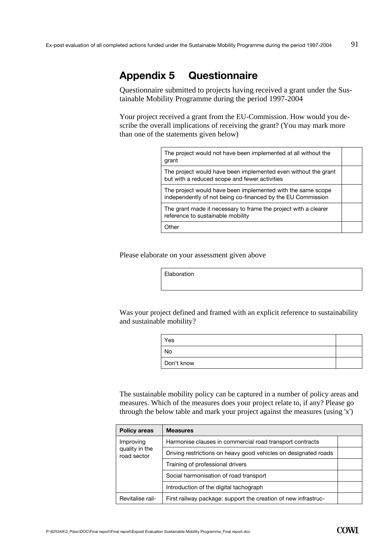## **Appendix 5 Questionnaire**

Questionnaire submitted to projects having received a grant under the Sustainable Mobility Programme during the period 1997-2004

Your project received a grant from the EU-Commission. How would you describe the overall implications of receiving the grant? (You may mark more than one of the statements given below)

| The project would not have been implemented at all without the<br>grant                                                    |  |
|----------------------------------------------------------------------------------------------------------------------------|--|
| The project would have been implemented even without the grant<br>but with a reduced scope and fewer activities            |  |
| The project would have been implemented with the same scope<br>independently of not being co-financed by the EU Commission |  |
| The grant made it necessary to frame the project with a clearer<br>reference to sustainable mobility                       |  |
| Other                                                                                                                      |  |

Please elaborate on your assessment given above

Elaboration

Was your project defined and framed with an explicit reference to sustainability and sustainable mobility?

| Yes        |  |
|------------|--|
| No         |  |
| Don't know |  |

The sustainable mobility policy can be captured in a number of policy areas and measures. Which of the measures does your project relate to, if any? Please go through the below table and mark your project against the measures (using 'x')

| <b>Policy areas</b>                        | <b>Measures</b>                                                 |  |
|--------------------------------------------|-----------------------------------------------------------------|--|
| Improving<br>quality in the<br>road sector | Harmonise clauses in commercial road transport contracts        |  |
|                                            | Driving restrictions on heavy good vehicles on designated roads |  |
|                                            | Training of professional drivers                                |  |
|                                            | Social harmonisation of road transport                          |  |
|                                            | Introduction of the digital tachograph                          |  |
| Revitalise rail-                           | First railway package: support the creation of new infrastruc-  |  |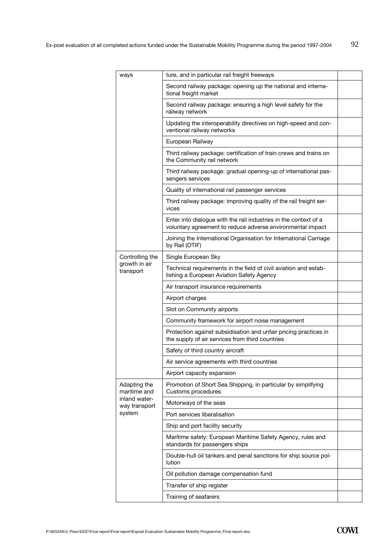| ways                           | ture, and in particular rail freight freeways                                                                                  |  |
|--------------------------------|--------------------------------------------------------------------------------------------------------------------------------|--|
|                                | Second railway package: opening up the national and interna-<br>tional freight market                                          |  |
|                                | Second railway package: ensuring a high level safety for the<br>railway network                                                |  |
|                                | Updating the interoperability directives on high-speed and con-<br>ventional railway networks                                  |  |
|                                | European Railway                                                                                                               |  |
|                                | Third railway package: certification of train crews and trains on<br>the Community rail network                                |  |
|                                | Third railway package: gradual opening-up of international pas-<br>sengers services                                            |  |
|                                | Quality of international rail passenger services                                                                               |  |
|                                | Third railway package: improving quality of the rail freight ser-<br>vices                                                     |  |
|                                | Enter into dialogue with the rail industries in the context of a<br>voluntary agreement to reduce adverse environmental impact |  |
|                                | Joining the International Organisation for International Carriage<br>by Rail (OTIF)                                            |  |
| Controlling the                | Single European Sky                                                                                                            |  |
| growth in air<br>transport     | Technical requirements in the field of civil aviation and estab-<br>lishing a European Aviation Safety Agency                  |  |
|                                | Air transport insurance requirements                                                                                           |  |
|                                | Airport charges                                                                                                                |  |
|                                | Slot on Community airports                                                                                                     |  |
|                                | Community framework for airport noise management                                                                               |  |
|                                | Protection against subsidisation and unfair pricing practices in<br>the supply of air services from third countries            |  |
|                                | Safety of third country aircraft                                                                                               |  |
|                                | Air service agreements with third countries                                                                                    |  |
|                                | Airport capacity expansion                                                                                                     |  |
| Adapting the<br>maritime and   | Promotion of Short Sea Shipping, in particular by simplifying<br>Customs procedures                                            |  |
| inland water-<br>way transport | Motorways of the seas                                                                                                          |  |
| system                         | Port services liberalisation                                                                                                   |  |
|                                | Ship and port facility security                                                                                                |  |
|                                | Maritime safety: European Maritime Safety Agency, rules and<br>standards for passengers ships                                  |  |
|                                | Double-hull oil tankers and penal sanctions for ship source pol-<br>lution                                                     |  |
|                                | Oil pollution damage compensation fund                                                                                         |  |
|                                | Transfer of ship register                                                                                                      |  |
|                                | Training of seafarers                                                                                                          |  |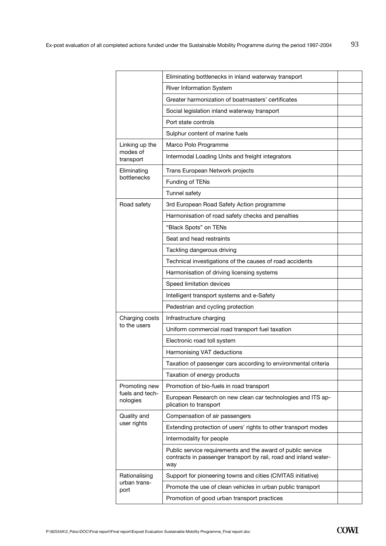|                             | Eliminating bottlenecks in inland waterway transport                                                                                   |  |
|-----------------------------|----------------------------------------------------------------------------------------------------------------------------------------|--|
|                             | <b>River Information System</b>                                                                                                        |  |
|                             | Greater harmonization of boatmasters' certificates                                                                                     |  |
|                             | Social legislation inland waterway transport                                                                                           |  |
|                             | Port state controls                                                                                                                    |  |
|                             | Sulphur content of marine fuels                                                                                                        |  |
| Linking up the              | Marco Polo Programme                                                                                                                   |  |
| modes of<br>transport       | Intermodal Loading Units and freight integrators                                                                                       |  |
| Eliminating                 | Trans European Network projects                                                                                                        |  |
| bottlenecks                 | Funding of TENs                                                                                                                        |  |
|                             | Tunnel safety                                                                                                                          |  |
| Road safety                 | 3rd European Road Safety Action programme                                                                                              |  |
|                             | Harmonisation of road safety checks and penalties                                                                                      |  |
|                             | "Black Spots" on TENs                                                                                                                  |  |
|                             | Seat and head restraints                                                                                                               |  |
|                             | Tackling dangerous driving                                                                                                             |  |
|                             | Technical investigations of the causes of road accidents                                                                               |  |
|                             | Harmonisation of driving licensing systems                                                                                             |  |
|                             | Speed limitation devices                                                                                                               |  |
|                             | Intelligent transport systems and e-Safety                                                                                             |  |
|                             | Pedestrian and cycling protection                                                                                                      |  |
| Charging costs              | Infrastructure charging                                                                                                                |  |
| to the users                | Uniform commercial road transport fuel taxation                                                                                        |  |
|                             | Electronic road toll system                                                                                                            |  |
|                             | Harmonising VAT deductions                                                                                                             |  |
|                             | Taxation of passenger cars according to environmental criteria                                                                         |  |
|                             | Taxation of energy products                                                                                                            |  |
| Promoting new               | Promotion of bio-fuels in road transport                                                                                               |  |
| fuels and tech-<br>nologies | European Research on new clean car technologies and ITS ap-<br>plication to transport                                                  |  |
| Quality and                 | Compensation of air passengers                                                                                                         |  |
| user rights                 | Extending protection of users' rights to other transport modes                                                                         |  |
|                             | Intermodality for people                                                                                                               |  |
|                             | Public service requirements and the award of public service<br>contracts in passenger transport by rail, road and inland water-<br>way |  |
| Rationalising               | Support for pioneering towns and cities (CIVITAS initiative)                                                                           |  |
| urban trans-<br>port        | Promote the use of clean vehicles in urban public transport                                                                            |  |
|                             | Promotion of good urban transport practices                                                                                            |  |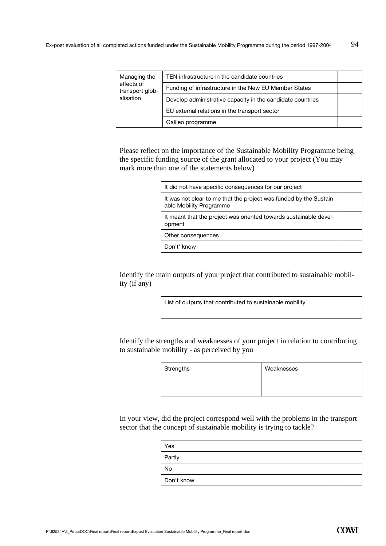| Managing the<br>effects of<br>transport glob-<br>alisation | TEN infrastructure in the candidate countries              |  |
|------------------------------------------------------------|------------------------------------------------------------|--|
|                                                            | Funding of infrastructure in the New EU Member States      |  |
|                                                            | Develop administrative capacity in the candidate countries |  |
|                                                            | EU external relations in the transport sector              |  |
|                                                            | Galileo programme                                          |  |

Please reflect on the importance of the Sustainable Mobility Programme being the specific funding source of the grant allocated to your project (You may mark more than one of the statements below)

| It did not have specific consequences for our project                                         |  |
|-----------------------------------------------------------------------------------------------|--|
| It was not clear to me that the project was funded by the Sustain-<br>able Mobility Programme |  |
| It meant that the project was oriented towards sustainable devel-<br>opment                   |  |
| Other consequences                                                                            |  |
| Don't' know                                                                                   |  |

Identify the main outputs of your project that contributed to sustainable mobility (if any)

List of outputs that contributed to sustainable mobility

Identify the strengths and weaknesses of your project in relation to contributing to sustainable mobility - as perceived by you

| Strengths | Weaknesses |
|-----------|------------|
|           |            |
|           |            |

In your view, did the project correspond well with the problems in the transport sector that the concept of sustainable mobility is trying to tackle?

| Yes        |  |
|------------|--|
| Partly     |  |
| No         |  |
| Don't know |  |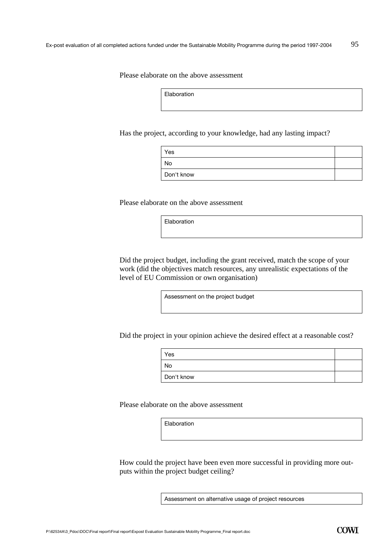Please elaborate on the above assessment

Elaboration

Has the project, according to your knowledge, had any lasting impact?

| Yes        |  |
|------------|--|
| No         |  |
| Don't know |  |

Please elaborate on the above assessment

Elaboration

Did the project budget, including the grant received, match the scope of your work (did the objectives match resources, any unrealistic expectations of the level of EU Commission or own organisation)

Assessment on the project budget

Did the project in your opinion achieve the desired effect at a reasonable cost?

| Yes        |  |
|------------|--|
| No         |  |
| Don't know |  |

Please elaborate on the above assessment

Elaboration

How could the project have been even more successful in providing more outputs within the project budget ceiling?

Assessment on alternative usage of project resources